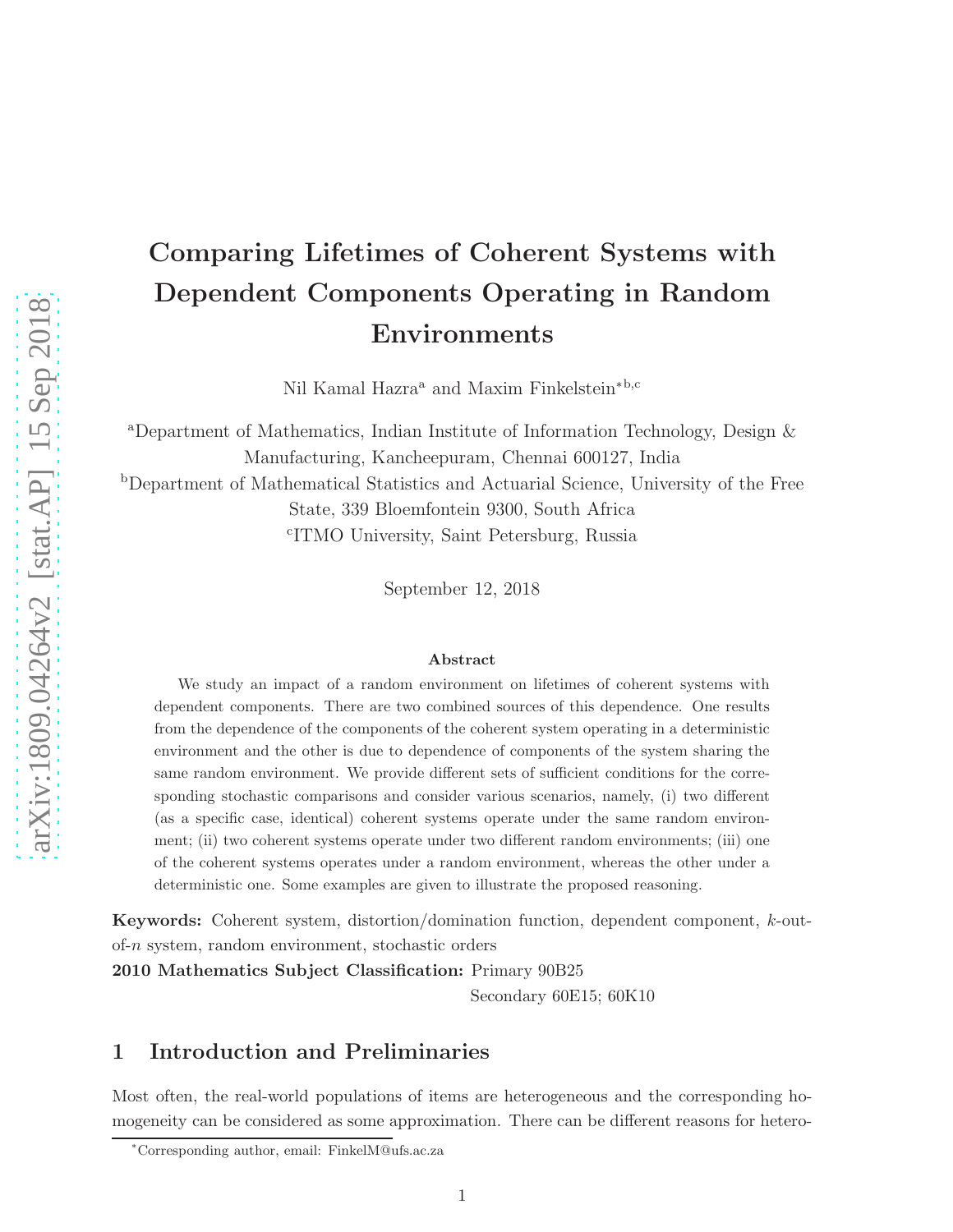# Comparing Lifetimes of Coherent Systems with Dependent Components Operating in Random Environments

Nil Kamal Hazra<sup>a</sup> and Maxim Finkelstein<sup>∗b,c</sup>

<sup>a</sup>Department of Mathematics, Indian Institute of Information Technology, Design & Manufacturing, Kancheepuram, Chennai 600127, India <sup>b</sup>Department of Mathematical Statistics and Actuarial Science, University of the Free State, 339 Bloemfontein 9300, South Africa c ITMO University, Saint Petersburg, Russia

September 12, 2018

#### Abstract

We study an impact of a random environment on lifetimes of coherent systems with dependent components. There are two combined sources of this dependence. One results from the dependence of the components of the coherent system operating in a deterministic environment and the other is due to dependence of components of the system sharing the same random environment. We provide different sets of sufficient conditions for the corresponding stochastic comparisons and consider various scenarios, namely, (i) two different (as a specific case, identical) coherent systems operate under the same random environment; (ii) two coherent systems operate under two different random environments; (iii) one of the coherent systems operates under a random environment, whereas the other under a deterministic one. Some examples are given to illustrate the proposed reasoning.

Keywords: Coherent system, distortion/domination function, dependent component, k-outof-n system, random environment, stochastic orders

2010 Mathematics Subject Classification: Primary 90B25

Secondary 60E15; 60K10

## 1 Introduction and Preliminaries

Most often, the real-world populations of items are heterogeneous and the corresponding homogeneity can be considered as some approximation. There can be different reasons for hetero-

<sup>∗</sup>Corresponding author, email: FinkelM@ufs.ac.za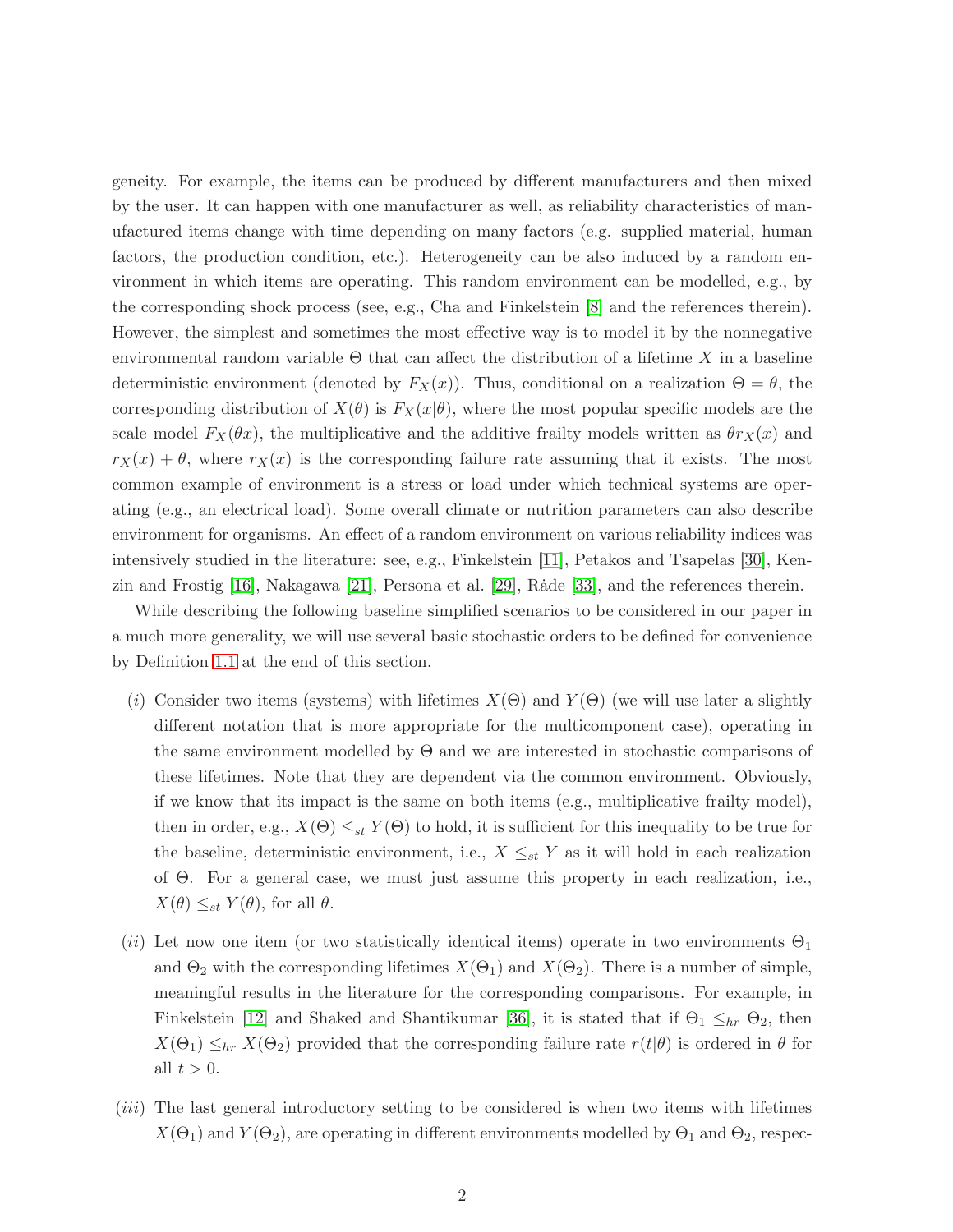geneity. For example, the items can be produced by different manufacturers and then mixed by the user. It can happen with one manufacturer as well, as reliability characteristics of manufactured items change with time depending on many factors (e.g. supplied material, human factors, the production condition, etc.). Heterogeneity can be also induced by a random environment in which items are operating. This random environment can be modelled, e.g., by the corresponding shock process (see, e.g., Cha and Finkelstein [\[8\]](#page-22-0) and the references therein). However, the simplest and sometimes the most effective way is to model it by the nonnegative environmental random variable  $\Theta$  that can affect the distribution of a lifetime X in a baseline deterministic environment (denoted by  $F_X(x)$ ). Thus, conditional on a realization  $\Theta = \theta$ , the corresponding distribution of  $X(\theta)$  is  $F_X(x|\theta)$ , where the most popular specific models are the scale model  $F_X(\theta x)$ , the multiplicative and the additive frailty models written as  $\theta r_X(x)$  and  $r_X(x) + \theta$ , where  $r_X(x)$  is the corresponding failure rate assuming that it exists. The most common example of environment is a stress or load under which technical systems are operating (e.g., an electrical load). Some overall climate or nutrition parameters can also describe environment for organisms. An effect of a random environment on various reliability indices was intensively studied in the literature: see, e.g., Finkelstein [\[11\]](#page-22-1), Petakos and Tsapelas [\[30\]](#page-23-0), Kenzin and Frostig  $[16]$ , Nakagawa  $[21]$ , Persona et al.  $[29]$ , Råde  $[33]$ , and the references therein.

While describing the following baseline simplified scenarios to be considered in our paper in a much more generality, we will use several basic stochastic orders to be defined for convenience by Definition [1.1](#page-4-0) at the end of this section.

- (i) Consider two items (systems) with lifetimes  $X(\Theta)$  and  $Y(\Theta)$  (we will use later a slightly different notation that is more appropriate for the multicomponent case), operating in the same environment modelled by Θ and we are interested in stochastic comparisons of these lifetimes. Note that they are dependent via the common environment. Obviously, if we know that its impact is the same on both items (e.g., multiplicative frailty model), then in order, e.g.,  $X(\Theta) \leq_{st} Y(\Theta)$  to hold, it is sufficient for this inequality to be true for the baseline, deterministic environment, i.e.,  $X \leq_{st} Y$  as it will hold in each realization of Θ. For a general case, we must just assume this property in each realization, i.e.,  $X(\theta) \leq_{st} Y(\theta)$ , for all  $\theta$ .
- (ii) Let now one item (or two statistically identical items) operate in two environments  $\Theta_1$ and  $\Theta_2$  with the corresponding lifetimes  $X(\Theta_1)$  and  $X(\Theta_2)$ . There is a number of simple, meaningful results in the literature for the corresponding comparisons. For example, in Finkelstein [\[12\]](#page-22-3) and Shaked and Shantikumar [\[36\]](#page-24-0), it is stated that if  $\Theta_1 \leq_{hr} \Theta_2$ , then  $X(\Theta_1) \leq_{hr} X(\Theta_2)$  provided that the corresponding failure rate  $r(t|\theta)$  is ordered in  $\theta$  for all  $t > 0$ .
- (iii) The last general introductory setting to be considered is when two items with lifetimes  $X(\Theta_1)$  and  $Y(\Theta_2)$ , are operating in different environments modelled by  $\Theta_1$  and  $\Theta_2$ , respec-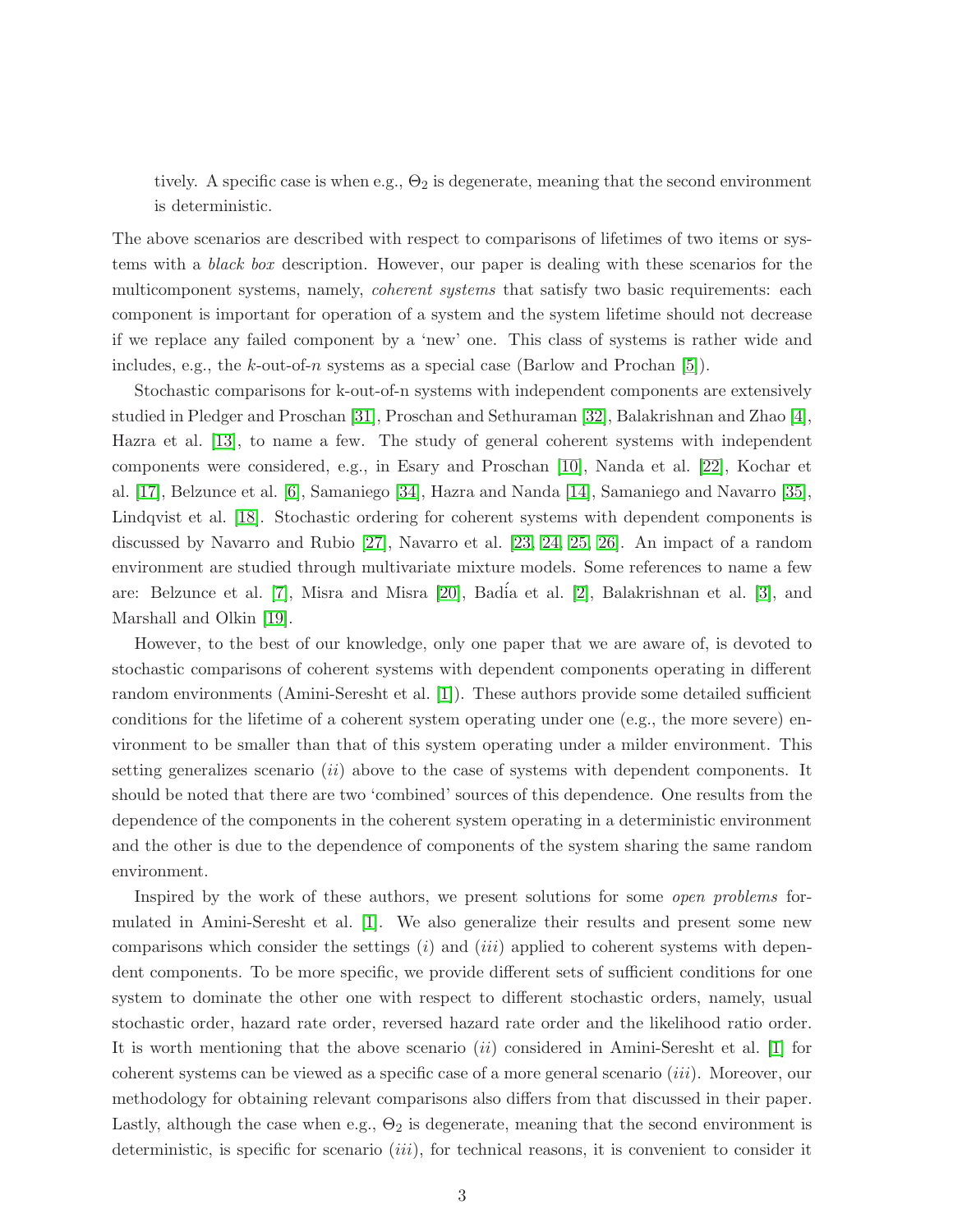tively. A specific case is when e.g.,  $\Theta_2$  is degenerate, meaning that the second environment is deterministic.

The above scenarios are described with respect to comparisons of lifetimes of two items or systems with a *black box* description. However, our paper is dealing with these scenarios for the multicomponent systems, namely, *coherent systems* that satisfy two basic requirements: each component is important for operation of a system and the system lifetime should not decrease if we replace any failed component by a 'new' one. This class of systems is rather wide and includes, e.g., the k-out-of-n systems as a special case (Barlow and Prochan [\[5\]](#page-21-0)).

Stochastic comparisons for k-out-of-n systems with independent components are extensively studied in Pledger and Proschan [\[31\]](#page-23-4), Proschan and Sethuraman [\[32\]](#page-23-5), Balakrishnan and Zhao [\[4\]](#page-21-1), Hazra et al. [\[13\]](#page-22-4), to name a few. The study of general coherent systems with independent components were considered, e.g., in Esary and Proschan [\[10\]](#page-22-5), Nanda et al. [\[22\]](#page-23-6), Kochar et al. [\[17\]](#page-22-6), Belzunce et al. [\[6\]](#page-22-7), Samaniego [\[34\]](#page-24-1), Hazra and Nanda [\[14\]](#page-22-8), Samaniego and Navarro [\[35\]](#page-24-2), Lindqvist et al. [\[18\]](#page-22-9). Stochastic ordering for coherent systems with dependent components is discussed by Navarro and Rubio [\[27\]](#page-23-7), Navarro et al. [\[23,](#page-23-8) [24,](#page-23-9) [25,](#page-23-10) [26\]](#page-23-11). An impact of a random environment are studied through multivariate mixture models. Some references to name a few are: Belzunce et al. [\[7\]](#page-22-10), Misra and Misra [\[20\]](#page-22-11), Badía et al. [\[2\]](#page-21-2), Balakrishnan et al. [\[3\]](#page-21-3), and Marshall and Olkin [\[19\]](#page-22-12).

However, to the best of our knowledge, only one paper that we are aware of, is devoted to stochastic comparisons of coherent systems with dependent components operating in different random environments (Amini-Seresht et al. [\[1\]](#page-21-4)). These authors provide some detailed sufficient conditions for the lifetime of a coherent system operating under one (e.g., the more severe) environment to be smaller than that of this system operating under a milder environment. This setting generalizes scenario *(ii)* above to the case of systems with dependent components. It should be noted that there are two 'combined' sources of this dependence. One results from the dependence of the components in the coherent system operating in a deterministic environment and the other is due to the dependence of components of the system sharing the same random environment.

Inspired by the work of these authors, we present solutions for some *open problems* formulated in Amini-Seresht et al. [\[1\]](#page-21-4). We also generalize their results and present some new comparisons which consider the settings  $(i)$  and  $(iii)$  applied to coherent systems with dependent components. To be more specific, we provide different sets of sufficient conditions for one system to dominate the other one with respect to different stochastic orders, namely, usual stochastic order, hazard rate order, reversed hazard rate order and the likelihood ratio order. It is worth mentioning that the above scenario (ii) considered in Amini-Seresht et al. [\[1\]](#page-21-4) for coherent systems can be viewed as a specific case of a more general scenario (iii). Moreover, our methodology for obtaining relevant comparisons also differs from that discussed in their paper. Lastly, although the case when e.g.,  $\Theta_2$  is degenerate, meaning that the second environment is deterministic, is specific for scenario *(iii)*, for technical reasons, it is convenient to consider it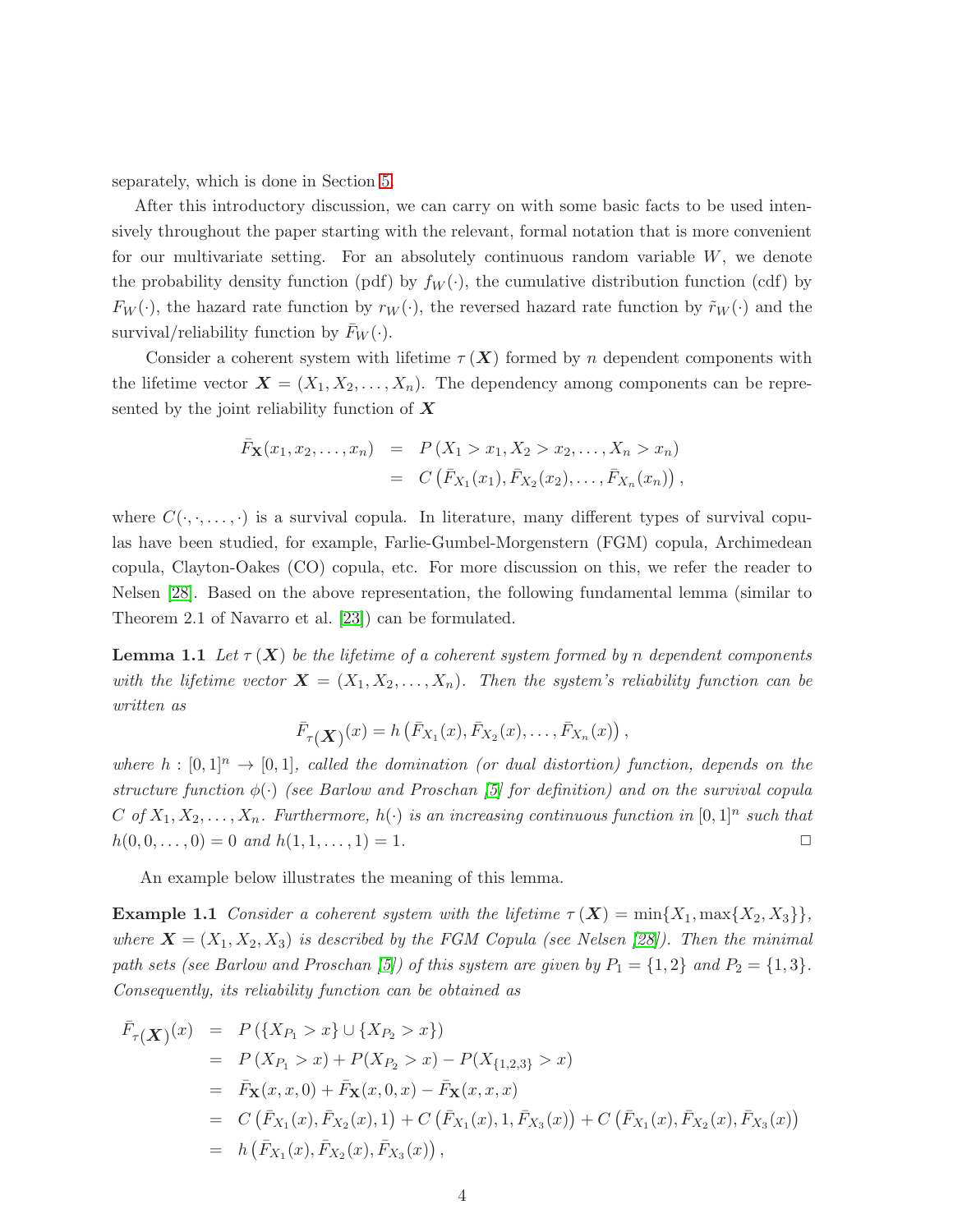separately, which is done in Section [5.](#page-16-0)

After this introductory discussion, we can carry on with some basic facts to be used intensively throughout the paper starting with the relevant, formal notation that is more convenient for our multivariate setting. For an absolutely continuous random variable  $W$ , we denote the probability density function (pdf) by  $f_W(\cdot)$ , the cumulative distribution function (cdf) by  $F_W(\cdot)$ , the hazard rate function by  $r_W(\cdot)$ , the reversed hazard rate function by  $\tilde{r}_W(\cdot)$  and the survival/reliability function by  $\bar{F}_W(\cdot)$ .

Consider a coherent system with lifetime  $\tau(X)$  formed by n dependent components with the lifetime vector  $\mathbf{X} = (X_1, X_2, \dots, X_n)$ . The dependency among components can be represented by the joint reliability function of  $\boldsymbol{X}$ 

$$
\begin{array}{rcl}\n\bar{F}_{\mathbf{X}}(x_1, x_2, \dots, x_n) & = & P\left(X_1 > x_1, X_2 > x_2, \dots, X_n > x_n\right) \\
& = & C\left(\bar{F}_{X_1}(x_1), \bar{F}_{X_2}(x_2), \dots, \bar{F}_{X_n}(x_n)\right),\n\end{array}
$$

where  $C(\cdot,\cdot,\ldots,\cdot)$  is a survival copula. In literature, many different types of survival copulas have been studied, for example, Farlie-Gumbel-Morgenstern (FGM) copula, Archimedean copula, Clayton-Oakes (CO) copula, etc. For more discussion on this, we refer the reader to Nelsen [\[28\]](#page-23-12). Based on the above representation, the following fundamental lemma (similar to Theorem 2.1 of Navarro et al. [\[23\]](#page-23-8)) can be formulated.

**Lemma 1.1** Let  $\tau(X)$  be the lifetime of a coherent system formed by n dependent components *with the lifetime vector*  $\mathbf{X} = (X_1, X_2, \ldots, X_n)$ . Then the system's reliability function can be *written as*

<span id="page-3-0"></span>
$$
\bar{F}_{\tau}(\mathbf{X}) (x) = h(\bar{F}_{X_1}(x), \bar{F}_{X_2}(x), \dots, \bar{F}_{X_n}(x)),
$$

where  $h : [0,1]^n \to [0,1]$ , called the domination (or dual distortion) function, depends on the *structure function* φ(·) *(see Barlow and Proschan [\[5\]](#page-21-0) for definition) and on the survival copula* C of  $X_1, X_2, \ldots, X_n$ . Furthermore,  $h(\cdot)$  is an increasing continuous function in  $[0,1]^n$  such that  $h(0, 0, \ldots, 0) = 0$  and  $h(1, 1, \ldots, 1) = 1$ .

An example below illustrates the meaning of this lemma.

**Example 1.1** *Consider a coherent system with the lifetime*  $\tau(X) = \min\{X_1, \max\{X_2, X_3\}\}\$ , *where*  $\mathbf{X} = (X_1, X_2, X_3)$  *is described by the FGM Copula (see Nelsen [\[28\]](#page-23-12)). Then the minimal path sets (see Barlow and Proschan [\[5\]](#page-21-0)) of this system are given by*  $P_1 = \{1, 2\}$  *and*  $P_2 = \{1, 3\}.$ *Consequently, its reliability function can be obtained as*

$$
\begin{aligned}\n\bar{F}_{\tau}(\boldsymbol{X}) &= P(\{X_{P_1} > x\} \cup \{X_{P_2} > x\}) \\
&= P(X_{P_1} > x) + P(X_{P_2} > x) - P(X_{\{1,2,3\}} > x) \\
&= \bar{F}_{\mathbf{X}}(x, x, 0) + \bar{F}_{\mathbf{X}}(x, 0, x) - \bar{F}_{\mathbf{X}}(x, x, x) \\
&= C(\bar{F}_{X_1}(x), \bar{F}_{X_2}(x), 1) + C(\bar{F}_{X_1}(x), 1, \bar{F}_{X_3}(x)) + C(\bar{F}_{X_1}(x), \bar{F}_{X_2}(x), \bar{F}_{X_3}(x)) \\
&= h(\bar{F}_{X_1}(x), \bar{F}_{X_2}(x), \bar{F}_{X_3}(x)),\n\end{aligned}
$$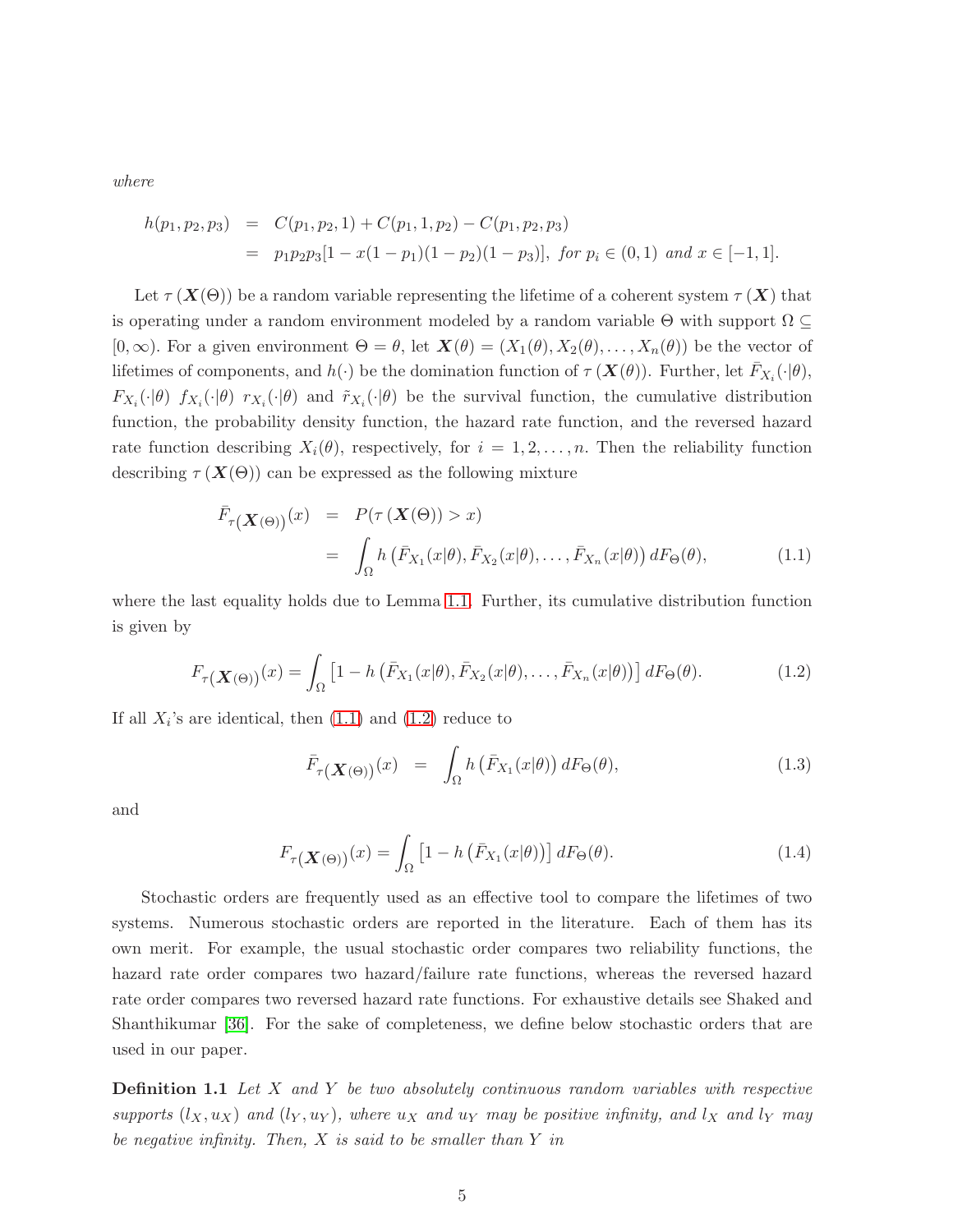*where*

$$
h(p_1, p_2, p_3) = C(p_1, p_2, 1) + C(p_1, 1, p_2) - C(p_1, p_2, p_3)
$$
  
=  $p_1 p_2 p_3 [1 - x(1 - p_1)(1 - p_2)(1 - p_3)], \text{ for } p_i \in (0, 1) \text{ and } x \in [-1, 1].$ 

Let  $\tau(X(\Theta))$  be a random variable representing the lifetime of a coherent system  $\tau(X)$  that is operating under a random environment modeled by a random variable  $\Theta$  with support  $\Omega \subseteq$  $[0,\infty)$ . For a given environment  $\Theta = \theta$ , let  $\mathbf{X}(\theta) = (X_1(\theta), X_2(\theta), \dots, X_n(\theta))$  be the vector of lifetimes of components, and  $h(\cdot)$  be the domination function of  $\tau(\mathbf{X}(\theta))$ . Further, let  $\bar{F}_{X_i}(\cdot|\theta)$ ,  $F_{X_i}(\cdot|\theta)$   $f_{X_i}(\cdot|\theta)$   $r_{X_i}(\cdot|\theta)$  and  $\tilde{r}_{X_i}(\cdot|\theta)$  be the survival function, the cumulative distribution function, the probability density function, the hazard rate function, and the reversed hazard rate function describing  $X_i(\theta)$ , respectively, for  $i = 1, 2, \ldots, n$ . Then the reliability function describing  $\tau(X(\Theta))$  can be expressed as the following mixture

<span id="page-4-1"></span>
$$
\begin{aligned}\n\bar{F}_{\tau}(\mathbf{X}(\Theta)) & (x) &= P(\tau(\mathbf{X}(\Theta)) > x) \\
&= \int_{\Omega} h\left(\bar{F}_{X_1}(x|\theta), \bar{F}_{X_2}(x|\theta), \dots, \bar{F}_{X_n}(x|\theta)\right) dF_{\Theta}(\theta),\n\end{aligned} \tag{1.1}
$$

where the last equality holds due to Lemma [1.1.](#page-3-0) Further, its cumulative distribution function is given by

<span id="page-4-2"></span>
$$
F_{\tau}(\mathbf{X}(\Theta))}(x) = \int_{\Omega} \left[1 - h\left(\bar{F}_{X_1}(x|\theta), \bar{F}_{X_2}(x|\theta), \dots, \bar{F}_{X_n}(x|\theta)\right)\right] dF_{\Theta}(\theta). \tag{1.2}
$$

If all  $X_i$ 's are identical, then  $(1.1)$  and  $(1.2)$  reduce to

$$
\bar{F}_{\tau}(\boldsymbol{X}(\Theta))}(x) = \int_{\Omega} h(\bar{F}_{X_1}(x|\theta)) dF_{\Theta}(\theta), \qquad (1.3)
$$

and

$$
F_{\tau}(\mathbf{X}(\Theta))}(x) = \int_{\Omega} \left[1 - h\left(\bar{F}_{X_1}(x|\theta)\right)\right] dF_{\Theta}(\theta). \tag{1.4}
$$

Stochastic orders are frequently used as an effective tool to compare the lifetimes of two systems. Numerous stochastic orders are reported in the literature. Each of them has its own merit. For example, the usual stochastic order compares two reliability functions, the hazard rate order compares two hazard/failure rate functions, whereas the reversed hazard rate order compares two reversed hazard rate functions. For exhaustive details see Shaked and Shanthikumar [\[36\]](#page-24-0). For the sake of completeness, we define below stochastic orders that are used in our paper.

<span id="page-4-0"></span>Definition 1.1 *Let* X *and* Y *be two absolutely continuous random variables with respective supports*  $(l_X, u_X)$  *and*  $(l_Y, u_Y)$ *, where*  $u_X$  *and*  $u_Y$  *may be positive infinity, and*  $l_X$  *and*  $l_Y$  *may be negative infinity. Then,* X *is said to be smaller than* Y *in*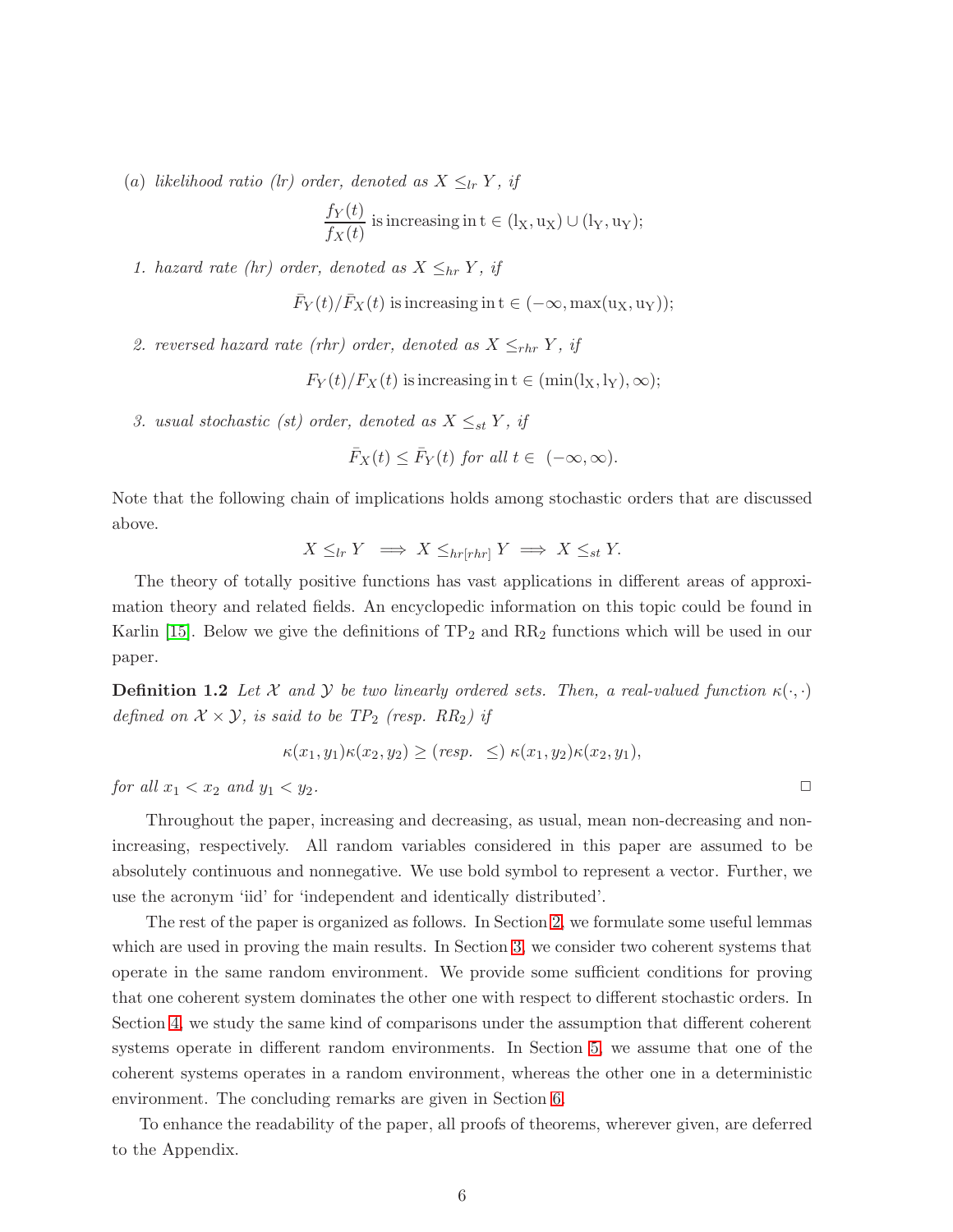(a) *likelihood ratio (lr) order, denoted as*  $X \leq_{lr} Y$ *, if* 

$$
\frac{f_Y(t)}{f_X(t)}
$$
 is increasing in  $t \in (l_X, u_X) \cup (l_Y, u_Y);$ 

*1. hazard rate (hr) order, denoted as*  $X \leq_{hr} Y$ *, if* 

$$
\bar{F}_Y(t)/\bar{F}_X(t)
$$
 is increasing in  $t \in (-\infty, \max(u_X, u_Y));$ 

2. reversed hazard rate (rhr) order, denoted as  $X \leq_{rhr} Y$ , if

 $F_Y(t)/F_X(t)$  is increasing in  $t \in (\min(l_X, l_Y), \infty);$ 

*3.* usual stochastic (st) order, denoted as  $X \leq_{st} Y$ , if

$$
\bar{F}_X(t) \le \bar{F}_Y(t) \text{ for all } t \in (-\infty, \infty).
$$

Note that the following chain of implications holds among stochastic orders that are discussed above.

$$
X \leq_{lr} Y \implies X \leq_{hr[rhr]} Y \implies X \leq_{st} Y.
$$

The theory of totally positive functions has vast applications in different areas of approximation theory and related fields. An encyclopedic information on this topic could be found in Karlin [\[15\]](#page-22-13). Below we give the definitions of  $TP_2$  and  $RR_2$  functions which will be used in our paper.

**Definition 1.2** *Let* X and Y be two linearly ordered sets. Then, a real-valued function  $\kappa(\cdot, \cdot)$ *defined on*  $X \times Y$ *, is said to be TP*<sub>2</sub> *(resp. RR*<sub>2</sub>*) if* 

$$
\kappa(x_1,y_1)\kappa(x_2,y_2) \ge (resp. \le )\,\kappa(x_1,y_2)\kappa(x_2,y_1),
$$

*for all*  $x_1 < x_2$  *and*  $y_1 < y_2$ *.* 

Throughout the paper, increasing and decreasing, as usual, mean non-decreasing and nonincreasing, respectively. All random variables considered in this paper are assumed to be absolutely continuous and nonnegative. We use bold symbol to represent a vector. Further, we use the acronym 'iid' for 'independent and identically distributed'.

The rest of the paper is organized as follows. In Section [2,](#page-6-0) we formulate some useful lemmas which are used in proving the main results. In Section [3,](#page-8-0) we consider two coherent systems that operate in the same random environment. We provide some sufficient conditions for proving that one coherent system dominates the other one with respect to different stochastic orders. In Section [4,](#page-10-0) we study the same kind of comparisons under the assumption that different coherent systems operate in different random environments. In Section [5,](#page-16-0) we assume that one of the coherent systems operates in a random environment, whereas the other one in a deterministic environment. The concluding remarks are given in Section [6.](#page-20-0)

To enhance the readability of the paper, all proofs of theorems, wherever given, are deferred to the Appendix.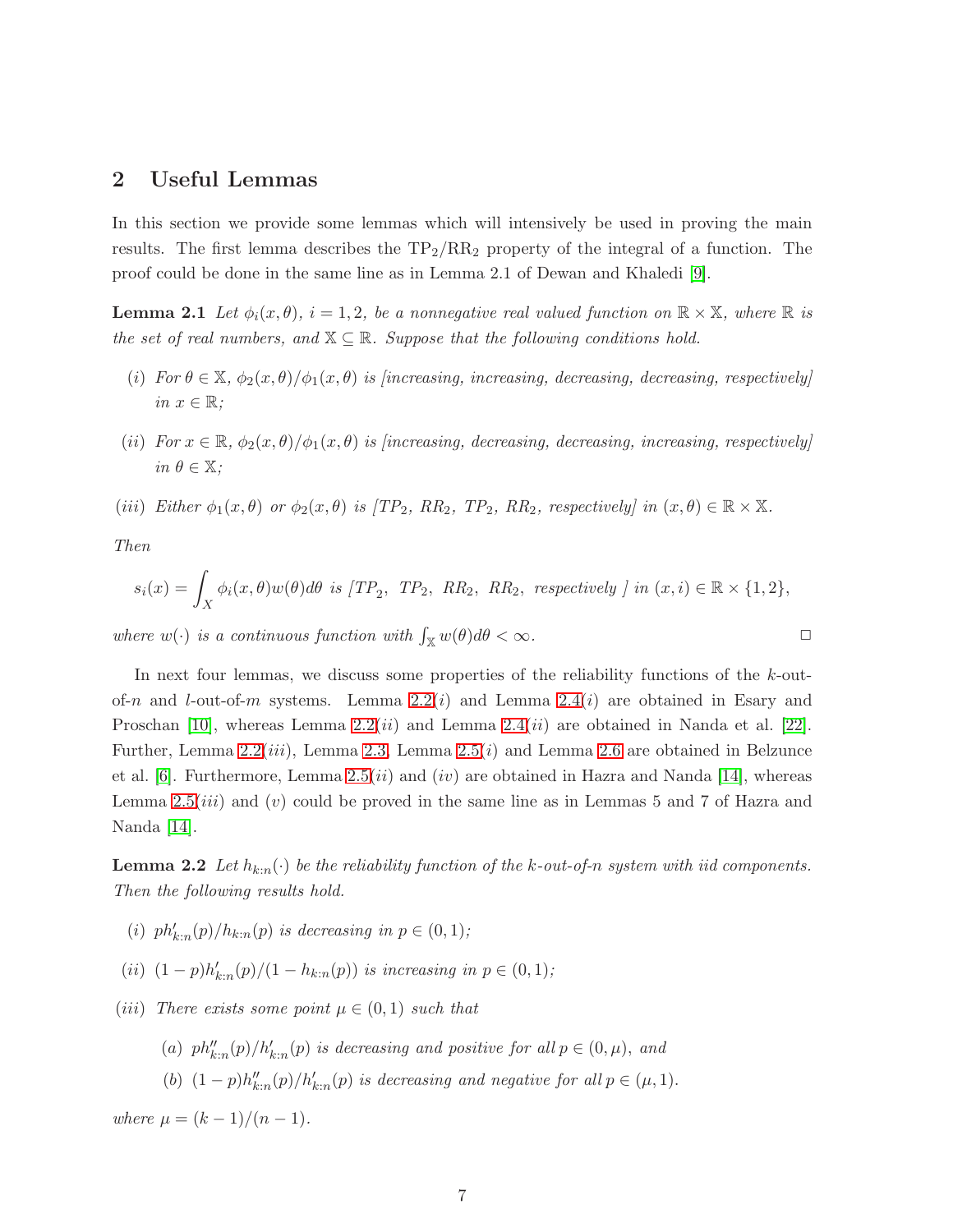## <span id="page-6-0"></span>2 Useful Lemmas

In this section we provide some lemmas which will intensively be used in proving the main results. The first lemma describes the  $TP_2/RR_2$  property of the integral of a function. The proof could be done in the same line as in Lemma 2.1 of Dewan and Khaledi [\[9\]](#page-22-14).

**Lemma 2.1** Let  $\phi_i(x, \theta)$ ,  $i = 1, 2$ , be a nonnegative real valued function on  $\mathbb{R} \times \mathbb{X}$ , where  $\mathbb{R}$  is *the set of real numbers, and*  $X \subseteq \mathbb{R}$ *. Suppose that the following conditions hold.* 

- <span id="page-6-3"></span>(i) For  $\theta \in \mathbb{X}$ ,  $\phi_2(x, \theta)/\phi_1(x, \theta)$  *is [increasing, increasing, decreasing, decreasing, respectively]*  $in x \in \mathbb{R}$ ;
- (*ii*) *For*  $x \in \mathbb{R}$ ,  $\phi_2(x,\theta)/\phi_1(x,\theta)$  *is [increasing, decreasing, decreasing, increasing, respectively] in*  $\theta \in \mathbb{X}$ *:*
- (iii) *Either*  $\phi_1(x, \theta)$  *or*  $\phi_2(x, \theta)$  *is* [TP<sub>2</sub>*, RR*<sub>2</sub>*, TP*<sub>2</sub>*, RR*<sub>2</sub>*, respectively] in*  $(x, \theta) \in \mathbb{R} \times \mathbb{X}$ *.*

*Then*

$$
s_i(x) = \int_X \phi_i(x,\theta) w(\theta) d\theta \text{ is } [TP_2, TP_2, RR_2, RR_2, respectively ] in (x,i) \in \mathbb{R} \times \{1,2\},
$$

*where*  $w(\cdot)$  *is a continuous function with*  $\int_{\mathbb{X}} w(\theta) d\theta < \infty$ *.* 

In next four lemmas, we discuss some properties of the reliability functions of the k-outof-n and l-out-of-m systems. Lemma  $2.2(i)$  and Lemma  $2.4(i)$  are obtained in Esary and Proschan [\[10\]](#page-22-5), whereas Lemma  $2.2(ii)$  and Lemma  $2.4(ii)$  are obtained in Nanda et al. [\[22\]](#page-23-6). Further, Lemma [2.2\(](#page-6-1)*iii*), Lemma [2.3,](#page-6-2) Lemma [2.5\(](#page-7-1)*i*) and Lemma [2.6](#page-7-2) are obtained in Belzunce et al. [\[6\]](#page-22-7). Furthermore, Lemma [2.5\(](#page-7-1)*ii*) and (*iv*) are obtained in Hazra and Nanda [\[14\]](#page-22-8), whereas Lemma [2.5\(](#page-7-1)*iii*) and (*v*) could be proved in the same line as in Lemmas 5 and 7 of Hazra and Nanda [\[14\]](#page-22-8).

<span id="page-6-1"></span>**Lemma 2.2** Let  $h_{k:n}(\cdot)$  be the reliability function of the k-out-of-n system with iid components. *Then the following results hold.*

- (*i*)  $ph'_{k:n}(p)/h_{k:n}(p)$  *is decreasing in*  $p \in (0,1)$ *;*
- (*ii*)  $(1-p)h'_{k:n}(p)/(1-h_{k:n}(p))$  *is increasing in*  $p \in (0,1)$ *;*
- (*iii*) *There exists some point*  $\mu \in (0,1)$  *such that* 
	- (a)  $ph_{k:n}''(p)/h_{k:n}'(p)$  is decreasing and positive for all  $p \in (0, \mu)$ , and
	- (b)  $(1-p)h''_{k:n}(p)/h'_{k:n}(p)$  is decreasing and negative for all  $p \in (\mu, 1)$ .

<span id="page-6-2"></span>*where*  $\mu = (k-1)/(n-1)$ .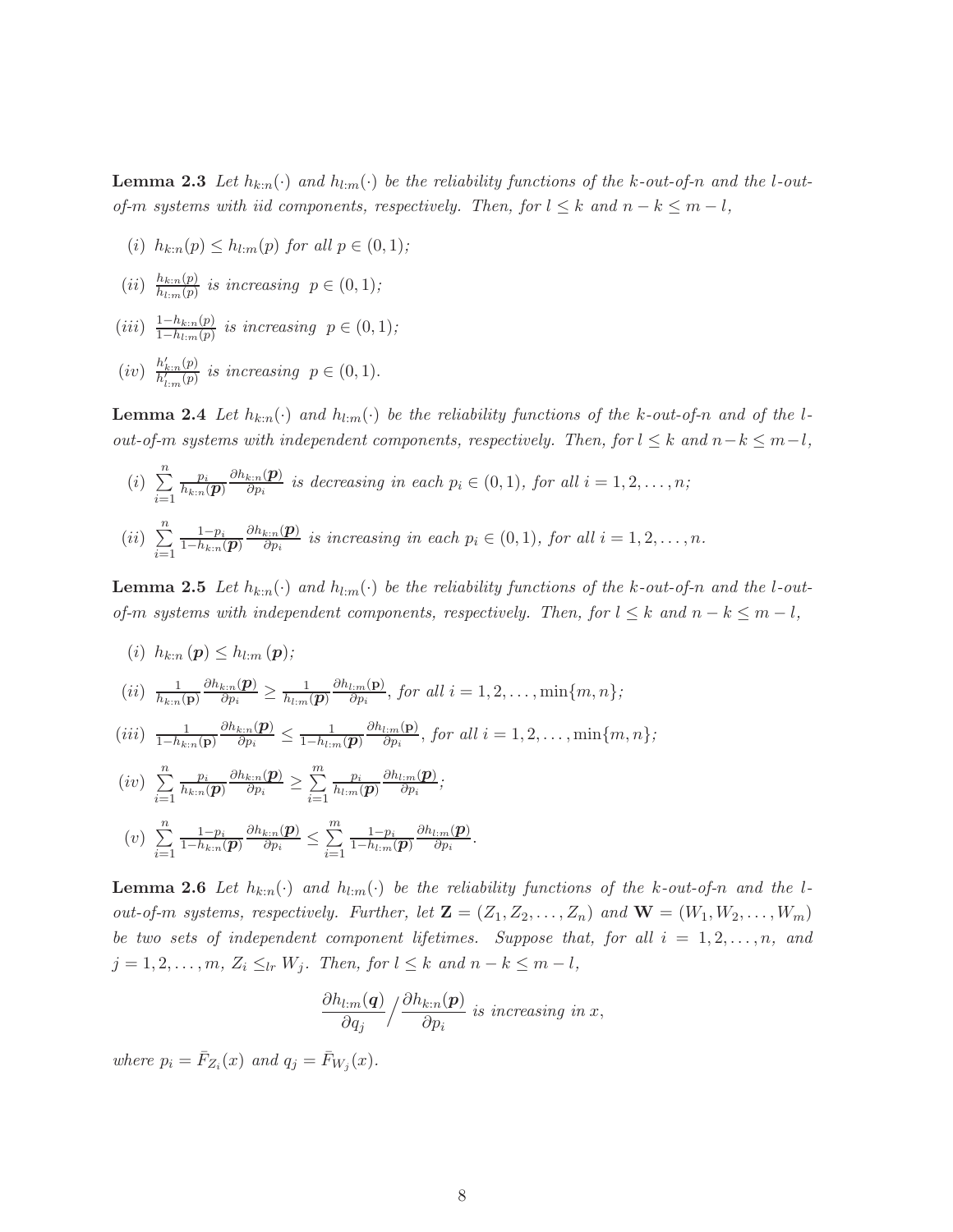**Lemma 2.3** Let  $h_{k:n}(\cdot)$  and  $h_{l:m}(\cdot)$  be the reliability functions of the k-out-of-n and the l-out*of-m systems with iid components, respectively. Then, for*  $l \leq k$  *and*  $n - k \leq m - l$ *,* 

- (i)  $h_{k:n}(p) \leq h_{l:m}(p)$  *for all*  $p \in (0,1)$ *;*
- $(ii)$   $\frac{h_{k:n}(p)}{h_{k}-(p)}$  $\frac{n_{k:n}(p)}{h_{l:m}(p)}$  is increasing  $p \in (0,1)$ ;
- $(iii) \frac{1-h_{k:n}(p)}{1-h_{k}-(p)}$  $\frac{1-n_{k:n}(p)}{1-h_{l:m}(p)}$  *is increasing*  $p \in (0,1)$ *;*
- $(iv)$   $\frac{h'_{k:n}(p)}{h'(p)}$  $\frac{n_{k:n}(p)}{h'_{l:m}(p)}$  is increasing  $p \in (0,1)$ .

<span id="page-7-0"></span>**Lemma 2.4** Let  $h_{k:n}(\cdot)$  and  $h_{l:m}(\cdot)$  be the reliability functions of the k-out-of-n and of the l*out-of-m systems with independent components, respectively. Then, for*  $l \leq k$  *and*  $n-k \leq m-l$ *,* 

(i) 
$$
\sum_{i=1}^{n} \frac{p_i}{h_{k:n}(\boldsymbol{p})} \frac{\partial h_{k:n}(\boldsymbol{p})}{\partial p_i}
$$
 is decreasing in each  $p_i \in (0,1)$ , for all  $i = 1, 2, ..., n$ ;  
(ii) 
$$
\sum_{i=1}^{n} \frac{1-p_i}{1-h_{k:n}(\boldsymbol{p})} \frac{\partial h_{k:n}(\boldsymbol{p})}{\partial p_i}
$$
 is increasing in each  $p_i \in (0,1)$ , for all  $i = 1, 2, ..., n$ .

<span id="page-7-1"></span>**Lemma 2.5** Let  $h_{k:n}(\cdot)$  and  $h_{l:m}(\cdot)$  be the reliability functions of the k-out-of-n and the l-out*of-m systems with independent components, respectively. Then, for*  $l \leq k$  *and*  $n - k \leq m - l$ *,* 

$$
(i) h_{k:n}(\boldsymbol{p}) \leq h_{l:m}(\boldsymbol{p});
$$

$$
(ii) \ \frac{1}{h_{k:n}(\mathbf{p})} \frac{\partial h_{k:n}(\mathbf{p})}{\partial p_i} \geq \frac{1}{h_{l:m}(\mathbf{p})} \frac{\partial h_{l:m}(\mathbf{p})}{\partial p_i}, \text{ for all } i = 1, 2, \dots, \min\{m, n\};
$$

$$
(iii) \ \frac{1}{1-h_{k:n}(\mathbf{p})}\frac{\partial h_{k:n}(\mathbf{p})}{\partial p_i} \leq \frac{1}{1-h_{l:m}(\mathbf{p})}\frac{\partial h_{l:m}(\mathbf{p})}{\partial p_i}, \text{ for all } i=1,2,\ldots,\min\{m,n\};
$$

$$
(iv) \sum_{i=1}^{n} \frac{p_i}{h_{k:n}(p)} \frac{\partial h_{k:n}(p)}{\partial p_i} \ge \sum_{i=1}^{m} \frac{p_i}{h_{l:m}(p)} \frac{\partial h_{l:m}(p)}{\partial p_i};
$$

$$
(v) \sum_{i=1}^{n} \frac{1-p_i}{1-h_{k:n}(p)} \frac{\partial h_{k:n}(p)}{\partial p_i} \le \sum_{i=1}^{m} \frac{1-p_i}{1-h_{l:m}(p)} \frac{\partial h_{l:m}(p)}{\partial p_i}.
$$

<span id="page-7-2"></span>**Lemma 2.6** Let  $h_{k:n}(\cdot)$  and  $h_{l:n}(\cdot)$  be the reliability functions of the k-out-of-n and the l*out-of-m systems, respectively. Further, let*  $\mathbf{Z} = (Z_1, Z_2, \ldots, Z_n)$  *and*  $\mathbf{W} = (W_1, W_2, \ldots, W_m)$ *be two sets of independent component lifetimes. Suppose that, for all*  $i = 1, 2, \ldots, n$ , and  $j = 1, 2, \ldots, m, Z_i \leq_{lr} W_j$ *. Then, for*  $l \leq k$  *and*  $n - k \leq m - l$ *,* 

$$
\frac{\partial h_{l:m}(\boldsymbol{q})}{\partial q_j} / \frac{\partial h_{k:n}(\boldsymbol{p})}{\partial p_i}
$$
 is increasing in x,

where  $p_i = \overline{F}_{Z_i}(x)$  and  $q_j = \overline{F}_{W_j}(x)$ .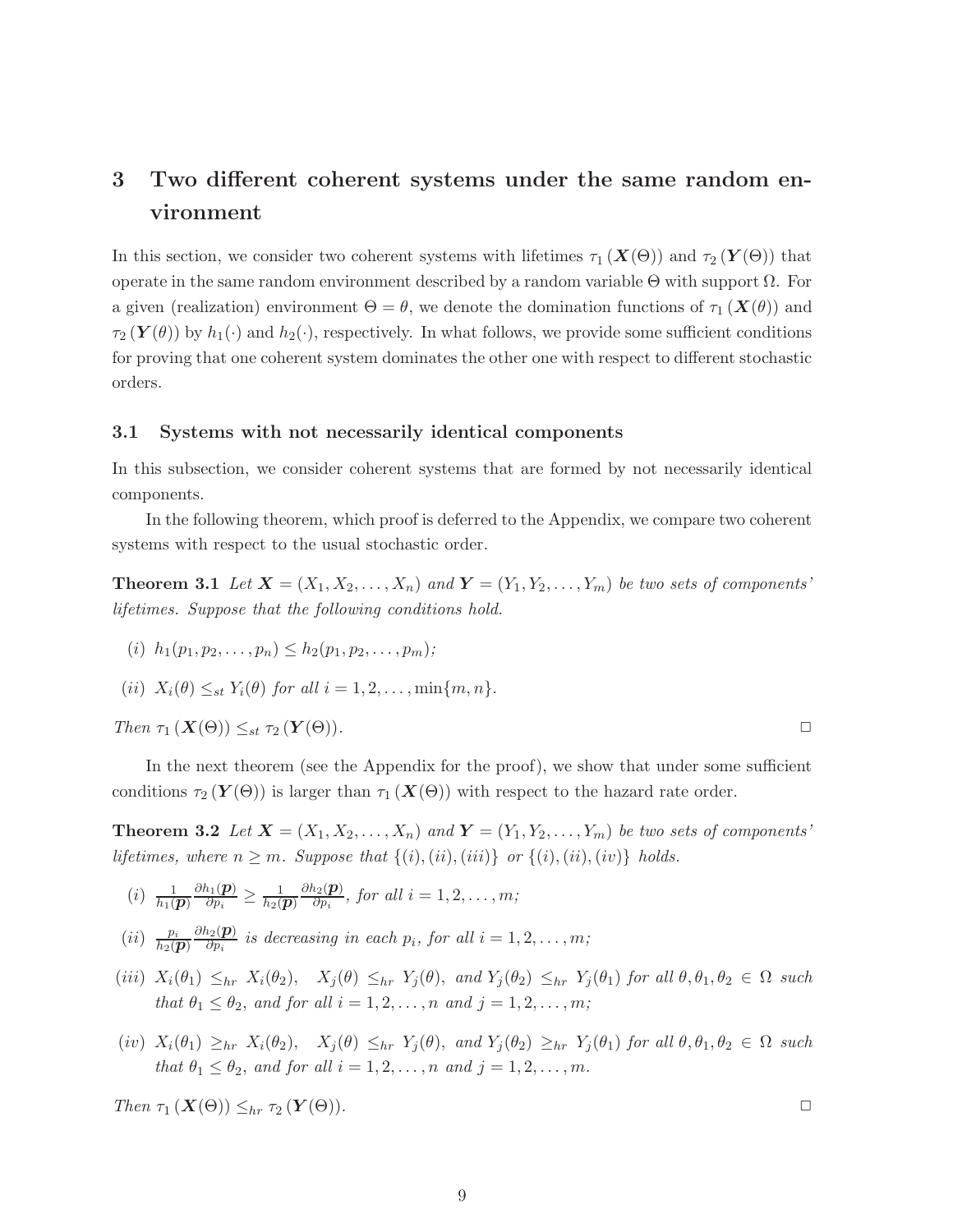## <span id="page-8-0"></span>3 Two different coherent systems under the same random environment

In this section, we consider two coherent systems with lifetimes  $\tau_1(X(\Theta))$  and  $\tau_2(Y(\Theta))$  that operate in the same random environment described by a random variable Θ with support Ω. For a given (realization) environment  $\Theta = \theta$ , we denote the domination functions of  $\tau_1 (\mathbf{X}(\theta))$  and  $\tau_2(\mathbf{Y}(\theta))$  by  $h_1(\cdot)$  and  $h_2(\cdot)$ , respectively. In what follows, we provide some sufficient conditions for proving that one coherent system dominates the other one with respect to different stochastic orders.

#### 3.1 Systems with not necessarily identical components

In this subsection, we consider coherent systems that are formed by not necessarily identical components.

<span id="page-8-2"></span>In the following theorem, which proof is deferred to the Appendix, we compare two coherent systems with respect to the usual stochastic order.

**Theorem 3.1** Let  $X = (X_1, X_2, \ldots, X_n)$  and  $Y = (Y_1, Y_2, \ldots, Y_m)$  be two sets of components' *lifetimes. Suppose that the following conditions hold.*

(i)  $h_1(p_1, p_2, \ldots, p_n) \leq h_2(p_1, p_2, \ldots, p_m);$ 

$$
(ii) X_i(\theta) \leq_{st} Y_i(\theta) \text{ for all } i = 1, 2, \dots, \min\{m, n\}.
$$

 $Then \tau_1(X(\Theta)) \leq_{st} \tau_2(Y(\Theta)).$ 

In the next theorem (see the Appendix for the proof), we show that under some sufficient conditions  $\tau_2(Y(\Theta))$  is larger than  $\tau_1(X(\Theta))$  with respect to the hazard rate order.

**Theorem 3.2** Let  $X = (X_1, X_2, \ldots, X_n)$  and  $Y = (Y_1, Y_2, \ldots, Y_m)$  be two sets of components' *lifetimes, where*  $n \geq m$ *. Suppose that*  $\{(i), (ii), (iii)\}$  *or*  $\{(i), (ii), (iv)\}$  *holds.* 

- <span id="page-8-1"></span> $(i) \frac{1}{h_1(\bm{p})}$  $\partial h_1(\boldsymbol{p})$  $\frac{h_1(\boldsymbol{p})}{\partial p_i} \geq \frac{1}{h_2(\boldsymbol{p})}$  $\partial h_2(\boldsymbol{p})$  $\frac{i2(\mathbf{p})}{\partial p_i}$ , for all  $i = 1, 2, \ldots, m;$
- $(ii)$   $\frac{p_i}{h_2(\boldsymbol{p})}$  $\partial h_2(\boldsymbol{p})$  $\frac{\partial^2 \Omega(\mathbf{p})}{\partial p_i}$  is decreasing in each  $p_i$ , for all  $i = 1, 2, \ldots, m;$
- (iii)  $X_i(\theta_1) \leq_{hr} X_i(\theta_2)$ ,  $X_j(\theta) \leq_{hr} Y_j(\theta)$ , and  $Y_j(\theta_2) \leq_{hr} Y_j(\theta_1)$  for all  $\theta, \theta_1, \theta_2 \in \Omega$  such *that*  $\theta_1 \leq \theta_2$ *, and for all*  $i = 1, 2, ..., n$  *and*  $j = 1, 2, ..., m$ *;*
- (iv)  $X_i(\theta_1) \ge_{hr} X_i(\theta_2)$ ,  $X_j(\theta) \le_{hr} Y_j(\theta)$ , and  $Y_j(\theta_2) \ge_{hr} Y_j(\theta_1)$  *for all*  $\theta, \theta_1, \theta_2 \in \Omega$  *such that*  $\theta_1 \leq \theta_2$ *, and for all*  $i = 1, 2, ..., n$  *and*  $j = 1, 2, ..., m$ *.*

Then 
$$
\tau_1(X(\Theta)) \leq_{hr} \tau_2(Y(\Theta)).
$$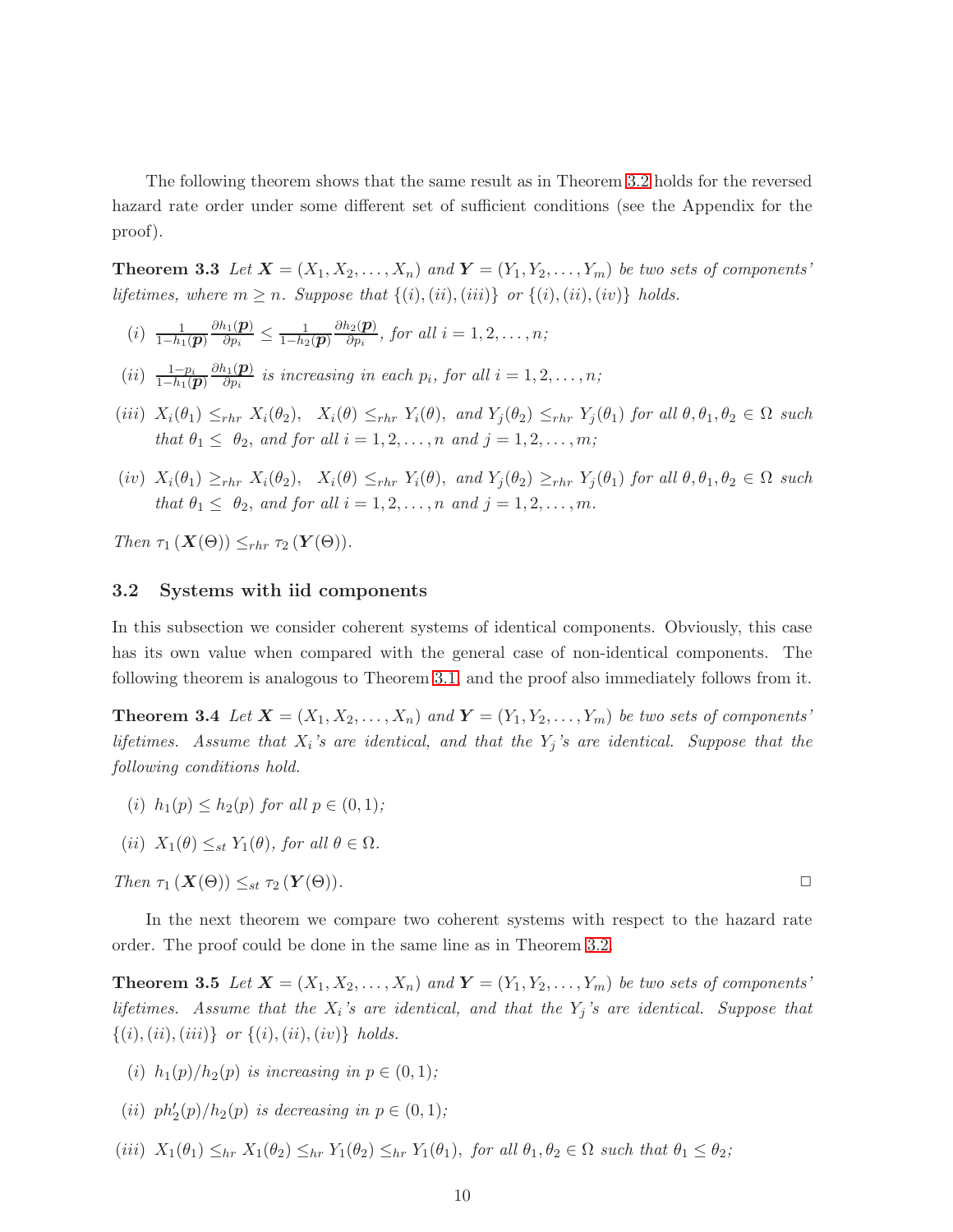<span id="page-9-1"></span>The following theorem shows that the same result as in Theorem [3.2](#page-8-1) holds for the reversed hazard rate order under some different set of sufficient conditions (see the Appendix for the proof).

**Theorem 3.3** Let  $X = (X_1, X_2, \ldots, X_n)$  and  $Y = (Y_1, Y_2, \ldots, Y_m)$  be two sets of components' *lifetimes, where*  $m \geq n$ *. Suppose that*  $\{(i), (ii), (iii)\}$  *or*  $\{(i), (ii), (iv)\}$  *holds.* 

- $(i) \frac{1}{1-h_1(\bm{p})}$  $\partial h_1(\boldsymbol{p})$  $\frac{h_1(\boldsymbol{p})}{\partial p_i} \leq \frac{1}{1-h_2(\boldsymbol{p})}$  $\partial h_2(\boldsymbol{p})$  $\frac{i2(\mathbf{p})}{\partial p_i}$ , for all  $i = 1, 2, \ldots, n;$
- $(ii) \frac{1-p_i}{1-h_1(\bm{p})}$  $\partial h_1(\boldsymbol{p})$  $\frac{\partial^2 I(\mathbf{P})}{\partial p_i}$  is increasing in each  $p_i$ , for all  $i = 1, 2, \ldots, n;$
- (iii)  $X_i(\theta_1) \leq_{rhr} X_i(\theta_2)$ ,  $X_i(\theta) \leq_{rhr} Y_i(\theta)$ , and  $Y_j(\theta_2) \leq_{rhr} Y_j(\theta_1)$  *for all*  $\theta, \theta_1, \theta_2 \in \Omega$  *such that*  $\theta_1 \leq \theta_2$ , *and for all*  $i = 1, 2, ..., n$  *and*  $j = 1, 2, ..., m$ *;*
- (iv)  $X_i(\theta_1) \geq_{rhr} X_i(\theta_2)$ ,  $X_i(\theta) \leq_{rhr} Y_i(\theta)$ , and  $Y_j(\theta_2) \geq_{rhr} Y_j(\theta_1)$  *for all*  $\theta, \theta_1, \theta_2 \in \Omega$  *such that*  $\theta_1 \leq \theta_2$ , and for all  $i = 1, 2, ..., n$  and  $j = 1, 2, ..., m$ .

*Then*  $\tau_1$  ( $\mathbf{X}(\Theta)$ )  $\leq_{rhr} \tau_2$  ( $\mathbf{Y}(\Theta)$ ).

#### 3.2 Systems with iid components

In this subsection we consider coherent systems of identical components. Obviously, this case has its own value when compared with the general case of non-identical components. The following theorem is analogous to Theorem [3.1,](#page-8-2) and the proof also immediately follows from it.

**Theorem 3.4** Let  $\mathbf{X} = (X_1, X_2, \ldots, X_n)$  and  $\mathbf{Y} = (Y_1, Y_2, \ldots, Y_m)$  be two sets of components' *lifetimes. Assume that* X<sup>i</sup> *'s are identical, and that the* Y<sup>j</sup> *'s are identical. Suppose that the following conditions hold.*

- (i)  $h_1(p) \leq h_2(p)$  *for all*  $p \in (0,1)$ *;*
- (*ii*)  $X_1(\theta) \leq_{st} Y_1(\theta)$ *, for all*  $\theta \in \Omega$ *.*

 $\Box$  *Then*  $\tau_1(X(\Theta)) \leq_{st} \tau_2(Y(\Theta)).$ 

In the next theorem we compare two coherent systems with respect to the hazard rate order. The proof could be done in the same line as in Theorem [3.2.](#page-8-1)

**Theorem 3.5** Let  $X = (X_1, X_2, \ldots, X_n)$  and  $Y = (Y_1, Y_2, \ldots, Y_m)$  be two sets of components' *lifetimes. Assume that the* X<sup>i</sup> *'s are identical, and that the* Y<sup>j</sup> *'s are identical. Suppose that*  $\{(i), (ii), (iii)\}$  *or*  $\{(i), (ii), (iv)\}$  *holds.* 

- (*i*)  $h_1(p)/h_2(p)$  *is increasing in*  $p \in (0,1)$ ;
- (*ii*)  $ph'_{2}(p)/h_{2}(p)$  *is decreasing in*  $p \in (0,1)$ *;*
- (iii)  $X_1(\theta_1) \leq_{hr} X_1(\theta_2) \leq_{hr} Y_1(\theta_2) \leq_{hr} Y_1(\theta_1)$ , *for all*  $\theta_1, \theta_2 \in \Omega$  *such that*  $\theta_1 \leq \theta_2$ *;*

<span id="page-9-2"></span><span id="page-9-0"></span>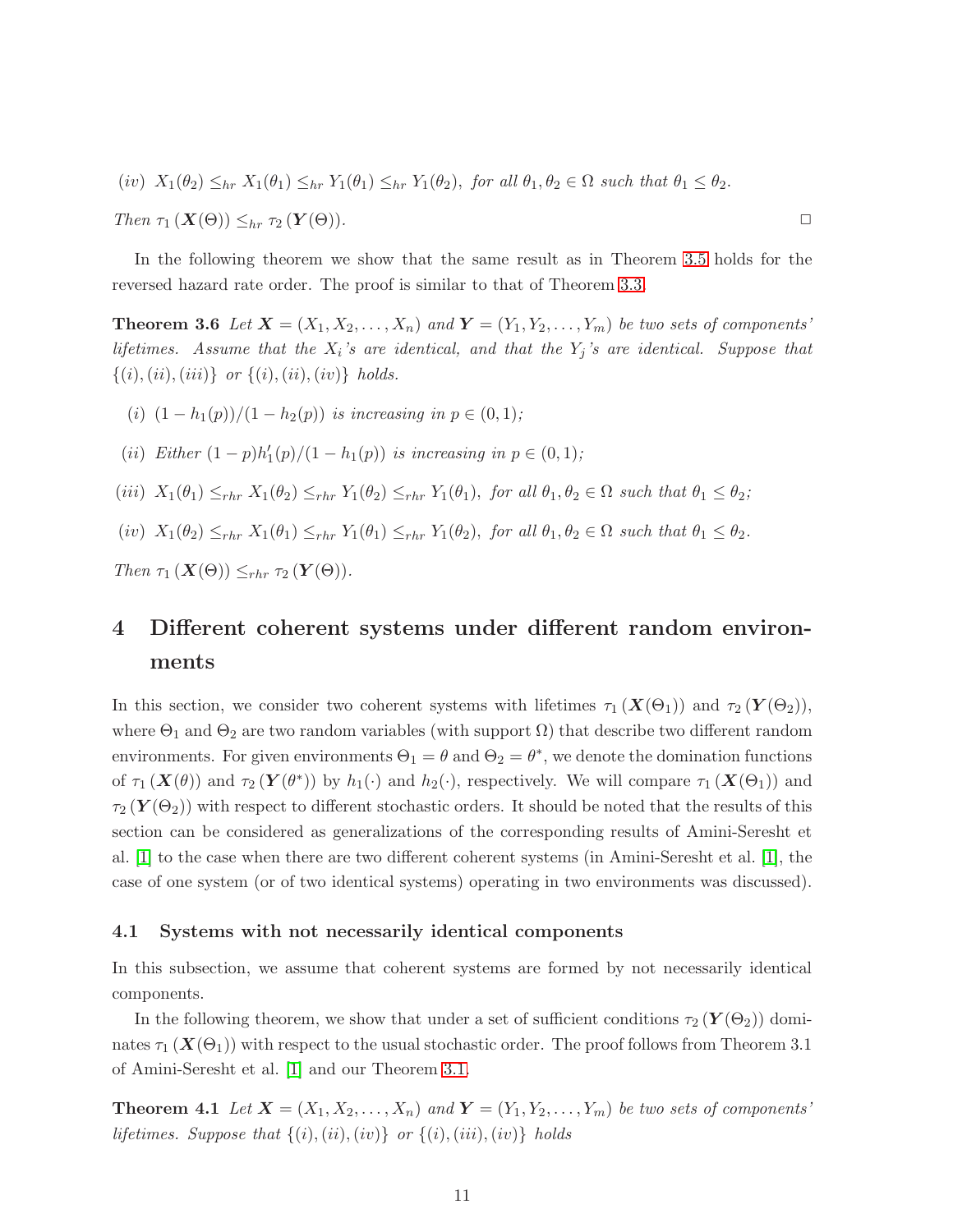$$
(iv) X_1(\theta_2) \leq_{hr} X_1(\theta_1) \leq_{hr} Y_1(\theta_1) \leq_{hr} Y_1(\theta_2), \text{ for all } \theta_1, \theta_2 \in \Omega \text{ such that } \theta_1 \leq \theta_2.
$$

 $\Box$  *Then*  $\tau_1(X(\Theta)) \leq_{hr} \tau_2(Y(\Theta)).$ 

<span id="page-10-2"></span>In the following theorem we show that the same result as in Theorem [3.5](#page-9-0) holds for the reversed hazard rate order. The proof is similar to that of Theorem [3.3.](#page-9-1)

**Theorem 3.6** Let  $X = (X_1, X_2, \ldots, X_n)$  and  $Y = (Y_1, Y_2, \ldots, Y_m)$  be two sets of components' *lifetimes. Assume that the* X<sup>i</sup> *'s are identical, and that the* Y<sup>j</sup> *'s are identical. Suppose that*  $\{(i), (ii), (iii)\}\ \ or\ \{(i), (ii), (iv)\}\ \ holds.$ 

- (i)  $(1 h_1(p))/(1 h_2(p))$  *is increasing in*  $p \in (0, 1)$ ;
- (*ii*) *Either*  $(1 p)h'_1(p)/(1 h_1(p))$  *is increasing in*  $p \in (0, 1)$ *;*
- (iii)  $X_1(\theta_1) \leq_{rhr} X_1(\theta_2) \leq_{rhr} Y_1(\theta_2) \leq_{rhr} Y_1(\theta_1)$ , *for all*  $\theta_1, \theta_2 \in \Omega$  *such that*  $\theta_1 \leq \theta_2$ *;*
- (iv)  $X_1(\theta_2) \leq_{rhr} X_1(\theta_1) \leq_{rhr} Y_1(\theta_1) \leq_{rhr} Y_1(\theta_2)$ , *for all*  $\theta_1, \theta_2 \in \Omega$  *such that*  $\theta_1 \leq \theta_2$ *.*

<span id="page-10-0"></span>*Then*  $\tau_1(X(\Theta)) \leq_{rhr} \tau_2(Y(\Theta)).$ 

## 4 Different coherent systems under different random environments

In this section, we consider two coherent systems with lifetimes  $\tau_1(X(\Theta_1))$  and  $\tau_2(Y(\Theta_2))$ , where  $\Theta_1$  and  $\Theta_2$  are two random variables (with support  $\Omega$ ) that describe two different random environments. For given environments  $\Theta_1 = \theta$  and  $\Theta_2 = \theta^*$ , we denote the domination functions of  $\tau_1(\mathbf{X}(\theta))$  and  $\tau_2(\mathbf{Y}(\theta^*))$  by  $h_1(\cdot)$  and  $h_2(\cdot)$ , respectively. We will compare  $\tau_1(\mathbf{X}(\Theta_1))$  and  $\tau_2(Y(\Theta_2))$  with respect to different stochastic orders. It should be noted that the results of this section can be considered as generalizations of the corresponding results of Amini-Seresht et al. [\[1\]](#page-21-4) to the case when there are two different coherent systems (in Amini-Seresht et al. [\[1\]](#page-21-4), the case of one system (or of two identical systems) operating in two environments was discussed).

#### 4.1 Systems with not necessarily identical components

In this subsection, we assume that coherent systems are formed by not necessarily identical components.

<span id="page-10-1"></span>In the following theorem, we show that under a set of sufficient conditions  $\tau_2(Y(\Theta_2))$  dominates  $\tau_1(X(\Theta_1))$  with respect to the usual stochastic order. The proof follows from Theorem 3.1 of Amini-Seresht et al. [\[1\]](#page-21-4) and our Theorem [3.1.](#page-8-2)

**Theorem 4.1** Let  $X = (X_1, X_2, \ldots, X_n)$  and  $Y = (Y_1, Y_2, \ldots, Y_m)$  be two sets of components' *lifetimes. Suppose that*  $\{(i), (ii), (iv)\}$  *or*  $\{(i), (iii), (iv)\}$  *holds*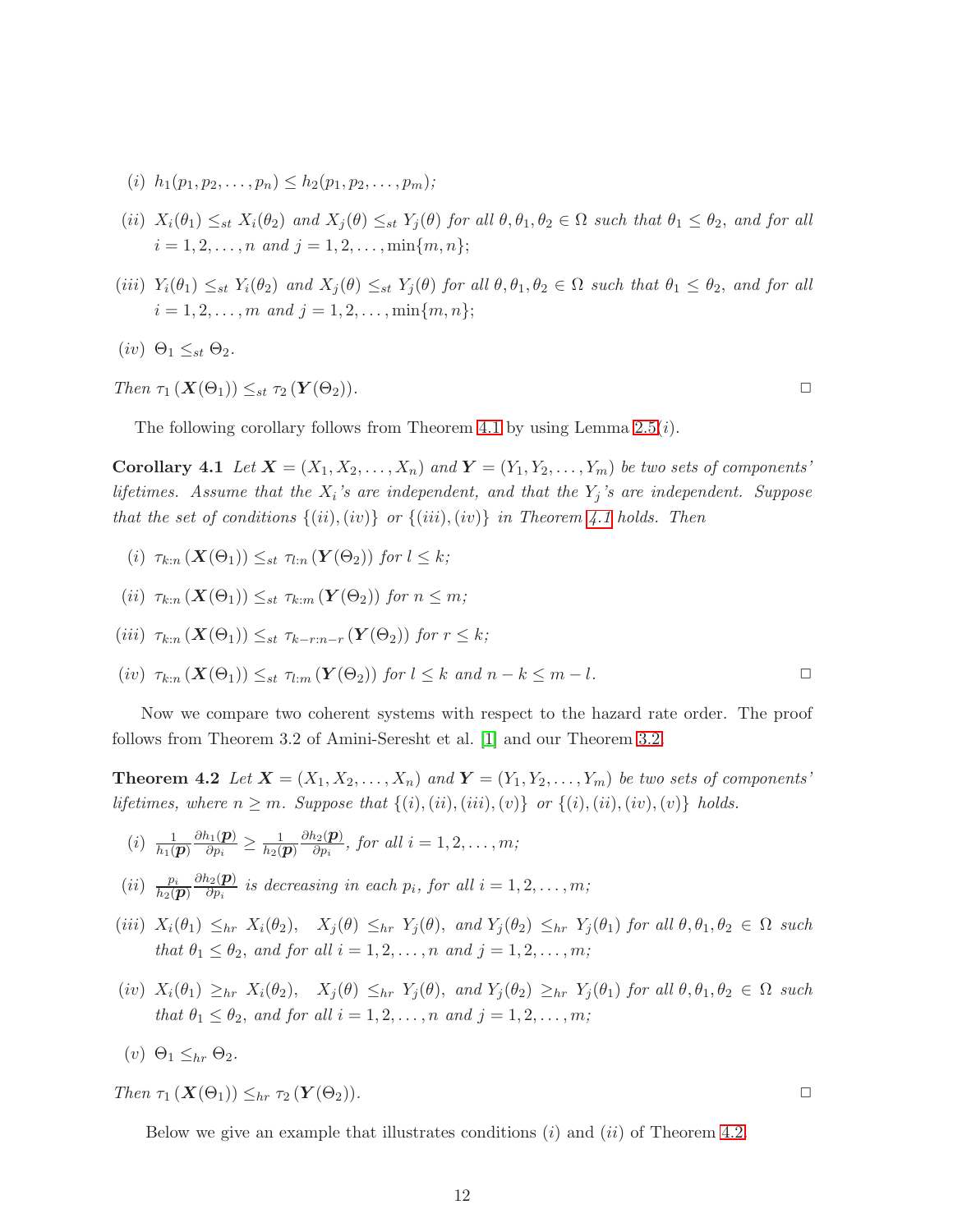- (i)  $h_1(p_1, p_2, \ldots, p_n) \leq h_2(p_1, p_2, \ldots, p_m);$
- (ii)  $X_i(\theta_1) \leq_{st} X_i(\theta_2)$  *and*  $X_j(\theta) \leq_{st} Y_j(\theta)$  *for all*  $\theta, \theta_1, \theta_2 \in \Omega$  *such that*  $\theta_1 \leq \theta_2$ *, and for all*  $i = 1, 2, \ldots, n$  and  $j = 1, 2, \ldots, \min\{m, n\};$
- (iii)  $Y_i(\theta_1) \leq_{st} Y_i(\theta_2)$  and  $X_j(\theta) \leq_{st} Y_j(\theta)$  for all  $\theta, \theta_1, \theta_2 \in \Omega$  such that  $\theta_1 \leq \theta_2$ , and for all  $i = 1, 2, \ldots, m$  and  $j = 1, 2, \ldots, \min\{m, n\};$
- (*iv*)  $\Theta_1 \leq_{st} \Theta_2$ *.*

Then 
$$
\tau_1(X(\Theta_1)) \leq_{st} \tau_2(Y(\Theta_2)).
$$

The following corollary follows from Theorem [4.1](#page-10-1) by using Lemma  $2.5(i)$ .

**Corollary 4.1** Let  $X = (X_1, X_2, \ldots, X_n)$  and  $Y = (Y_1, Y_2, \ldots, Y_m)$  be two sets of components' *lifetimes. Assume that the* X<sup>i</sup> *'s are independent, and that the* Y<sup>j</sup> *'s are independent. Suppose that the set of conditions*  $\{(ii), (iv)\}$  *or*  $\{(iii), (iv)\}$  *in Theorem [4.1](#page-10-1) holds. Then* 

- (i)  $\tau_{k:n}(\mathbf{X}(\Theta_1)) \leq_{st} \tau_{l:n}(\mathbf{Y}(\Theta_2))$  *for*  $l \leq k$ ;
- (ii)  $\tau_{k:n}(\mathbf{X}(\Theta_1)) \leq_{st} \tau_{k:m}(\mathbf{Y}(\Theta_2))$  *for*  $n \leq m$ ;

$$
(iii) \ \tau_{k:n}(\mathbf{X}(\Theta_1)) \leq_{st} \tau_{k-r:n-r}(\mathbf{Y}(\Theta_2)) \text{ for } r \leq k;
$$

 $(iv)$   $\tau_{k:n}(\mathbf{X}(\Theta_1)) \leq_{st} \tau_{l:m}(\mathbf{Y}(\Theta_2))$  *for*  $l \leq k$  *and*  $n-k \leq m-l$ .

Now we compare two coherent systems with respect to the hazard rate order. The proof follows from Theorem 3.2 of Amini-Seresht et al. [\[1\]](#page-21-4) and our Theorem [3.2.](#page-8-1)

**Theorem 4.2** Let  $X = (X_1, X_2, \ldots, X_n)$  and  $Y = (Y_1, Y_2, \ldots, Y_m)$  be two sets of components' *lifetimes, where*  $n \geq m$ *. Suppose that*  $\{(i), (ii), (ii), (v)\}$  *or*  $\{(i), (ii), (iv), (v)\}$  *holds.* 

- $(i) \frac{1}{h_1(\bm{p})}$  $\partial h_1(\boldsymbol{p})$  $\frac{h_1(\boldsymbol{p})}{\partial p_i} \geq \frac{1}{h_2(\boldsymbol{p})}$  $\partial h_2(\boldsymbol{p})$  $\frac{i_2(\mathbf{p})}{\partial p_i}$ , for all  $i = 1, 2, \ldots, m;$
- $(ii)$   $\frac{p_i}{h_2(\boldsymbol{p})}$  $\partial h_2(\boldsymbol{p})$  $\frac{\partial^2 \Omega(\mathbf{p})}{\partial p_i}$  is decreasing in each  $p_i$ , for all  $i = 1, 2, \ldots, m;$
- (iii)  $X_i(\theta_1) \leq_{hr} X_i(\theta_2)$ ,  $X_j(\theta) \leq_{hr} Y_j(\theta)$ , and  $Y_j(\theta_2) \leq_{hr} Y_j(\theta_1)$  for all  $\theta, \theta_1, \theta_2 \in \Omega$  such *that*  $\theta_1 \leq \theta_2$ *, and for all*  $i = 1, 2, ..., n$  *and*  $j = 1, 2, ..., m$ *;*
- $(iv)$   $X_i(\theta_1) \geq_{hr} X_i(\theta_2)$ ,  $X_j(\theta) \leq_{hr} Y_j(\theta)$ , and  $Y_j(\theta_2) \geq_{hr} Y_j(\theta_1)$  for all  $\theta, \theta_1, \theta_2 \in \Omega$  such *that*  $\theta_1 \leq \theta_2$ *, and for all*  $i = 1, 2, ..., n$  *and*  $j = 1, 2, ..., m$ *;*
- (v)  $\Theta_1 \leq_{hr} \Theta_2$

 $\Box$  *Then*  $\tau_1(X(\Theta_1)) \leq_{hr} \tau_2(Y(\Theta_2)).$ 

Below we give an example that illustrates conditions  $(i)$  and  $(ii)$  of Theorem [4.2.](#page-11-0)

<span id="page-11-0"></span>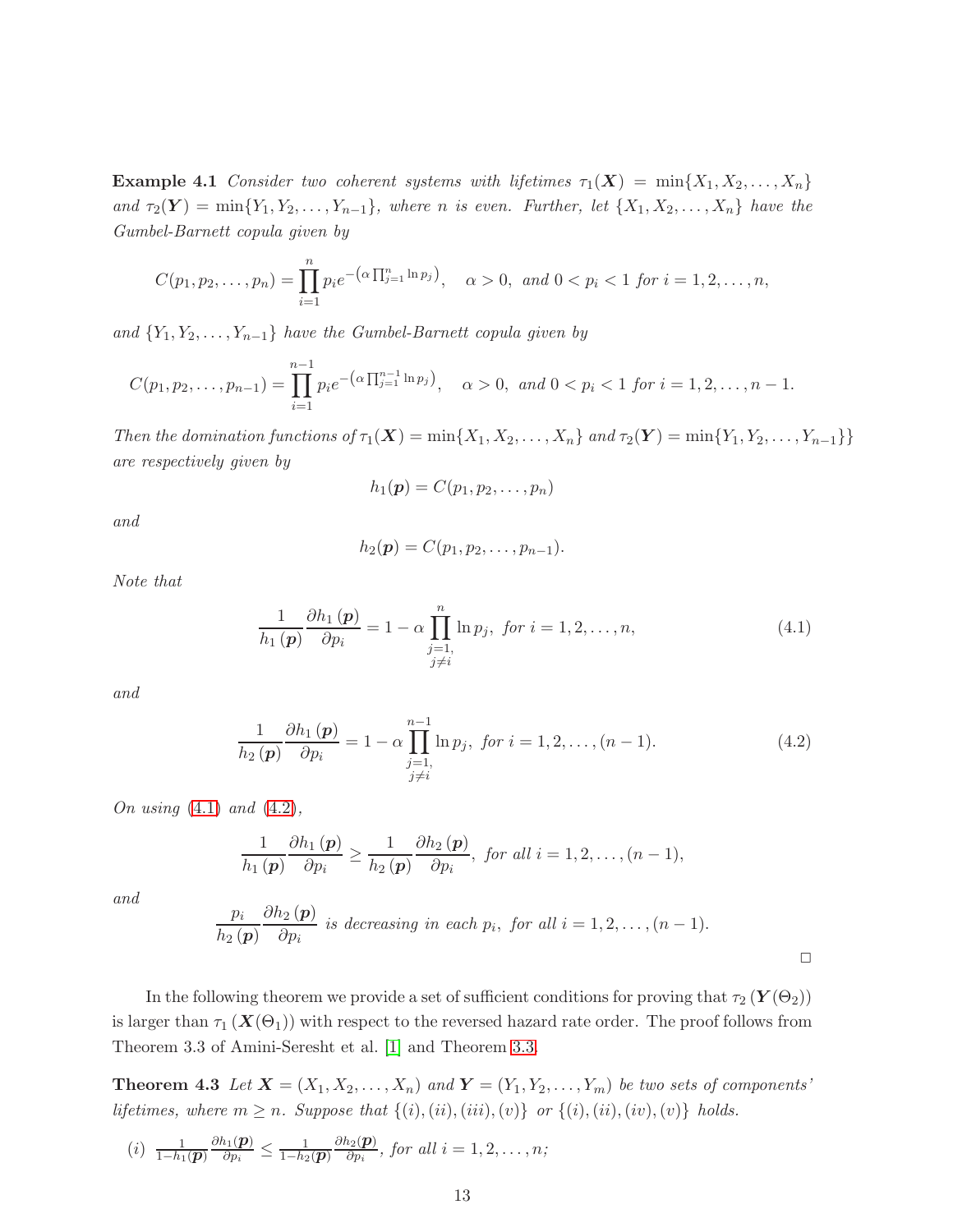**Example 4.1** *Consider two coherent systems with lifetimes*  $\tau_1(\boldsymbol{X}) = \min\{X_1, X_2, \ldots, X_n\}$ *and*  $\tau_2(Y) = \min\{Y_1, Y_2, \ldots, Y_{n-1}\}$ *, where n is even. Further, let*  $\{X_1, X_2, \ldots, X_n\}$  *have the Gumbel-Barnett copula given by*

$$
C(p_1, p_2, \ldots, p_n) = \prod_{i=1}^n p_i e^{-\left(\alpha \prod_{j=1}^n \ln p_j\right)}, \quad \alpha > 0, \text{ and } 0 < p_i < 1 \text{ for } i = 1, 2, \ldots, n,
$$

and  ${Y_1, Y_2, \ldots, Y_{n-1}}$  *have the Gumbel-Barnett copula given by* 

$$
C(p_1, p_2, \dots, p_{n-1}) = \prod_{i=1}^{n-1} p_i e^{-\left(\alpha \prod_{j=1}^{n-1} \ln p_j\right)}, \quad \alpha > 0, \text{ and } 0 < p_i < 1 \text{ for } i = 1, 2, \dots, n-1.
$$

*Then the domination functions of*  $\tau_1(\mathbf{X}) = \min\{X_1, X_2, \ldots, X_n\}$  *and*  $\tau_2(\mathbf{Y}) = \min\{Y_1, Y_2, \ldots, Y_{n-1}\}\$ *are respectively given by*

$$
h_1(\boldsymbol{p})=C(p_1,p_2,\ldots,p_n)
$$

*and*

$$
h_2(\boldsymbol{p})=C(p_1,p_2,\ldots,p_{n-1}).
$$

*Note that*

<span id="page-12-0"></span>
$$
\frac{1}{h_1(p)} \frac{\partial h_1(p)}{\partial p_i} = 1 - \alpha \prod_{\substack{j=1, \\ j \neq i}}^n \ln p_j, \text{ for } i = 1, 2, \dots, n,
$$
\n(4.1)

*and*

<span id="page-12-1"></span>
$$
\frac{1}{h_2(p)} \frac{\partial h_1(p)}{\partial p_i} = 1 - \alpha \prod_{\substack{j=1, \\ j \neq i}}^{n-1} \ln p_j, \text{ for } i = 1, 2, \dots, (n-1). \tag{4.2}
$$

*On using* [\(4.1\)](#page-12-0) *and* [\(4.2\)](#page-12-1)*,*

$$
\frac{1}{h_1(p)}\frac{\partial h_1(p)}{\partial p_i}\geq \frac{1}{h_2(p)}\frac{\partial h_2(p)}{\partial p_i},\ \text{for all } i=1,2,\ldots,(n-1),
$$

*and*

$$
\frac{p_i}{h_2(\mathbf{p})} \frac{\partial h_2(\mathbf{p})}{\partial p_i}
$$
 is decreasing in each  $p_i$ , for all  $i = 1, 2, ..., (n-1)$ .

In the following theorem we provide a set of sufficient conditions for proving that  $\tau_2(Y(\Theta_2))$ is larger than  $\tau_1$  ( $\mathbf{X}(\Theta_1)$ ) with respect to the reversed hazard rate order. The proof follows from Theorem 3.3 of Amini-Seresht et al. [\[1\]](#page-21-4) and Theorem [3.3.](#page-9-1)

**Theorem 4.3** Let  $X = (X_1, X_2, \ldots, X_n)$  and  $Y = (Y_1, Y_2, \ldots, Y_m)$  be two sets of components' *lifetimes, where*  $m \geq n$ *. Suppose that*  $\{(i), (ii), (iii), (v)\}$  *or*  $\{(i), (ii), (iv), (v)\}$  *holds.* 

$$
(i) \ \frac{1}{1-h_1(\boldsymbol{p})}\frac{\partial h_1(\boldsymbol{p})}{\partial p_i} \leq \frac{1}{1-h_2(\boldsymbol{p})}\frac{\partial h_2(\boldsymbol{p})}{\partial p_i}, \text{ for all } i=1,2,\ldots,n;
$$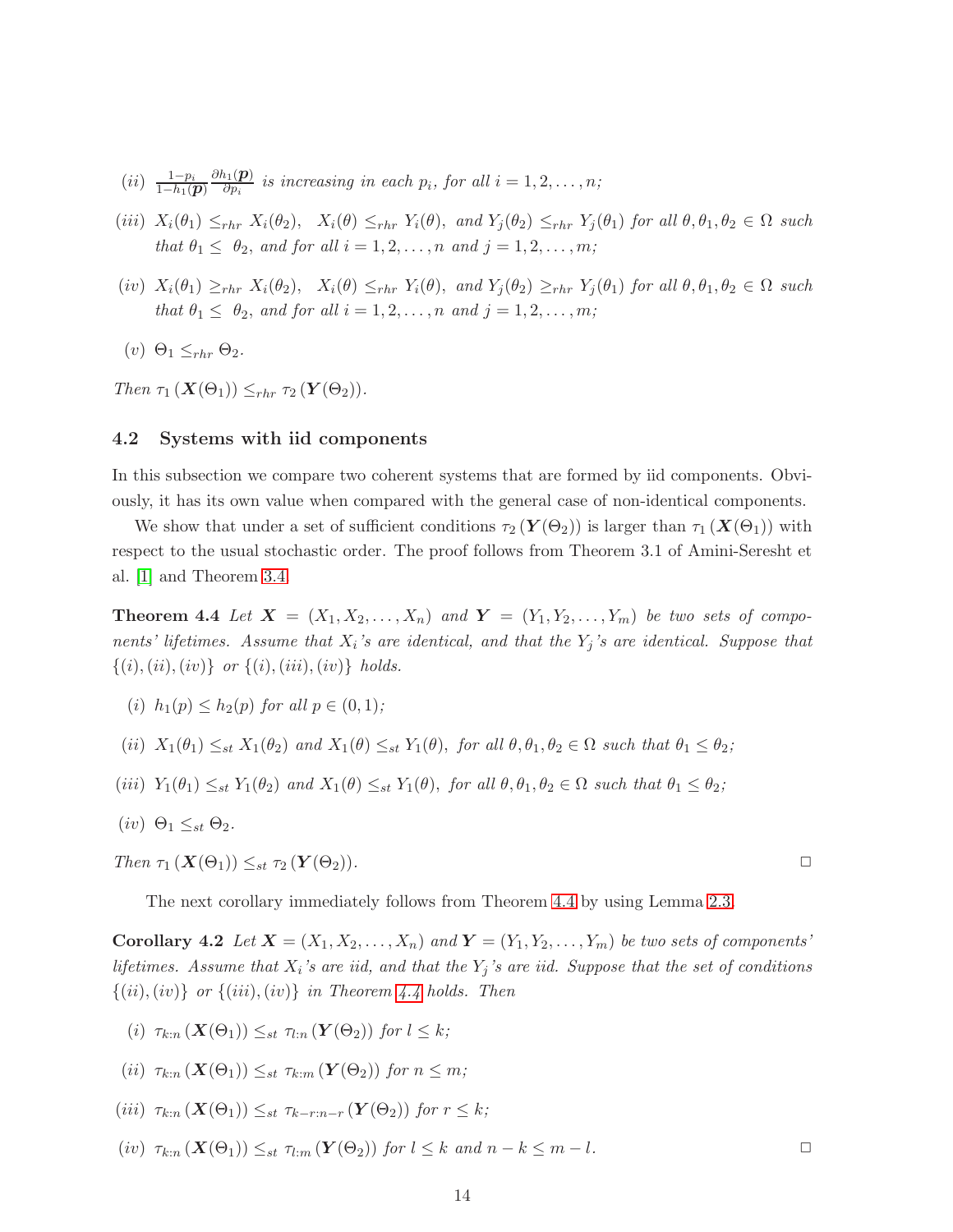- $(ii) \frac{1-p_i}{1-h_1(\pmb{p})}$  $\partial h_1(\boldsymbol{p})$  $\frac{\partial f_1(\mathbf{p})}{\partial p_i}$  is increasing in each  $p_i$ , for all  $i = 1, 2, \ldots, n;$
- (iii)  $X_i(\theta_1) \leq_{rhr} X_i(\theta_2)$ ,  $X_i(\theta) \leq_{rhr} Y_i(\theta)$ , and  $Y_j(\theta_2) \leq_{rhr} Y_j(\theta_1)$  for all  $\theta, \theta_1, \theta_2 \in \Omega$  such *that*  $\theta_1 \leq \theta_2$ , *and for all*  $i = 1, 2, ..., n$  *and*  $j = 1, 2, ..., m$ ;
- (iv)  $X_i(\theta_1) \geq_{rhr} X_i(\theta_2)$ ,  $X_i(\theta) \leq_{rhr} Y_i(\theta)$ , and  $Y_j(\theta_2) \geq_{rhr} Y_j(\theta_1)$  *for all*  $\theta, \theta_1, \theta_2 \in \Omega$  *such that*  $\theta_1 \leq \theta_2$ , *and for all*  $i = 1, 2, ..., n$  *and*  $j = 1, 2, ..., m$ ;
- (v)  $\Theta_1 \leq_{rhr} \Theta_2$ .

*Then*  $\tau_1$  ( $\mathbf{X}(\Theta_1)$ )  $\leq_{rhr} \tau_2$  ( $\mathbf{Y}(\Theta_2)$ ).

#### 4.2 Systems with iid components

In this subsection we compare two coherent systems that are formed by iid components. Obviously, it has its own value when compared with the general case of non-identical components.

We show that under a set of sufficient conditions  $\tau_2(\mathbf{Y}(\Theta_2))$  is larger than  $\tau_1(\mathbf{X}(\Theta_1))$  with respect to the usual stochastic order. The proof follows from Theorem 3.1 of Amini-Seresht et al. [\[1\]](#page-21-4) and Theorem [3.4.](#page-9-2)

<span id="page-13-0"></span>**Theorem 4.4** Let  $X = (X_1, X_2, \ldots, X_n)$  and  $Y = (Y_1, Y_2, \ldots, Y_m)$  be two sets of compo*nents' lifetimes. Assume that* X<sup>i</sup> *'s are identical, and that the* Y<sup>j</sup> *'s are identical. Suppose that*  $\{(i), (ii), (iv)\}\ \text{or}\ \{(i), (iii), (iv)\}\ \text{holds.}$ 

- (i)  $h_1(p) \leq h_2(p)$  *for all*  $p \in (0, 1)$ *;*
- (ii)  $X_1(\theta_1) \leq_{st} X_1(\theta_2)$  *and*  $X_1(\theta) \leq_{st} Y_1(\theta)$ , *for all*  $\theta, \theta_1, \theta_2 \in \Omega$  *such that*  $\theta_1 \leq \theta_2$ ;
- (iii)  $Y_1(\theta_1) \leq_{st} Y_1(\theta_2)$  *and*  $X_1(\theta) \leq_{st} Y_1(\theta)$ , *for all*  $\theta, \theta_1, \theta_2 \in \Omega$  *such that*  $\theta_1 \leq \theta_2$ *;*
- (*iv*)  $\Theta_1 \leq_{st} \Theta_2$ *.*

*Then* τ<sup>1</sup> (X(Θ1)) ≤st τ<sup>2</sup> (Y (Θ2))*.* ✷

The next corollary immediately follows from Theorem [4.4](#page-13-0) by using Lemma [2.3.](#page-6-2)

**Corollary 4.2** Let  $X = (X_1, X_2, \ldots, X_n)$  and  $Y = (Y_1, Y_2, \ldots, Y_m)$  be two sets of components' *lifetimes. Assume that* X<sup>i</sup> *'s are iid, and that the* Y<sup>j</sup> *'s are iid. Suppose that the set of conditions*  $\{(ii), (iv)\}\$  *or*  $\{(iii), (iv)\}\$  *in Theorem [4.4](#page-13-0) holds. Then* 

- (i)  $\tau_{k:n}(\mathbf{X}(\Theta_1)) \leq_{st} \tau_{l:n}(\mathbf{Y}(\Theta_2))$  *for*  $l \leq k$ ;
- (ii)  $\tau_{k:n} (\mathbf{X}(\Theta_1)) \leq_{st} \tau_{k:m} (\mathbf{Y}(\Theta_2))$  *for*  $n \leq m$ ;
- (iii)  $\tau_{k:n}(\mathbf{X}(\Theta_1)) \leq_{st} \tau_{k-r:n-r}(\mathbf{Y}(\Theta_2))$  for  $r \leq k$ ;
- $(iv)$   $\tau_{k:n}(X(\Theta_1)) \leq_{st} \tau_{l:n}(Y(\Theta_2))$  *for*  $l \leq k$  *and*  $n-k \leq m-l$ .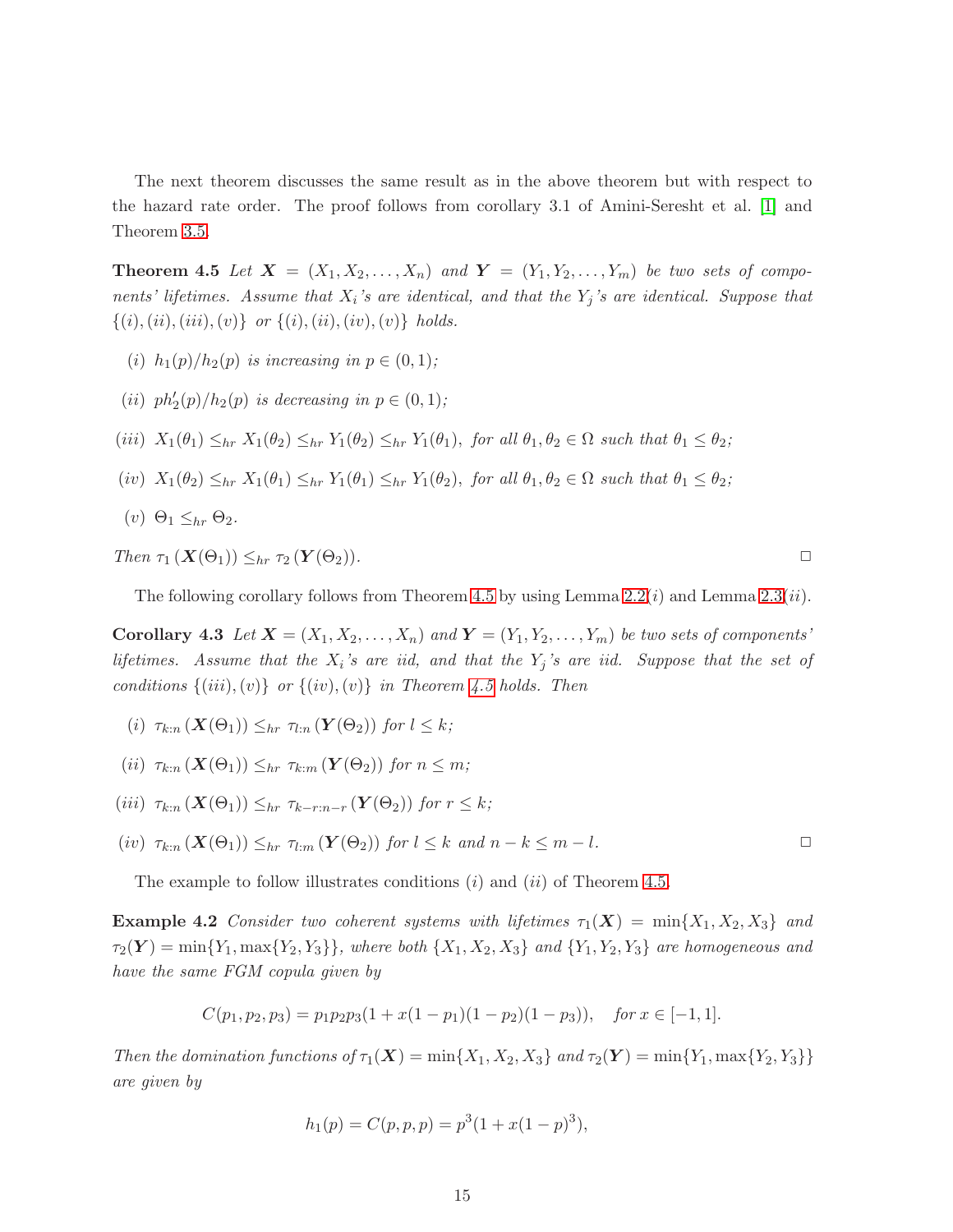<span id="page-14-0"></span>The next theorem discusses the same result as in the above theorem but with respect to the hazard rate order. The proof follows from corollary 3.1 of Amini-Seresht et al. [\[1\]](#page-21-4) and Theorem [3.5.](#page-9-0)

**Theorem 4.5** Let  $X = (X_1, X_2, \ldots, X_n)$  and  $Y = (Y_1, Y_2, \ldots, Y_m)$  be two sets of compo*nents' lifetimes. Assume that* X<sup>i</sup> *'s are identical, and that the* Y<sup>j</sup> *'s are identical. Suppose that*  $\{(i), (ii), (iii), (v)\}\ \text{or}\ \{(i), (ii), (iv), (v)\}\ \text{holds.}$ 

- (*i*)  $h_1(p)/h_2(p)$  *is increasing in*  $p \in (0,1)$ ;
- (*ii*)  $ph'_{2}(p)/h_{2}(p)$  *is decreasing in*  $p \in (0,1)$ *;*
- (iii)  $X_1(\theta_1) \leq_{hr} X_1(\theta_2) \leq_{hr} Y_1(\theta_2) \leq_{hr} Y_1(\theta_1)$ , *for all*  $\theta_1, \theta_2 \in \Omega$  *such that*  $\theta_1 \leq \theta_2$ *;*
- (iv)  $X_1(\theta_2) \leq_{hr} X_1(\theta_1) \leq_{hr} Y_1(\theta_1) \leq_{hr} Y_1(\theta_2)$ , *for all*  $\theta_1, \theta_2 \in \Omega$  *such that*  $\theta_1 \leq \theta_2$ *;*
- (v)  $\Theta_1 \leq_{hr} \Theta_2$ .

 $\Box$  *Then*  $\tau_1 (\mathbf{X}(\Theta_1)) \leq_{hr} \tau_2 (\mathbf{Y}(\Theta_2)).$ 

The following corollary follows from Theorem [4.5](#page-14-0) by using Lemma  $2.2(i)$  and Lemma  $2.3(ii)$ .

Corollary 4.3 Let  $X = (X_1, X_2, \ldots, X_n)$  and  $Y = (Y_1, Y_2, \ldots, Y_m)$  be two sets of components' *lifetimes. Assume that the* X<sup>i</sup> *'s are iid, and that the* Y<sup>j</sup> *'s are iid. Suppose that the set of conditions*  $\{(iii), (v)\}$  *or*  $\{(iv), (v)\}$  *in Theorem [4.5](#page-14-0) holds. Then* 

- (i)  $\tau_{k:n}(\mathbf{X}(\Theta_1)) \leq_{hr} \tau_{l:n}(\mathbf{Y}(\Theta_2))$  *for*  $l \leq k$ ;
- (ii)  $\tau_{k:n} (\mathbf{X}(\Theta_1)) \leq_{hr} \tau_{k:n} (\mathbf{Y}(\Theta_2))$  *for*  $n \leq m$ ;
- (iii)  $\tau_{k:n}(\mathbf{X}(\Theta_1)) \leq_{hr} \tau_{k-r:n-r}(\mathbf{Y}(\Theta_2))$  for  $r \leq k$ ;
- $(iv)$   $\tau_{k:n}(X(\Theta_1)) \leq_{hr} \tau_{l:m}(Y(\Theta_2))$  *for*  $l \leq k$  *and*  $n-k \leq m-l$ .

The example to follow illustrates conditions  $(i)$  and  $(ii)$  of Theorem [4.5.](#page-14-0)

**Example 4.2** *Consider two coherent systems with lifetimes*  $\tau_1(X) = \min\{X_1, X_2, X_3\}$  *and*  $\tau_2(Y) = \min\{Y_1, \max\{Y_2, Y_3\}\}\$ , where both  $\{X_1, X_2, X_3\}$  and  $\{Y_1, Y_2, Y_3\}$  are homogeneous and *have the same FGM copula given by*

$$
C(p_1, p_2, p_3) = p_1 p_2 p_3 (1 + x(1 - p_1)(1 - p_2)(1 - p_3)), \quad \text{for } x \in [-1, 1].
$$

*Then the domination functions of*  $\tau_1(\mathbf{X}) = \min\{X_1, X_2, X_3\}$  *and*  $\tau_2(\mathbf{Y}) = \min\{Y_1, \max\{Y_2, Y_3\}\}$ *are given by*

$$
h_1(p) = C(p, p, p) = p^3(1 + x(1 - p)^3),
$$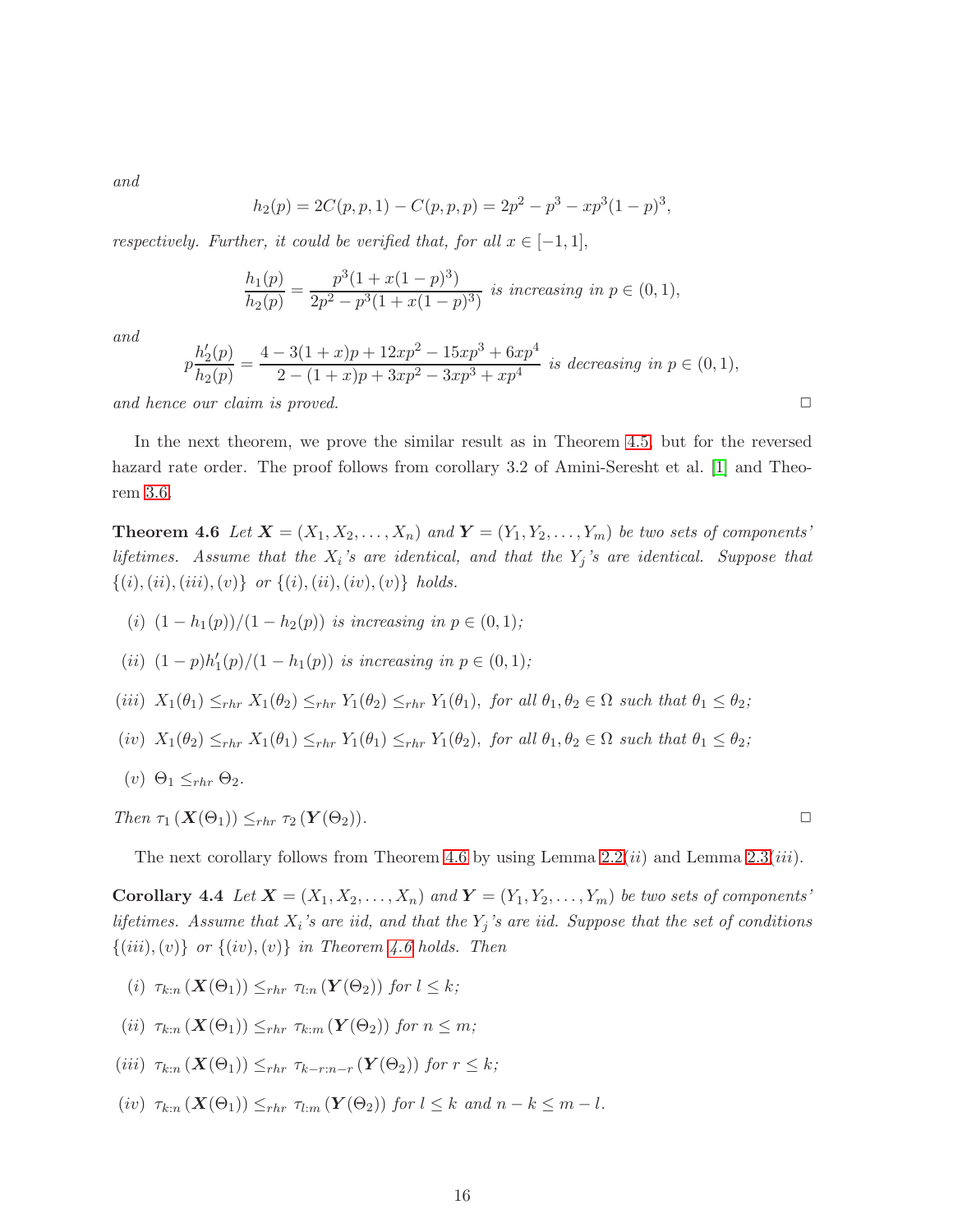*and*

$$
h_2(p) = 2C(p, p, 1) - C(p, p, p) = 2p^2 - p^3 - xp^3(1-p)^3,
$$

*respectively. Further, it could be verified that, for all*  $x \in [-1,1]$ ,

$$
\frac{h_1(p)}{h_2(p)} = \frac{p^3(1+x(1-p)^3)}{2p^2 - p^3(1+x(1-p)^3)}
$$
 is increasing in  $p \in (0,1)$ ,

*and*

$$
p\frac{h'_2(p)}{h_2(p)} = \frac{4 - 3(1+x)p + 12xp^2 - 15xp^3 + 6xp^4}{2 - (1+x)p + 3xp^2 - 3xp^3 + xp^4}
$$
 is decreasing in  $p \in (0,1)$ ,

and hence our claim is proved.  $\square$ 

<span id="page-15-0"></span>In the next theorem, we prove the similar result as in Theorem [4.5,](#page-14-0) but for the reversed hazard rate order. The proof follows from corollary 3.2 of Amini-Seresht et al. [\[1\]](#page-21-4) and Theorem [3.6.](#page-10-2)

**Theorem 4.6** Let  $X = (X_1, X_2, \ldots, X_n)$  and  $Y = (Y_1, Y_2, \ldots, Y_m)$  be two sets of components' *lifetimes.* Assume that the  $X_i$ 's are identical, and that the  $Y_j$ 's are identical. Suppose that  $\{(i), (ii), (iii), (v)\}\$  *or*  $\{(i), (ii), (iv), (v)\}\$  *holds.* 

- (i)  $(1 h_1(p))/(1 h_2(p))$  *is increasing in*  $p \in (0, 1)$ *;* (*ii*)  $(1-p)h'_1(p)/(1-h_1(p))$  *is increasing in*  $p \in (0,1)$ *;*
- (iii)  $X_1(\theta_1) \leq_{rhr} X_1(\theta_2) \leq_{rhr} Y_1(\theta_2) \leq_{rhr} Y_1(\theta_1)$ , *for all*  $\theta_1, \theta_2 \in \Omega$  *such that*  $\theta_1 \leq \theta_2$ *;*

$$
(iv) X_1(\theta_2) \leq_{rhr} X_1(\theta_1) \leq_{rhr} Y_1(\theta_1) \leq_{rhr} Y_1(\theta_2), \text{ for all } \theta_1, \theta_2 \in \Omega \text{ such that } \theta_1 \leq \theta_2;
$$

(*v*)  $\Theta_1 \leq_{rhr} \Theta_2$ .

*Then* τ<sup>1</sup> (X(Θ1)) ≤rhr τ<sup>2</sup> (Y (Θ2))*.* ✷

The next corollary follows from Theorem [4.6](#page-15-0) by using Lemma  $2.2(ii)$  and Lemma  $2.3(iii)$ .

Corollary 4.4 Let  $X = (X_1, X_2, \ldots, X_n)$  and  $Y = (Y_1, Y_2, \ldots, Y_m)$  be two sets of components' *lifetimes. Assume that* X<sup>i</sup> *'s are iid, and that the* Y<sup>j</sup> *'s are iid. Suppose that the set of conditions*  $\{(iii), (v)\}\$  *or*  $\{(iv), (v)\}\$ *in Theorem [4.6](#page-15-0) holds. Then* 

- (i)  $\tau_{k:n}(\mathbf{X}(\Theta_1)) \leq_{rhr} \tau_{l:n}(\mathbf{Y}(\Theta_2))$  *for*  $l \leq k$ ;
- (ii)  $\tau_{k:n}(\mathbf{X}(\Theta_1)) \leq_{rhr} \tau_{k:n}(\mathbf{Y}(\Theta_2))$  *for*  $n \leq m$ ;
- (iii)  $\tau_{k:n}(\mathbf{X}(\Theta_1)) \leq_{rhr} \tau_{k-r:n-r}(\mathbf{Y}(\Theta_2))$  for  $r \leq k$ ;
- (iv)  $\tau_{k:n}(\mathbf{X}(\Theta_1)) \leq_{rhr} \tau_{l:m}(\mathbf{Y}(\Theta_2))$  *for*  $l \leq k$  *and*  $n k \leq m l$ *.*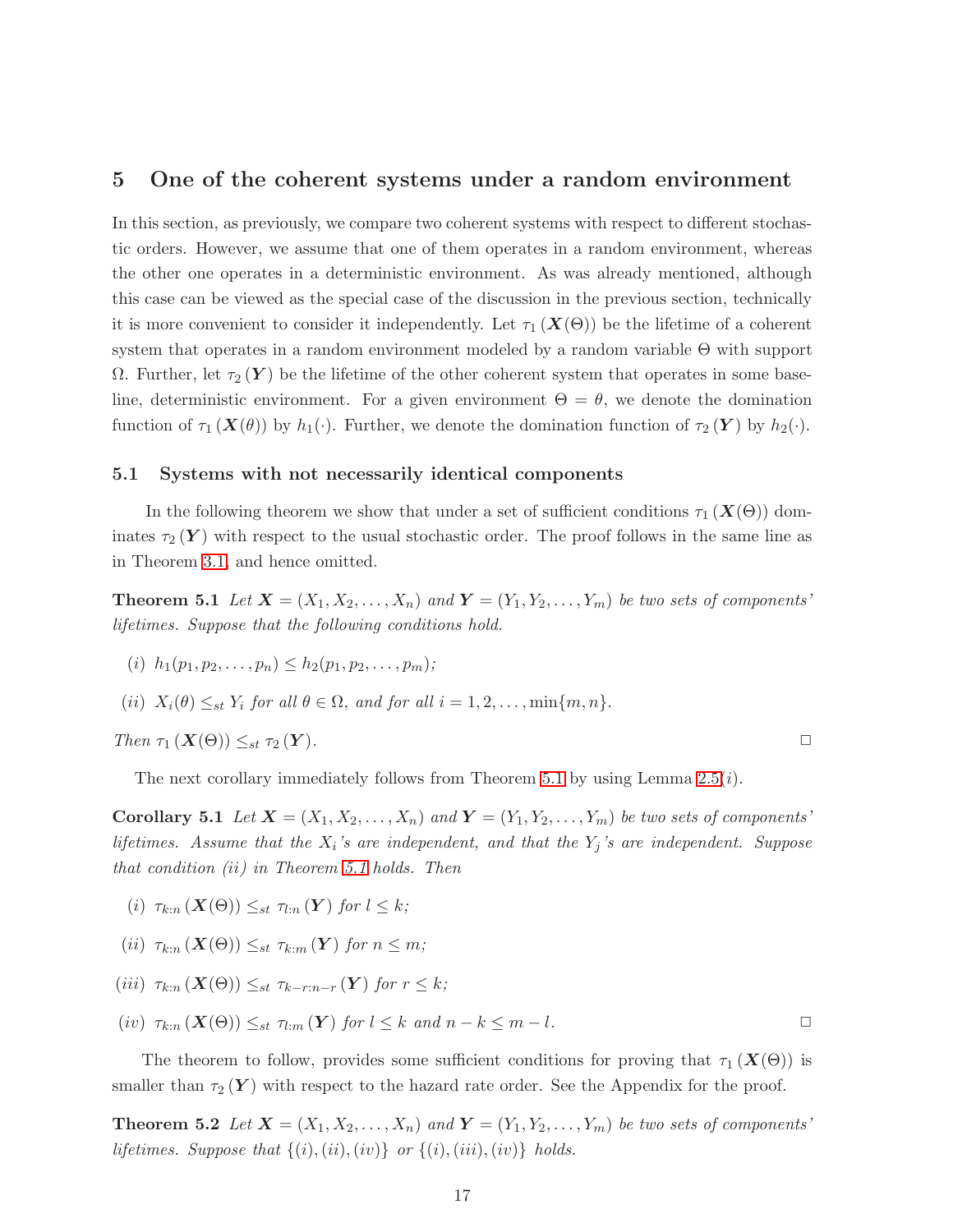### <span id="page-16-0"></span>5 One of the coherent systems under a random environment

In this section, as previously, we compare two coherent systems with respect to different stochastic orders. However, we assume that one of them operates in a random environment, whereas the other one operates in a deterministic environment. As was already mentioned, although this case can be viewed as the special case of the discussion in the previous section, technically it is more convenient to consider it independently. Let  $\tau_1(X(\Theta))$  be the lifetime of a coherent system that operates in a random environment modeled by a random variable Θ with support  $Ω.$  Further, let  $τ_2(Y)$  be the lifetime of the other coherent system that operates in some baseline, deterministic environment. For a given environment  $\Theta = \theta$ , we denote the domination function of  $\tau_1(\mathbf{X}(\theta))$  by  $h_1(\cdot)$ . Further, we denote the domination function of  $\tau_2(\mathbf{Y})$  by  $h_2(\cdot)$ .

#### <span id="page-16-3"></span>5.1 Systems with not necessarily identical components

In the following theorem we show that under a set of sufficient conditions  $\tau_1(X(\Theta))$  dominates  $\tau_2(Y)$  with respect to the usual stochastic order. The proof follows in the same line as in Theorem [3.1,](#page-8-2) and hence omitted.

<span id="page-16-1"></span>**Theorem 5.1** Let  $X = (X_1, X_2, \ldots, X_n)$  and  $Y = (Y_1, Y_2, \ldots, Y_m)$  be two sets of components' *lifetimes. Suppose that the following conditions hold.*

$$
(i) h_1(p_1, p_2, \ldots, p_n) \leq h_2(p_1, p_2, \ldots, p_m);
$$

(*ii*)  $X_i(\theta) \leq_{st} Y_i$  for all  $\theta \in \Omega$ , and for all  $i = 1, 2, \ldots, \min\{m, n\}.$ 

*Then* τ<sup>1</sup> (X(Θ)) ≤st τ<sup>2</sup> (Y )*.* ✷

The next corollary immediately follows from Theorem [5.1](#page-16-1) by using Lemma  $2.5(i)$ .

**Corollary 5.1** Let  $X = (X_1, X_2, \ldots, X_n)$  and  $Y = (Y_1, Y_2, \ldots, Y_m)$  be two sets of components' *lifetimes. Assume that the* X<sup>i</sup> *'s are independent, and that the* Y<sup>j</sup> *'s are independent. Suppose that condition (*ii*) in Theorem [5.1](#page-16-1) holds. Then*

- (i)  $\tau_{k:n}(\mathbf{X}(\Theta)) \leq_{st} \tau_{l:n}(\mathbf{Y})$  for  $l \leq k$ ;
- (ii)  $\tau_{k:n}(\mathbf{X}(\Theta)) \leq_{st} \tau_{k:n}(\mathbf{Y})$  for  $n \leq m$ ;
- (iii)  $\tau_{k:n}(\mathbf{X}(\Theta)) \leq_{st} \tau_{k-r:n-r}(\mathbf{Y})$  for  $r \leq k$ ;

$$
(iv) \ \tau_{k:n}(\mathbf{X}(\Theta)) \leq_{st} \tau_{l:m}(\mathbf{Y}) \text{ for } l \leq k \text{ and } n-k \leq m-l.
$$

The theorem to follow, provides some sufficient conditions for proving that  $\tau_1(X(\Theta))$  is smaller than  $\tau_2(Y)$  with respect to the hazard rate order. See the Appendix for the proof.

**Theorem 5.2** Let  $X = (X_1, X_2, \ldots, X_n)$  and  $Y = (Y_1, Y_2, \ldots, Y_m)$  be two sets of components' *lifetimes. Suppose that*  $\{(i),(ii),(iv)\}$  *or*  $\{(i),(iii),(iv)\}$  *holds.* 

<span id="page-16-2"></span>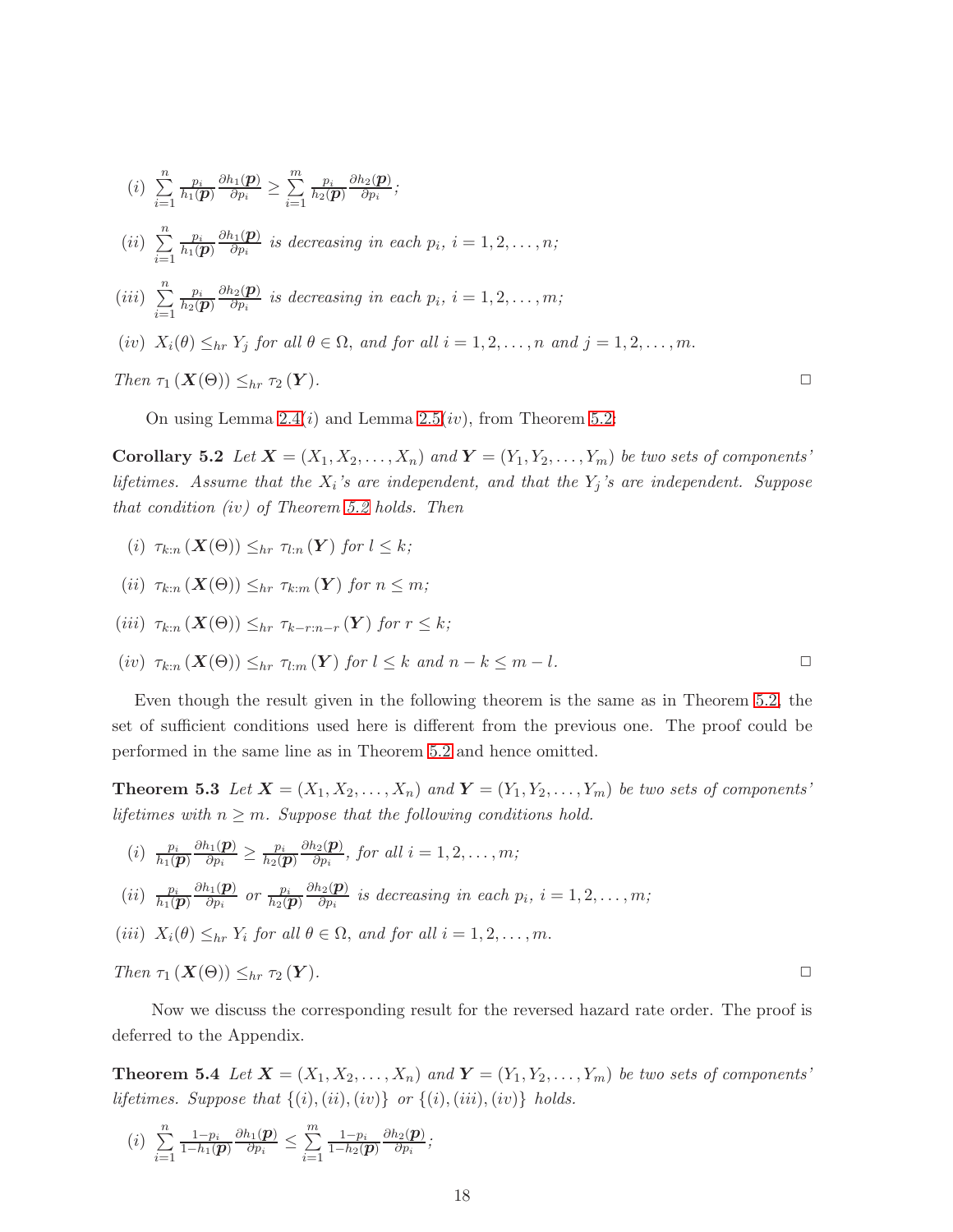(i) 
$$
\sum_{i=1}^{n} \frac{p_i}{h_1(\boldsymbol{p})} \frac{\partial h_1(\boldsymbol{p})}{\partial p_i} \ge \sum_{i=1}^{m} \frac{p_i}{h_2(\boldsymbol{p})} \frac{\partial h_2(\boldsymbol{p})}{\partial p_i};
$$
  
\n(ii) 
$$
\sum_{i=1}^{n} \frac{p_i}{h_1(\boldsymbol{p})} \frac{\partial h_1(\boldsymbol{p})}{\partial p_i} \text{ is decreasing in each } p_i, i = 1, 2, ..., n;
$$
  
\n(iii) 
$$
\sum_{i=1}^{n} \frac{p_i}{h_2(\boldsymbol{p})} \frac{\partial h_2(\boldsymbol{p})}{\partial p_i} \text{ is decreasing in each } p_i, i = 1, 2, ..., m;
$$
  
\n(iv) 
$$
X_i(\theta) \le_{hr} Y_j \text{ for all } \theta \in \Omega, \text{ and for all } i = 1, 2, ..., n \text{ and } j = 1, 2, ..., m.
$$
  
\nThen  $\tau_1(X(\Theta)) \le_{hr} \tau_2(Y)$ .

On using Lemma 2.4 $(i)$  and Lemma 2.5 $(iv)$ , from Theorem [5.2:](#page-16-2)

Corollary 5.2 Let  $X = (X_1, X_2, \ldots, X_n)$  and  $Y = (Y_1, Y_2, \ldots, Y_m)$  be two sets of components' *lifetimes. Assume that the* X<sup>i</sup> *'s are independent, and that the* Y<sup>j</sup> *'s are independent. Suppose that condition (*iv*) of Theorem [5.2](#page-16-2) holds. Then*

- (i)  $\tau_{k:n}(\mathbf{X}(\Theta)) \leq_{hr} \tau_{l:n}(\mathbf{Y})$  for  $l \leq k$ ;
- (ii)  $\tau_{k:n}(\mathbf{X}(\Theta)) \leq_{hr} \tau_{k:m}(\mathbf{Y})$  for  $n \leq m$ ;
- (iii)  $\tau_{k:n}(\mathbf{X}(\Theta)) \leq_{hr} \tau_{k-r:n-r}(\mathbf{Y})$  for  $r \leq k$ ;
- (iv)  $\tau_{k:n}(\mathbf{X}(\Theta)) \leq_{hr} \tau_{l:m}(\mathbf{Y})$  *for*  $l \leq k$  *and*  $n k \leq m l$ .

Even though the result given in the following theorem is the same as in Theorem [5.2,](#page-16-2) the set of sufficient conditions used here is different from the previous one. The proof could be performed in the same line as in Theorem [5.2](#page-16-2) and hence omitted.

**Theorem 5.3** Let  $X = (X_1, X_2, \ldots, X_n)$  and  $Y = (Y_1, Y_2, \ldots, Y_m)$  be two sets of components' *lifetimes with*  $n \geq m$ *. Suppose that the following conditions hold.* 

(i) 
$$
\frac{p_i}{h_1(\boldsymbol{p})} \frac{\partial h_1(\boldsymbol{p})}{\partial p_i} \ge \frac{p_i}{h_2(\boldsymbol{p})} \frac{\partial h_2(\boldsymbol{p})}{\partial p_i}
$$
, for all  $i = 1, 2, ..., m$ ;

$$
(ii) \ \frac{p_i}{h_1(\boldsymbol{p})} \frac{\partial h_1(\boldsymbol{p})}{\partial p_i} \ \ or \ \frac{p_i}{h_2(\boldsymbol{p})} \frac{\partial h_2(\boldsymbol{p})}{\partial p_i} \ \ is \ decreasing \ in \ each \ p_i, \ i = 1, 2, \ldots, m;
$$

(*iii*)  $X_i(\theta) \leq_{hr} Y_i$  for all  $\theta \in \Omega$ , and for all  $i = 1, 2, ..., m$ .

*Then* τ<sup>1</sup> (X(Θ)) ≤hr τ<sup>2</sup> (Y )*.* ✷

<span id="page-17-0"></span>Now we discuss the corresponding result for the reversed hazard rate order. The proof is deferred to the Appendix.

**Theorem 5.4** Let  $X = (X_1, X_2, \ldots, X_n)$  and  $Y = (Y_1, Y_2, \ldots, Y_m)$  be two sets of components' *lifetimes. Suppose that*  $\{(i),(ii),(iv)\}$  *or*  $\{(i),(iii),(iv)\}$  *holds.* 

$$
(i) \sum_{i=1}^n \frac{1-p_i}{1-h_1(\boldsymbol{p})} \frac{\partial h_1(\boldsymbol{p})}{\partial p_i} \leq \sum_{i=1}^m \frac{1-p_i}{1-h_2(\boldsymbol{p})} \frac{\partial h_2(\boldsymbol{p})}{\partial p_i};
$$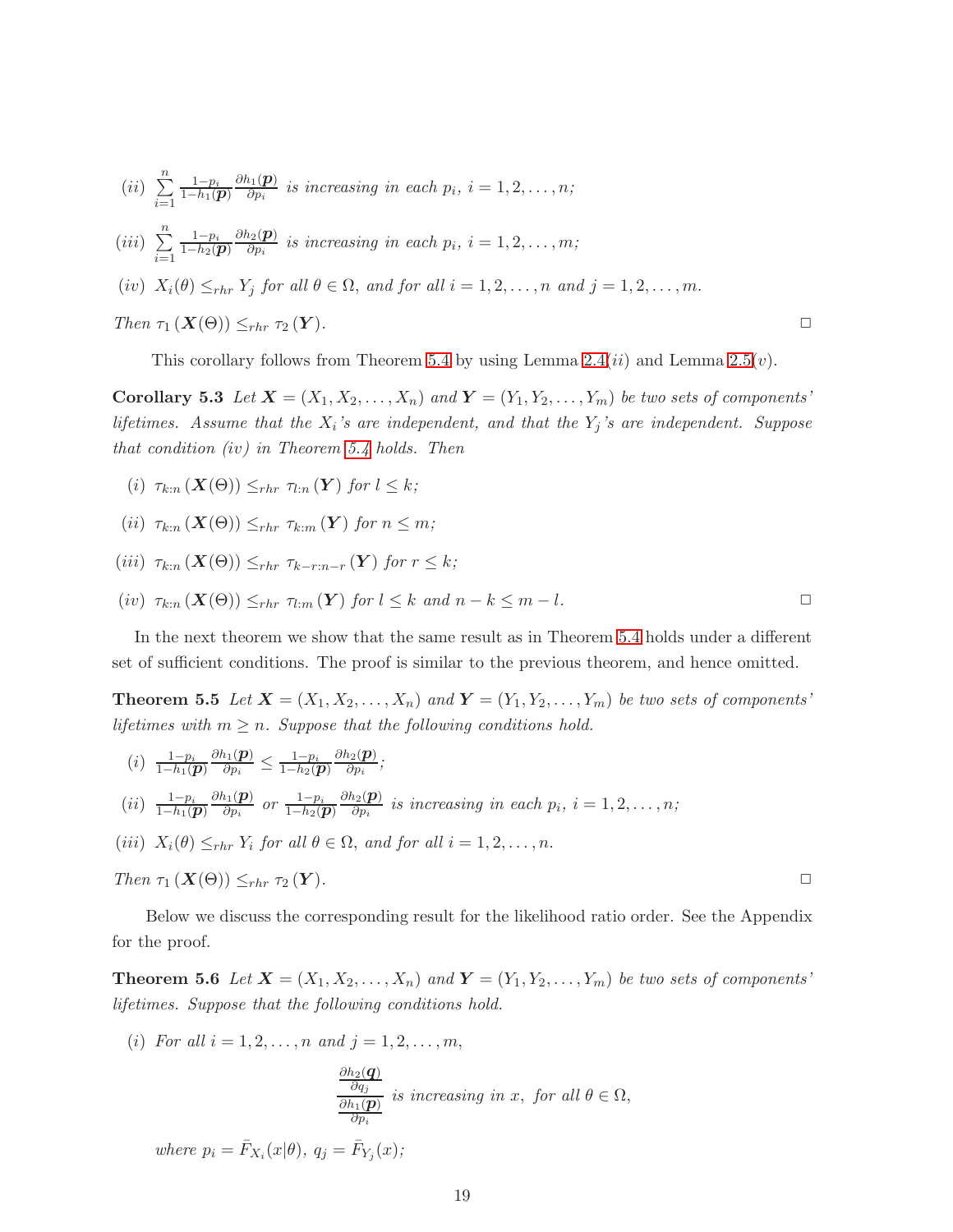$$
(ii) \sum_{i=1}^{n} \frac{1-p_i}{1-h_1(\boldsymbol{p})} \frac{\partial h_1(\boldsymbol{p})}{\partial p_i} \text{ is increasing in each } p_i, i=1,2,\ldots,n;
$$

 $(iii) \sum_{n=1}^{\infty}$  $i=1$  $\frac{1-p_i}{1-h_2(\boldsymbol{p})}$  $\partial h_2(\boldsymbol{p})$  $\frac{\partial^2 \mathbf{p}_i}{\partial p_i}$  is increasing in each  $p_i$ ,  $i = 1, 2, \ldots, m;$ 

$$
(iv)
$$
  $X_i(\theta) \leq_{rhr} Y_j$  for all  $\theta \in \Omega$ , and for all  $i = 1, 2, ..., n$  and  $j = 1, 2, ..., m$ .

*Then* τ<sup>1</sup> (X(Θ)) ≤rhr τ<sup>2</sup> (Y )*.* ✷

This corollary follows from Theorem [5.4](#page-17-0) by using Lemma  $2.4(ii)$  and Lemma  $2.5(v)$ .

Corollary 5.3 Let  $X = (X_1, X_2, \ldots, X_n)$  and  $Y = (Y_1, Y_2, \ldots, Y_m)$  be two sets of components' *lifetimes. Assume that the* X<sup>i</sup> *'s are independent, and that the* Y<sup>j</sup> *'s are independent. Suppose that condition (*iv*) in Theorem [5.4](#page-17-0) holds. Then*

- (i)  $\tau_{k:n}(\mathbf{X}(\Theta)) \leq_{rhr} \tau_{l:n}(\mathbf{Y})$  for  $l \leq k$ ;
- (ii)  $\tau_{k:n}(\mathbf{X}(\Theta)) \leq_{rhr} \tau_{k:n}(\mathbf{Y})$  for  $n \leq m$ ;
- (iii)  $\tau_{k:n}(\mathbf{X}(\Theta)) \leq_{rhr} \tau_{k-r:n-r}(\mathbf{Y})$  for  $r \leq k$ ;
- $(iv)$   $\tau_{k:n}(X(\Theta)) \leq_{rhr} \tau_{l:n}(Y)$  *for*  $l \leq k$  *and*  $n-k \leq m-l$ .

In the next theorem we show that the same result as in Theorem [5.4](#page-17-0) holds under a different set of sufficient conditions. The proof is similar to the previous theorem, and hence omitted.

**Theorem 5.5** Let  $X = (X_1, X_2, \ldots, X_n)$  and  $Y = (Y_1, Y_2, \ldots, Y_m)$  be two sets of components' *lifetimes with*  $m \geq n$ *. Suppose that the following conditions hold.* 

- $(i) \frac{1-p_i}{1-h_1(\bm{p})}$  $\partial h_1(\boldsymbol{p})$  $\frac{h_1(\boldsymbol{p})}{\partial p_i} \leq \frac{1-p_i}{1-h_2(\boldsymbol{p})}$  $\partial h_2(\boldsymbol{p})$  $rac{\iota_2(\boldsymbol{\bm{p}})}{\partial p_i};$  $(ii) \frac{1-p_i}{1-h_1(\bm{p})}$  $\partial h_1(\boldsymbol{p})$  $\frac{i_1(\boldsymbol{p})}{\partial p_i}$  or  $\frac{1-p_i}{1-h_2(\boldsymbol{p})}$  $\partial h_2(\boldsymbol{p})$  $\frac{\partial^2 \mathbf{p}}{\partial p_i}$  is increasing in each  $p_i$ ,  $i = 1, 2, \ldots, n;$
- (*iii*)  $X_i(\theta) \leq_{rhr} Y_i$  *for all*  $\theta \in \Omega$ *, and for all*  $i = 1, 2, ..., n$ *.*

Then 
$$
\tau_1(X(\Theta)) \leq_{rhr} \tau_2(Y)
$$
.

<span id="page-18-0"></span>Below we discuss the corresponding result for the likelihood ratio order. See the Appendix for the proof.

**Theorem 5.6** Let  $\mathbf{X} = (X_1, X_2, \ldots, X_n)$  and  $\mathbf{Y} = (Y_1, Y_2, \ldots, Y_m)$  be two sets of components' *lifetimes. Suppose that the following conditions hold.*

(*i*) *For all*  $i = 1, 2, ..., n$  *and*  $j = 1, 2, ..., m$ ,

$$
\frac{\frac{\partial h_2(\boldsymbol{q})}{\partial q_j}}{\frac{\partial h_1(\boldsymbol{p})}{\partial p_i}}
$$
 is increasing in  $x$ , for all  $\theta \in \Omega$ ,

where  $p_i = \bar{F}_{X_i}(x|\theta), q_j = \bar{F}_{Y_j}(x)$ ;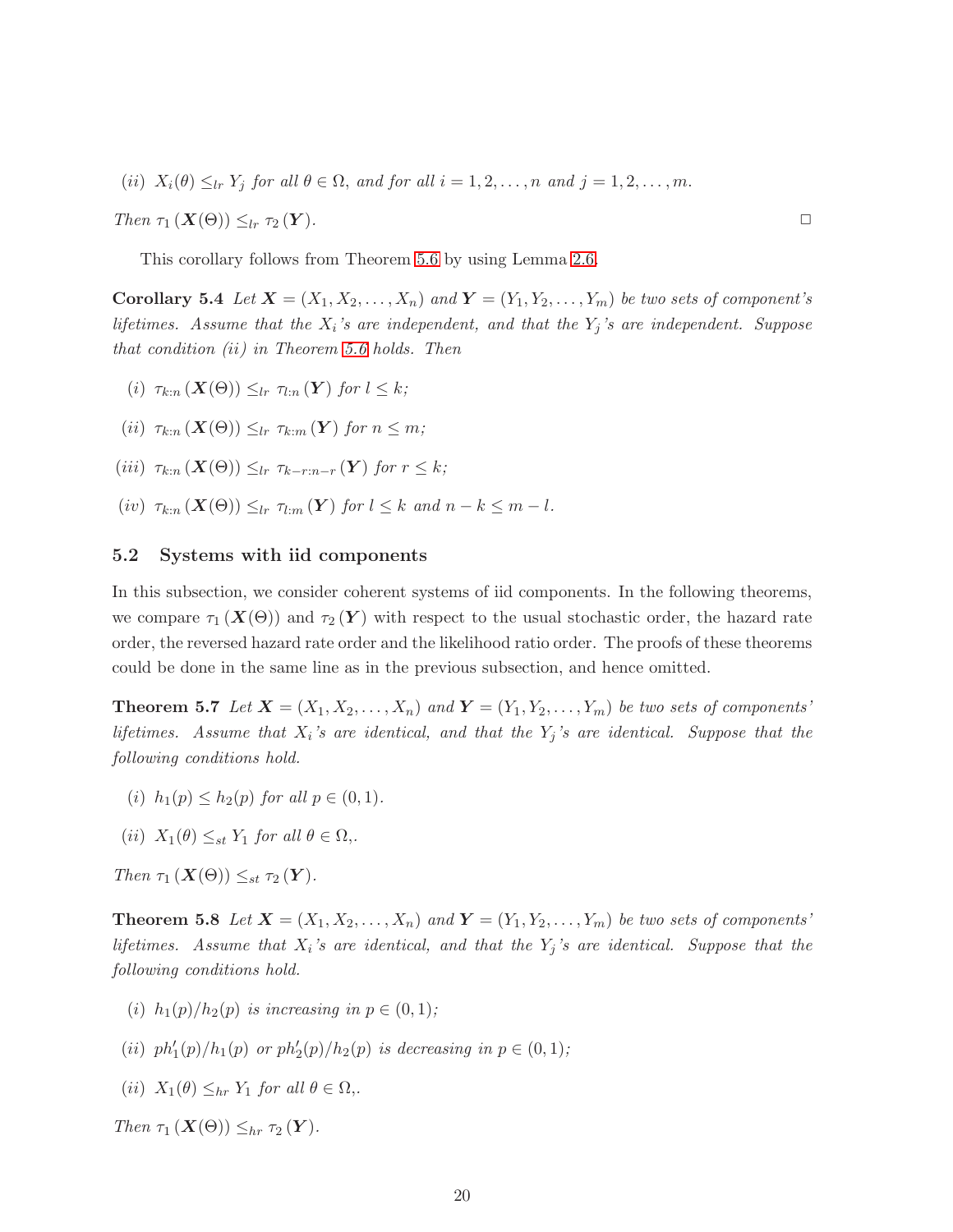(ii)  $X_i(\theta) \leq_{lr} Y_j$  *for all*  $\theta \in \Omega$ *, and for all*  $i = 1, 2, ..., n$  *and*  $j = 1, 2, ..., m$ .

*Then* τ<sup>1</sup> (X(Θ)) ≤lr τ<sup>2</sup> (Y )*.* ✷

This corollary follows from Theorem [5.6](#page-18-0) by using Lemma [2.6.](#page-7-2)

Corollary 5.4 Let  $X = (X_1, X_2, \ldots, X_n)$  and  $Y = (Y_1, Y_2, \ldots, Y_m)$  be two sets of component's *lifetimes. Assume that the* X<sup>i</sup> *'s are independent, and that the* Y<sup>j</sup> *'s are independent. Suppose that condition (*ii*) in Theorem [5.6](#page-18-0) holds. Then*

- (i)  $\tau_{k:n}(\mathbf{X}(\Theta)) \leq_{lr} \tau_{l:n}(\mathbf{Y})$  for  $l \leq k$ ;
- (ii)  $\tau_{k:n}(\mathbf{X}(\Theta)) \leq_{lr} \tau_{k:m}(\mathbf{Y})$  for  $n \leq m$ ;
- (iii)  $\tau_{k:n}(\mathbf{X}(\Theta)) \leq_{lr} \tau_{k-r:n-r}(\mathbf{Y})$  for  $r \leq k$ ;
- (iv)  $\tau_{k:n}(\mathbf{X}(\Theta)) \leq_{lr} \tau_{l:m}(\mathbf{Y})$  *for*  $l \leq k$  *and*  $n k \leq m l$ *.*

#### 5.2 Systems with iid components

In this subsection, we consider coherent systems of iid components. In the following theorems, we compare  $\tau_1(X(\Theta))$  and  $\tau_2(Y)$  with respect to the usual stochastic order, the hazard rate order, the reversed hazard rate order and the likelihood ratio order. The proofs of these theorems could be done in the same line as in the previous subsection, and hence omitted.

**Theorem 5.7** Let  $X = (X_1, X_2, \ldots, X_n)$  and  $Y = (Y_1, Y_2, \ldots, Y_m)$  be two sets of components' *lifetimes. Assume that* X<sup>i</sup> *'s are identical, and that the* Y<sup>j</sup> *'s are identical. Suppose that the following conditions hold.*

- (i)  $h_1(p) \leq h_2(p)$  *for all*  $p \in (0, 1)$ *.*
- (*ii*)  $X_1(\theta) \leq_{st} Y_1$  *for all*  $\theta \in \Omega$ ,.

*Then*  $\tau_1(X(\Theta)) \leq_{st} \tau_2(Y)$ *.* 

**Theorem 5.8** Let  $X = (X_1, X_2, \ldots, X_n)$  and  $Y = (Y_1, Y_2, \ldots, Y_m)$  be two sets of components' *lifetimes. Assume that* X<sup>i</sup> *'s are identical, and that the* Y<sup>j</sup> *'s are identical. Suppose that the following conditions hold.*

- (*i*)  $h_1(p)/h_2(p)$  *is increasing in*  $p \in (0,1)$ ;
- (*ii*)  $ph'_1(p)/h_1(p)$  *or*  $ph'_2(p)/h_2(p)$  *is decreasing in*  $p \in (0,1)$ *;*
- (*ii*)  $X_1(\theta) \leq_{hr} Y_1$  *for all*  $\theta \in \Omega$ *,.*

*Then*  $\tau_1(X(\Theta)) \leq_{hr} \tau_2(Y)$ *.*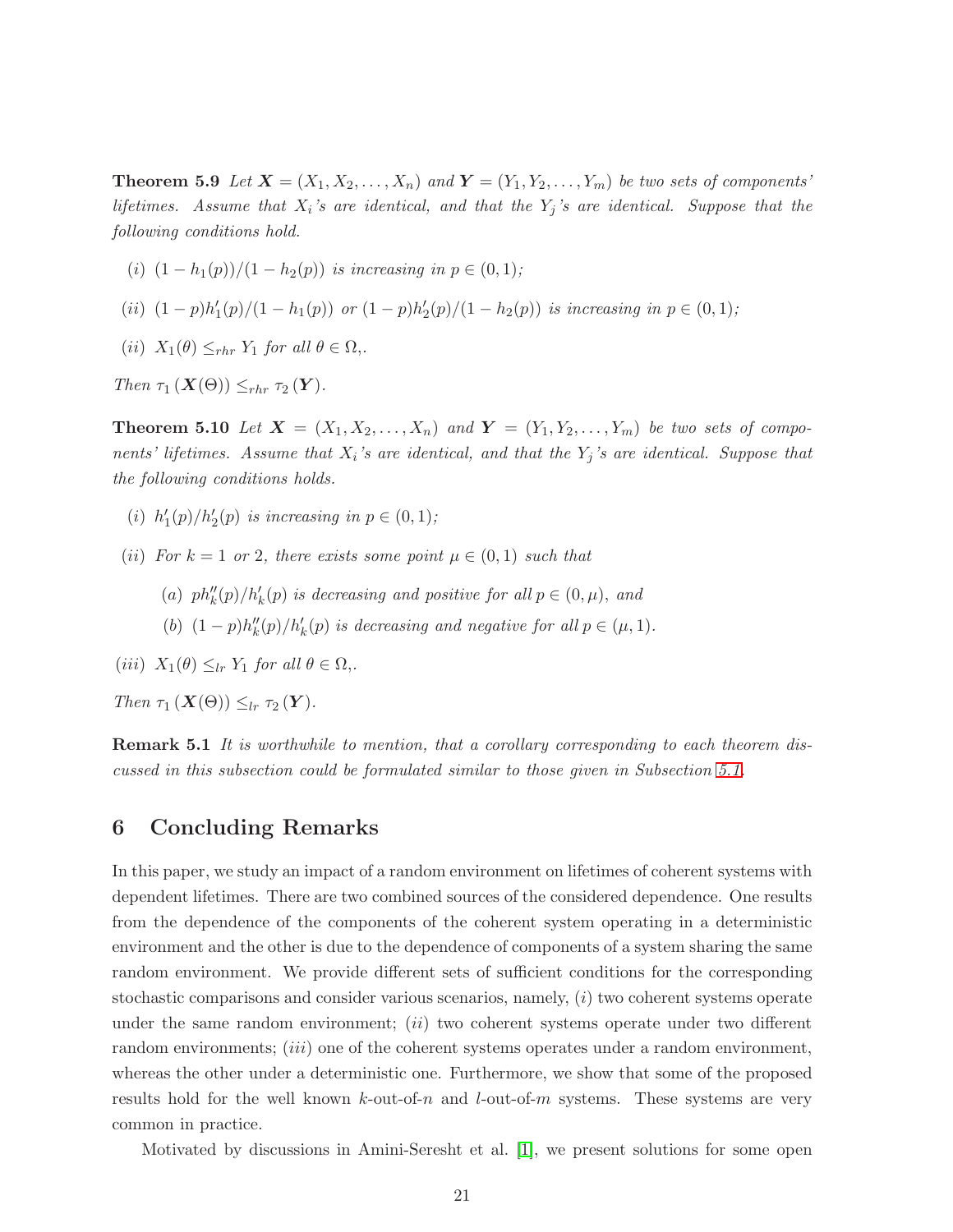**Theorem 5.9** Let  $X = (X_1, X_2, \ldots, X_n)$  and  $Y = (Y_1, Y_2, \ldots, Y_m)$  be two sets of components' *lifetimes. Assume that* X<sup>i</sup> *'s are identical, and that the* Y<sup>j</sup> *'s are identical. Suppose that the following conditions hold.*

(i)  $(1 - h_1(p))/(1 - h_2(p))$  *is increasing in*  $p \in (0, 1)$ ;

- (*ii*)  $(1-p)h'_1(p)/(1-h_1(p))$  *or*  $(1-p)h'_2(p)/(1-h_2(p))$  *is increasing in*  $p \in (0,1)$ *;*
- (*ii*)  $X_1(\theta) \leq_{rhr} Y_1$  *for all*  $\theta \in \Omega$ ,.

*Then*  $\tau_1$  ( $\mathbf{X}(\Theta)$ )  $\leq_{rhr} \tau_2$  ( $\mathbf{Y}$ ).

**Theorem 5.10** Let  $X = (X_1, X_2, \ldots, X_n)$  and  $Y = (Y_1, Y_2, \ldots, Y_m)$  be two sets of compo*nents' lifetimes. Assume that* X<sup>i</sup> *'s are identical, and that the* Y<sup>j</sup> *'s are identical. Suppose that the following conditions holds.*

- (i)  $h'_1(p)/h'_2(p)$  is increasing in  $p \in (0,1)$ ;
- (*ii*) *For*  $k = 1$  *or* 2*, there exists some point*  $\mu \in (0, 1)$  *such that* 
	- (a)  $ph''_k(p)/h'_k(p)$  is decreasing and positive for all  $p \in (0, \mu)$ , and
	- (b)  $(1-p)h''_k(p)/h'_k(p)$  *is decreasing and negative for all*  $p \in (\mu, 1)$ *.*

(*iii*)  $X_1(\theta) \leq_{lr} Y_1$  *for all*  $\theta \in \Omega$ ,

*Then*  $\tau_1$  ( $\mathbf{X}(\Theta)$ )  $\leq_{lr} \tau_2$  ( $\mathbf{Y}$ ).

Remark 5.1 *It is worthwhile to mention, that a corollary corresponding to each theorem discussed in this subsection could be formulated similar to those given in Subsection [5.1.](#page-16-3)*

### <span id="page-20-0"></span>6 Concluding Remarks

In this paper, we study an impact of a random environment on lifetimes of coherent systems with dependent lifetimes. There are two combined sources of the considered dependence. One results from the dependence of the components of the coherent system operating in a deterministic environment and the other is due to the dependence of components of a system sharing the same random environment. We provide different sets of sufficient conditions for the corresponding stochastic comparisons and consider various scenarios, namely,  $(i)$  two coherent systems operate under the same random environment;  $(ii)$  two coherent systems operate under two different random environments; *(iii)* one of the coherent systems operates under a random environment, whereas the other under a deterministic one. Furthermore, we show that some of the proposed results hold for the well known  $k$ -out-of-n and  $l$ -out-of-m systems. These systems are very common in practice.

Motivated by discussions in Amini-Seresht et al. [\[1\]](#page-21-4), we present solutions for some open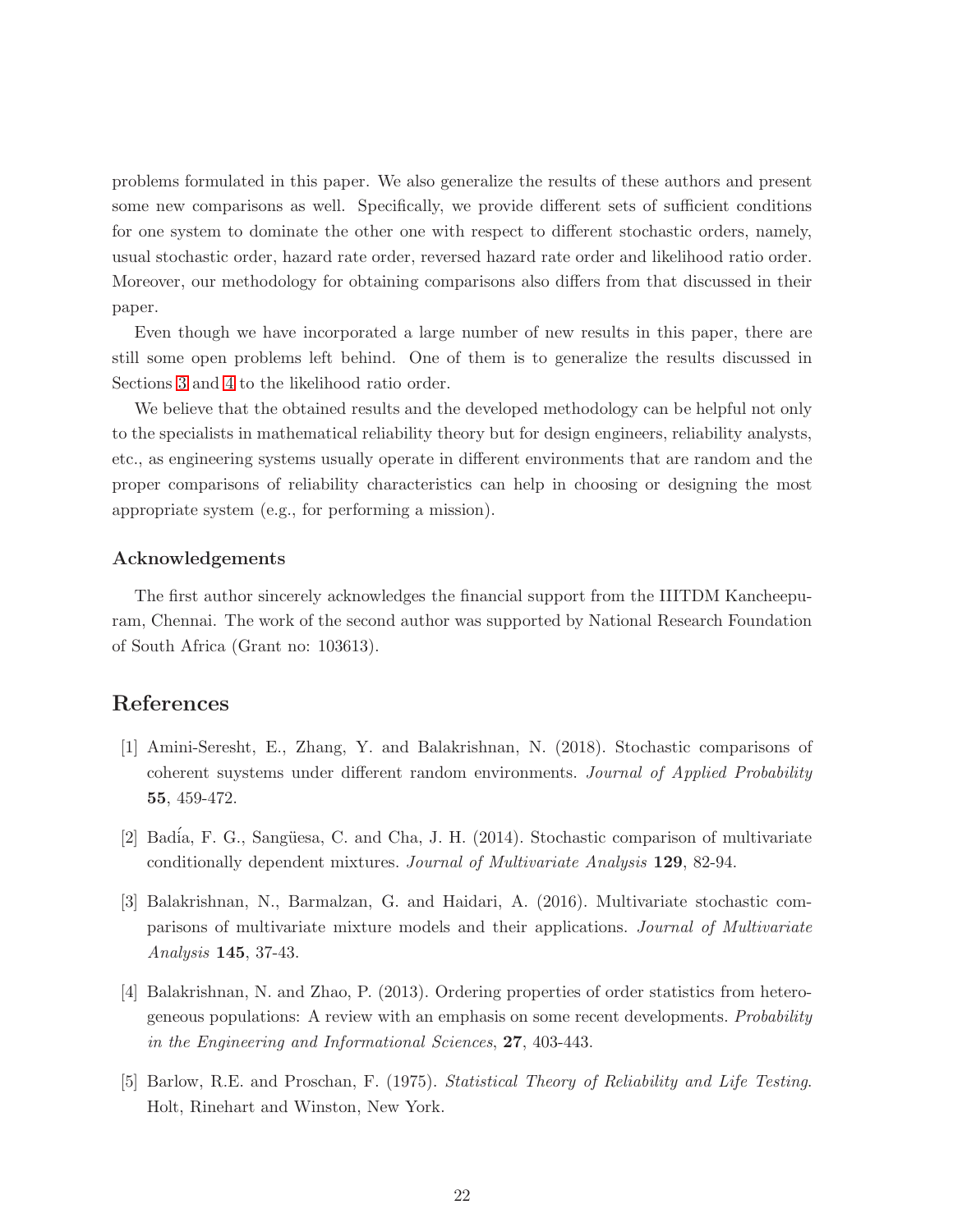problems formulated in this paper. We also generalize the results of these authors and present some new comparisons as well. Specifically, we provide different sets of sufficient conditions for one system to dominate the other one with respect to different stochastic orders, namely, usual stochastic order, hazard rate order, reversed hazard rate order and likelihood ratio order. Moreover, our methodology for obtaining comparisons also differs from that discussed in their paper.

Even though we have incorporated a large number of new results in this paper, there are still some open problems left behind. One of them is to generalize the results discussed in Sections [3](#page-8-0) and [4](#page-10-0) to the likelihood ratio order.

We believe that the obtained results and the developed methodology can be helpful not only to the specialists in mathematical reliability theory but for design engineers, reliability analysts, etc., as engineering systems usually operate in different environments that are random and the proper comparisons of reliability characteristics can help in choosing or designing the most appropriate system (e.g., for performing a mission).

#### Acknowledgements

The first author sincerely acknowledges the financial support from the IIITDM Kancheepuram, Chennai. The work of the second author was supported by National Research Foundation of South Africa (Grant no: 103613).

## <span id="page-21-4"></span>References

- [1] Amini-Seresht, E., Zhang, Y. and Balakrishnan, N. (2018). Stochastic comparisons of coherent suystems under different random environments. *Journal of Applied Probability* 55, 459-472.
- <span id="page-21-3"></span><span id="page-21-2"></span>[2] Badía, F. G., Sangüesa, C. and Cha, J. H. (2014). Stochastic comparison of multivariate conditionally dependent mixtures. *Journal of Multivariate Analysis* 129, 82-94.
- [3] Balakrishnan, N., Barmalzan, G. and Haidari, A. (2016). Multivariate stochastic comparisons of multivariate mixture models and their applications. *Journal of Multivariate Analysis* 145, 37-43.
- <span id="page-21-1"></span>[4] Balakrishnan, N. and Zhao, P. (2013). Ordering properties of order statistics from heterogeneous populations: A review with an emphasis on some recent developments. *Probability in the Engineering and Informational Sciences*, 27, 403-443.
- <span id="page-21-0"></span>[5] Barlow, R.E. and Proschan, F. (1975). *Statistical Theory of Reliability and Life Testing*. Holt, Rinehart and Winston, New York.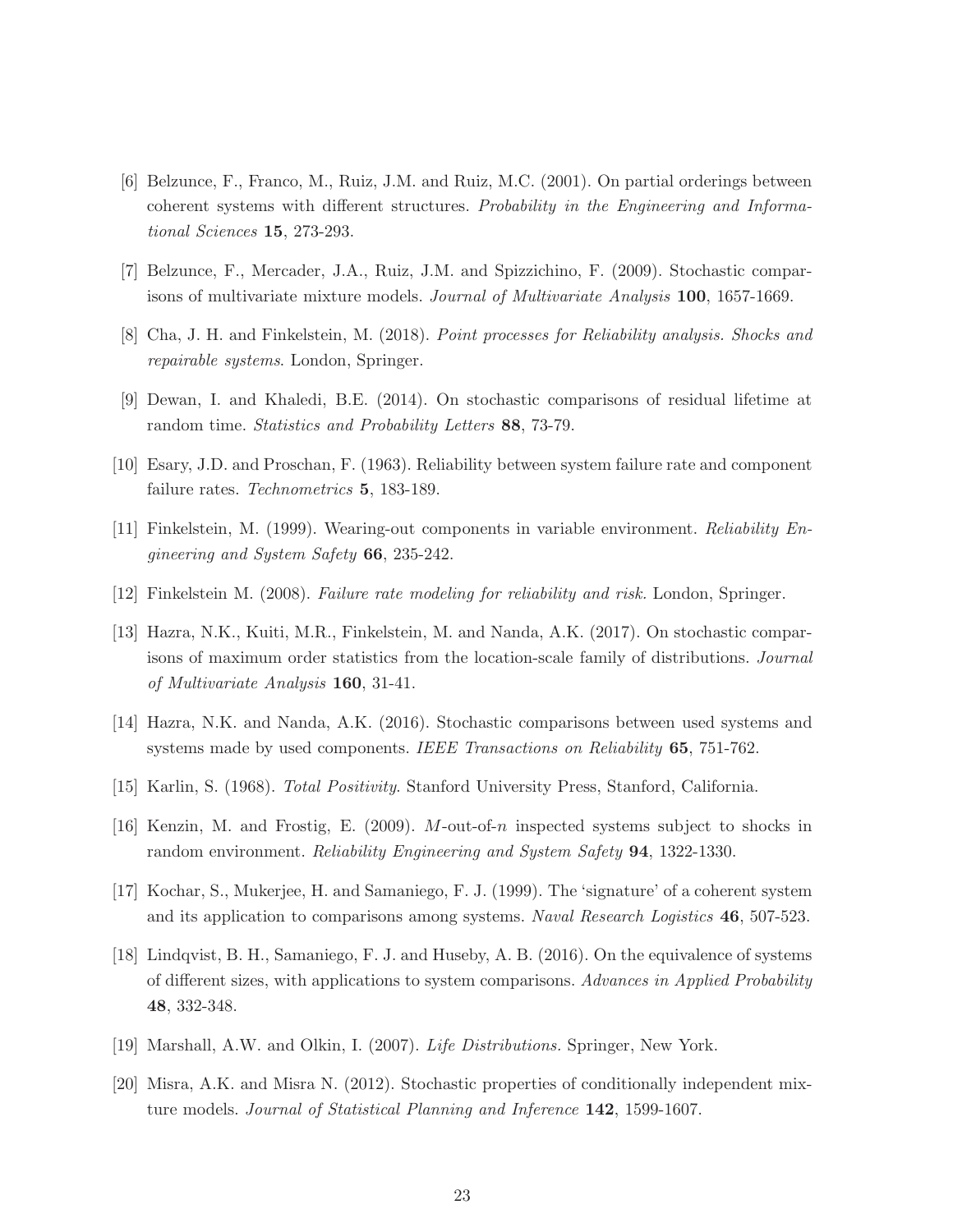- <span id="page-22-7"></span>[6] Belzunce, F., Franco, M., Ruiz, J.M. and Ruiz, M.C. (2001). On partial orderings between coherent systems with different structures. *Probability in the Engineering and Informational Sciences* 15, 273-293.
- <span id="page-22-10"></span><span id="page-22-0"></span>[7] Belzunce, F., Mercader, J.A., Ruiz, J.M. and Spizzichino, F. (2009). Stochastic comparisons of multivariate mixture models. *Journal of Multivariate Analysis* 100, 1657-1669.
- <span id="page-22-14"></span>[8] Cha, J. H. and Finkelstein, M. (2018). *Point processes for Reliability analysis. Shocks and repairable systems*. London, Springer.
- <span id="page-22-5"></span>[9] Dewan, I. and Khaledi, B.E. (2014). On stochastic comparisons of residual lifetime at random time. *Statistics and Probability Letters* 88, 73-79.
- <span id="page-22-1"></span>[10] Esary, J.D. and Proschan, F. (1963). Reliability between system failure rate and component failure rates. *Technometrics* 5, 183-189.
- <span id="page-22-3"></span>[11] Finkelstein, M. (1999). Wearing-out components in variable environment. *Reliability Engineering and System Safety* 66, 235-242.
- <span id="page-22-4"></span>[12] Finkelstein M. (2008). *Failure rate modeling for reliability and risk.* London, Springer.
- [13] Hazra, N.K., Kuiti, M.R., Finkelstein, M. and Nanda, A.K. (2017). On stochastic comparisons of maximum order statistics from the location-scale family of distributions. *Journal of Multivariate Analysis* 160, 31-41.
- <span id="page-22-13"></span><span id="page-22-8"></span>[14] Hazra, N.K. and Nanda, A.K. (2016). Stochastic comparisons between used systems and systems made by used components. *IEEE Transactions on Reliability* 65, 751-762.
- <span id="page-22-2"></span>[15] Karlin, S. (1968). *Total Positivity*. Stanford University Press, Stanford, California.
- <span id="page-22-6"></span>[16] Kenzin, M. and Frostig, E. (2009). M-out-of-n inspected systems subject to shocks in random environment. *Reliability Engineering and System Safety* 94, 1322-1330.
- <span id="page-22-9"></span>[17] Kochar, S., Mukerjee, H. and Samaniego, F. J. (1999). The 'signature' of a coherent system and its application to comparisons among systems. *Naval Research Logistics* 46, 507-523.
- [18] Lindqvist, B. H., Samaniego, F. J. and Huseby, A. B. (2016). On the equivalence of systems of different sizes, with applications to system comparisons. *Advances in Applied Probability* 48, 332-348.
- <span id="page-22-12"></span><span id="page-22-11"></span>[19] Marshall, A.W. and Olkin, I. (2007). *Life Distributions.* Springer, New York.
- [20] Misra, A.K. and Misra N. (2012). Stochastic properties of conditionally independent mixture models. *Journal of Statistical Planning and Inference* 142, 1599-1607.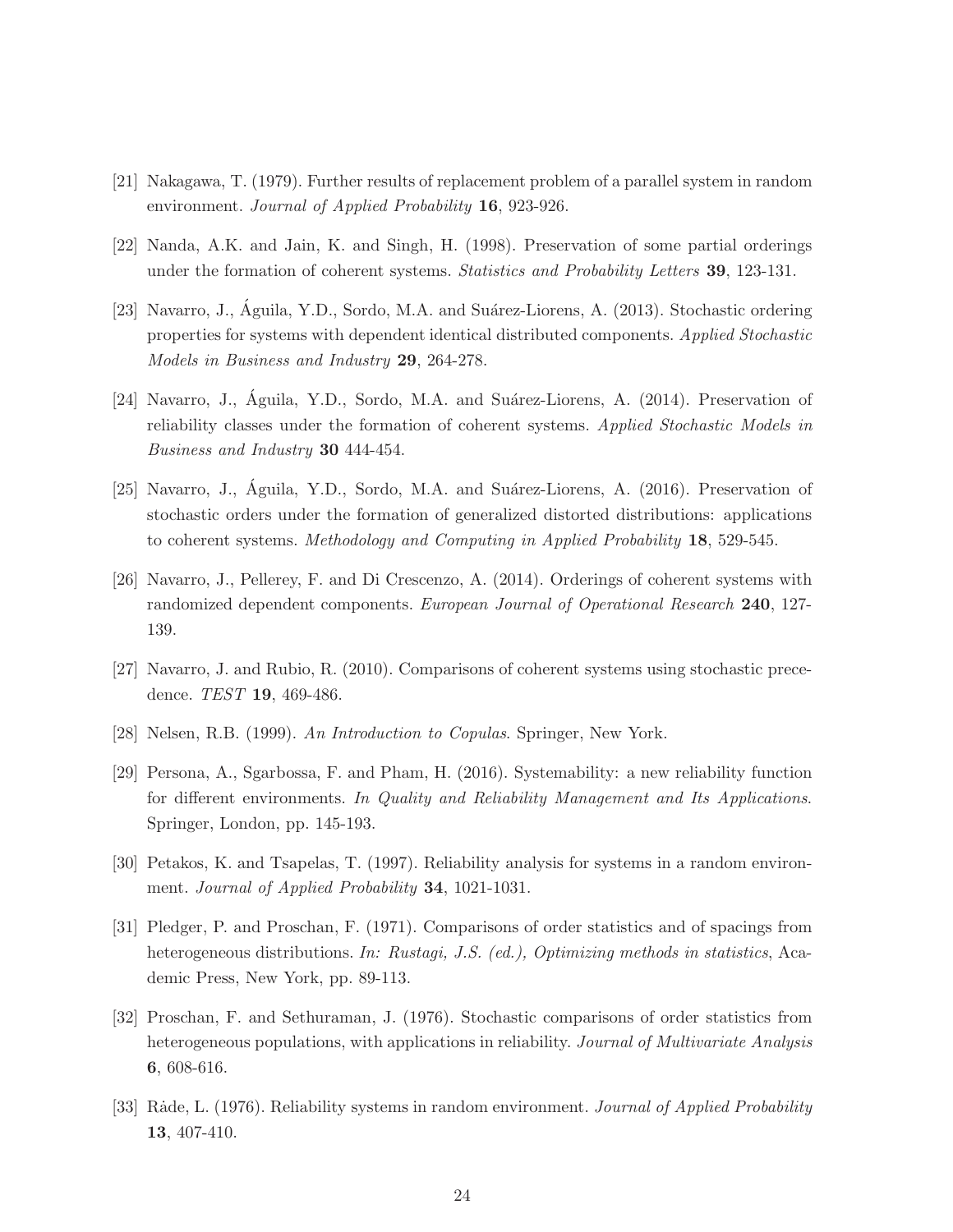- <span id="page-23-6"></span><span id="page-23-1"></span>[21] Nakagawa, T. (1979). Further results of replacement problem of a parallel system in random environment. *Journal of Applied Probability* 16, 923-926.
- <span id="page-23-8"></span>[22] Nanda, A.K. and Jain, K. and Singh, H. (1998). Preservation of some partial orderings under the formation of coherent systems. *Statistics and Probability Letters* 39, 123-131.
- [23] Navarro, J., Águila, Y.D., Sordo, M.A. and Suárez-Liorens, A. (2013). Stochastic ordering properties for systems with dependent identical distributed components. *Applied Stochastic Models in Business and Industry* 29, 264-278.
- <span id="page-23-9"></span>[24] Navarro, J., Águila, Y.D., Sordo, M.A. and Suárez-Liorens, A. (2014). Preservation of reliability classes under the formation of coherent systems. *Applied Stochastic Models in Business and Industry* 30 444-454.
- <span id="page-23-10"></span>[25] Navarro, J., Águila, Y.D., Sordo, M.A. and Suárez-Liorens, A. (2016). Preservation of stochastic orders under the formation of generalized distorted distributions: applications to coherent systems. *Methodology and Computing in Applied Probability* 18, 529-545.
- <span id="page-23-11"></span>[26] Navarro, J., Pellerey, F. and Di Crescenzo, A. (2014). Orderings of coherent systems with randomized dependent components. *European Journal of Operational Research* 240, 127- 139.
- <span id="page-23-12"></span><span id="page-23-7"></span>[27] Navarro, J. and Rubio, R. (2010). Comparisons of coherent systems using stochastic precedence. *TEST* 19, 469-486.
- <span id="page-23-2"></span>[28] Nelsen, R.B. (1999). *An Introduction to Copulas*. Springer, New York.
- [29] Persona, A., Sgarbossa, F. and Pham, H. (2016). Systemability: a new reliability function for different environments. *In Quality and Reliability Management and Its Applications*. Springer, London, pp. 145-193.
- <span id="page-23-4"></span><span id="page-23-0"></span>[30] Petakos, K. and Tsapelas, T. (1997). Reliability analysis for systems in a random environment. *Journal of Applied Probability* 34, 1021-1031.
- [31] Pledger, P. and Proschan, F. (1971). Comparisons of order statistics and of spacings from heterogeneous distributions. *In: Rustagi, J.S. (ed.), Optimizing methods in statistics*, Academic Press, New York, pp. 89-113.
- <span id="page-23-5"></span>[32] Proschan, F. and Sethuraman, J. (1976). Stochastic comparisons of order statistics from heterogeneous populations, with applications in reliability. *Journal of Multivariate Analysis* 6, 608-616.
- <span id="page-23-3"></span>[33] R˙ade, L. (1976). Reliability systems in random environment. *Journal of Applied Probability* 13, 407-410.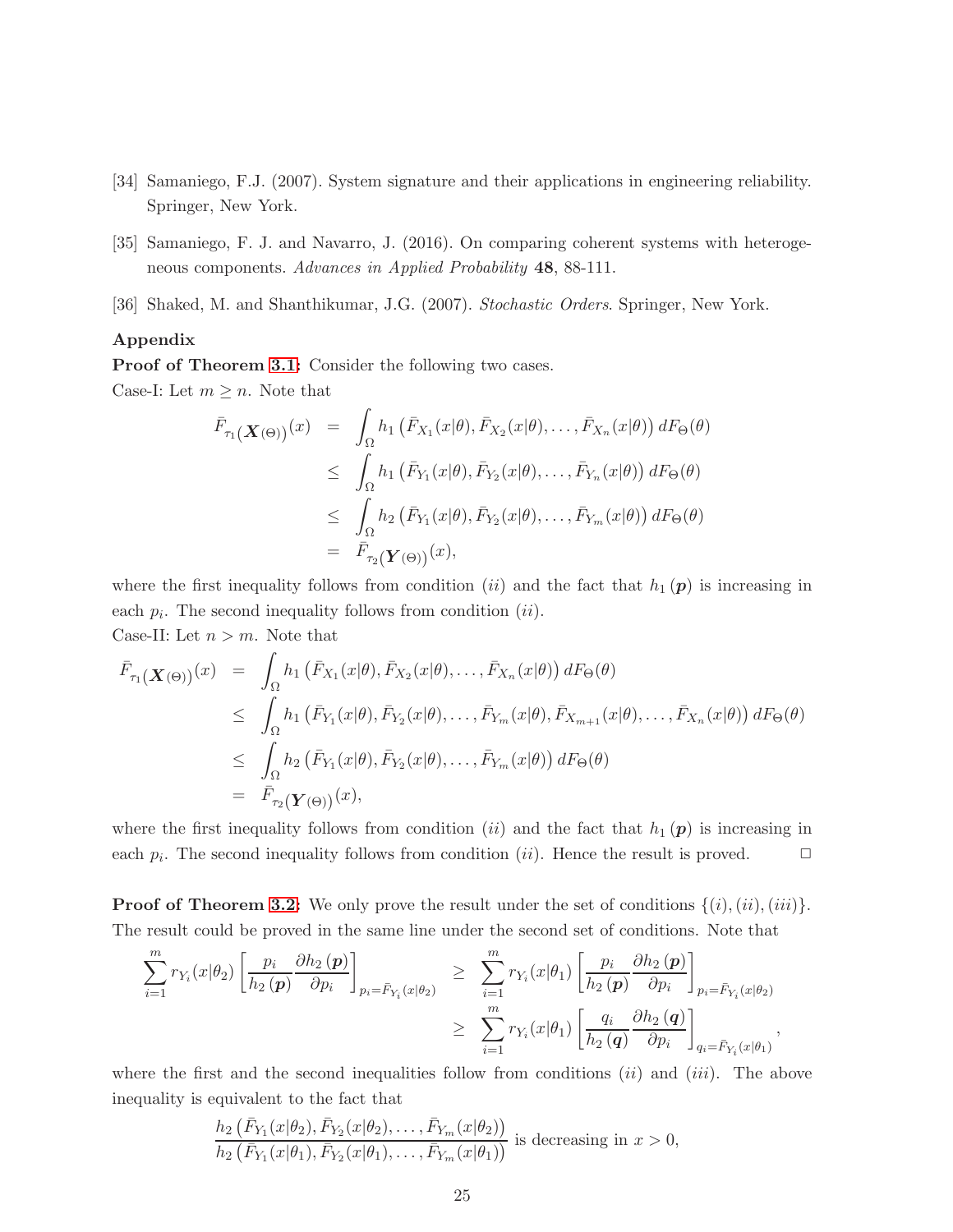- <span id="page-24-2"></span><span id="page-24-1"></span>[34] Samaniego, F.J. (2007). System signature and their applications in engineering reliability. Springer, New York.
- <span id="page-24-0"></span>[35] Samaniego, F. J. and Navarro, J. (2016). On comparing coherent systems with heterogeneous components. *Advances in Applied Probability* 48, 88-111.
- [36] Shaked, M. and Shanthikumar, J.G. (2007). *Stochastic Orders*. Springer, New York.

#### Appendix

Proof of Theorem [3.1:](#page-8-2) Consider the following two cases.

Case-I: Let  $m \geq n$ . Note that

$$
\begin{array}{rcl}\n\bar{F}_{\tau_1}(\boldsymbol{X}(\Theta))^{(x)} & = & \int_{\Omega} h_1\left(\bar{F}_{X_1}(x|\theta), \bar{F}_{X_2}(x|\theta), \dots, \bar{F}_{X_n}(x|\theta)\right) dF_{\Theta}(\theta) \\
& \leq & \int_{\Omega} h_1\left(\bar{F}_{Y_1}(x|\theta), \bar{F}_{Y_2}(x|\theta), \dots, \bar{F}_{Y_n}(x|\theta)\right) dF_{\Theta}(\theta) \\
& \leq & \int_{\Omega} h_2\left(\bar{F}_{Y_1}(x|\theta), \bar{F}_{Y_2}(x|\theta), \dots, \bar{F}_{Y_m}(x|\theta)\right) dF_{\Theta}(\theta) \\
& = & \bar{F}_{\tau_2}(\boldsymbol{Y}(\Theta))^{(x)},\n\end{array}
$$

where the first inequality follows from condition (ii) and the fact that  $h_1(\mathbf{p})$  is increasing in each  $p_i$ . The second inequality follows from condition  $(ii)$ .

Case-II: Let 
$$
n > m
$$
. Note that

$$
\begin{array}{rcl}\n\bar{F}_{\tau_1}(\boldsymbol{X}(\Theta))(\boldsymbol{x}) & = & \int_{\Omega} h_1\left(\bar{F}_{X_1}(\boldsymbol{x}|\theta), \bar{F}_{X_2}(\boldsymbol{x}|\theta), \ldots, \bar{F}_{X_n}(\boldsymbol{x}|\theta)\right) dF_{\Theta}(\theta) \\
& \leq & \int_{\Omega} h_1\left(\bar{F}_{Y_1}(\boldsymbol{x}|\theta), \bar{F}_{Y_2}(\boldsymbol{x}|\theta), \ldots, \bar{F}_{Y_m}(\boldsymbol{x}|\theta), \bar{F}_{X_{m+1}}(\boldsymbol{x}|\theta), \ldots, \bar{F}_{X_n}(\boldsymbol{x}|\theta)\right) dF_{\Theta}(\theta) \\
& \leq & \int_{\Omega} h_2\left(\bar{F}_{Y_1}(\boldsymbol{x}|\theta), \bar{F}_{Y_2}(\boldsymbol{x}|\theta), \ldots, \bar{F}_{Y_m}(\boldsymbol{x}|\theta)\right) dF_{\Theta}(\theta) \\
& = & \bar{F}_{\tau_2}(\boldsymbol{Y}(\Theta))(\boldsymbol{x}),\n\end{array}
$$

where the first inequality follows from condition (ii) and the fact that  $h_1(p)$  is increasing in each  $p_i$ . The second inequality follows from condition (*ii*). Hence the result is proved.  $\Box$ 

**Proof of Theorem [3.2:](#page-8-1)** We only prove the result under the set of conditions  $\{(i),(iii)\}$ . The result could be proved in the same line under the second set of conditions. Note that

$$
\sum_{i=1}^{m} r_{Y_i}(x|\theta_2) \left[ \frac{p_i}{h_2(\mathbf{p})} \frac{\partial h_2(\mathbf{p})}{\partial p_i} \right]_{p_i = \bar{F}_{Y_i}(x|\theta_2)} \geq \sum_{i=1}^{m} r_{Y_i}(x|\theta_1) \left[ \frac{p_i}{h_2(\mathbf{p})} \frac{\partial h_2(\mathbf{p})}{\partial p_i} \right]_{p_i = \bar{F}_{Y_i}(x|\theta_2)} \geq \sum_{i=1}^{m} r_{Y_i}(x|\theta_1) \left[ \frac{q_i}{h_2(\mathbf{q})} \frac{\partial h_2(\mathbf{q})}{\partial p_i} \right]_{q_i = \bar{F}_{Y_i}(x|\theta_1)},
$$

where the first and the second inequalities follow from conditions  $(ii)$  and  $(iii)$ . The above inequality is equivalent to the fact that

$$
\frac{h_2(\bar{F}_{Y_1}(x|\theta_2), \bar{F}_{Y_2}(x|\theta_2), \dots, \bar{F}_{Y_m}(x|\theta_2))}{h_2(\bar{F}_{Y_1}(x|\theta_1), \bar{F}_{Y_2}(x|\theta_1), \dots, \bar{F}_{Y_m}(x|\theta_1))}
$$
 is decreasing in  $x > 0$ ,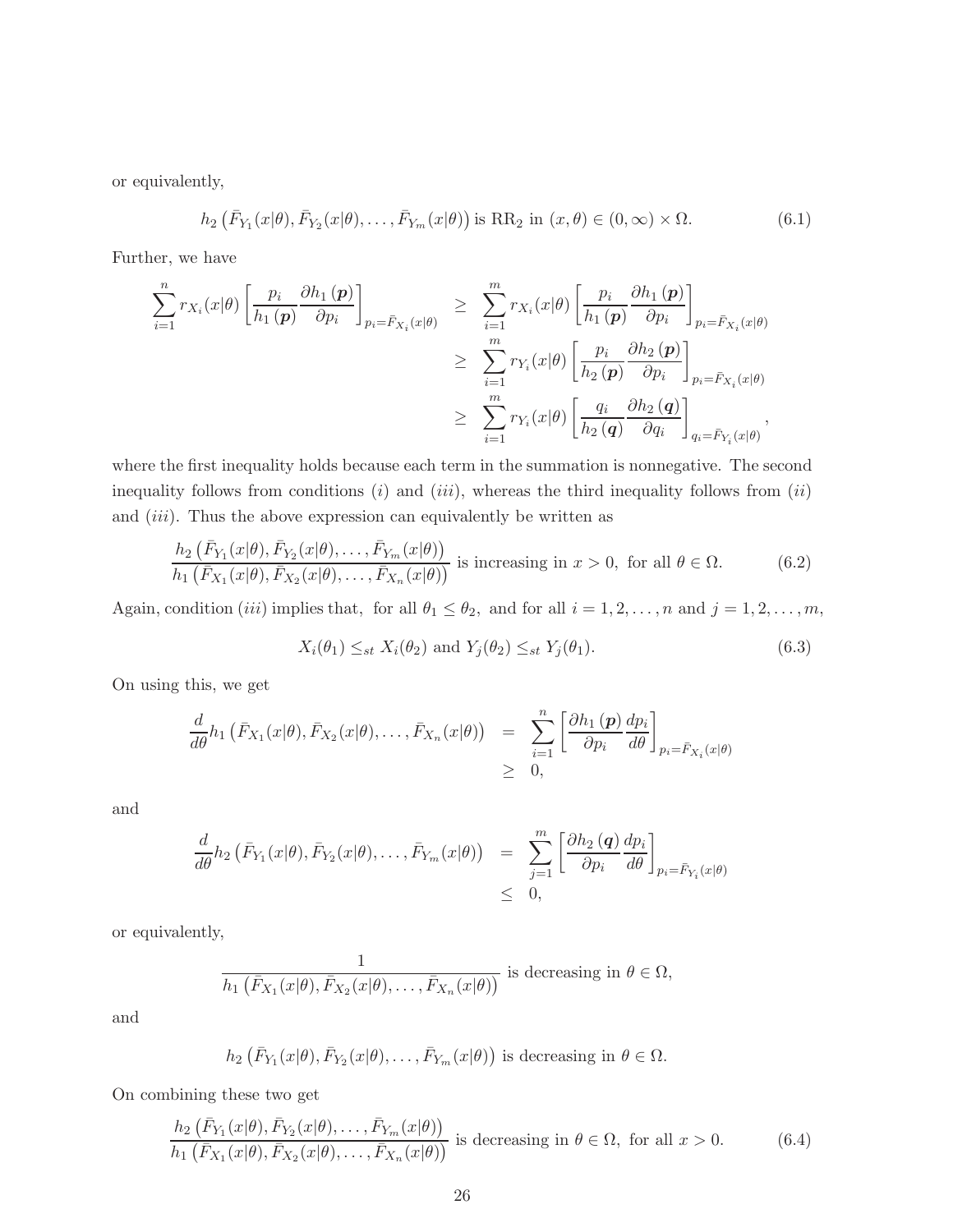or equivalently,

<span id="page-25-0"></span>
$$
h_2\left(\bar{F}_{Y_1}(x|\theta), \bar{F}_{Y_2}(x|\theta), \dots, \bar{F}_{Y_m}(x|\theta)\right) \text{ is RR}_2 \text{ in } (x, \theta) \in (0, \infty) \times \Omega. \tag{6.1}
$$

Further, we have

$$
\sum_{i=1}^{n} r_{X_i}(x|\theta) \left[ \frac{p_i}{h_1(p)} \frac{\partial h_1(p)}{\partial p_i} \right]_{p_i = \bar{F}_{X_i}(x|\theta)} \geq \sum_{i=1}^{m} r_{X_i}(x|\theta) \left[ \frac{p_i}{h_1(p)} \frac{\partial h_1(p)}{\partial p_i} \right]_{p_i = \bar{F}_{X_i}(x|\theta)}
$$
\n
$$
\geq \sum_{i=1}^{m} r_{Y_i}(x|\theta) \left[ \frac{p_i}{h_2(p)} \frac{\partial h_2(p)}{\partial p_i} \right]_{p_i = \bar{F}_{X_i}(x|\theta)}
$$
\n
$$
\geq \sum_{i=1}^{m} r_{Y_i}(x|\theta) \left[ \frac{q_i}{h_2(q)} \frac{\partial h_2(q)}{\partial q_i} \right]_{q_i = \bar{F}_{Y_i}(x|\theta)},
$$

where the first inequality holds because each term in the summation is nonnegative. The second inequality follows from conditions  $(i)$  and  $(iii)$ , whereas the third inequality follows from  $(ii)$ and  $(iii)$ . Thus the above expression can equivalently be written as

<span id="page-25-1"></span>
$$
\frac{h_2\left(\bar{F}_{Y_1}(x|\theta), \bar{F}_{Y_2}(x|\theta), \dots, \bar{F}_{Y_m}(x|\theta)\right)}{h_1\left(\bar{F}_{X_1}(x|\theta), \bar{F}_{X_2}(x|\theta), \dots, \bar{F}_{X_n}(x|\theta)\right)}
$$
 is increasing in  $x > 0$ , for all  $\theta \in \Omega$ . (6.2)

Again, condition (iii) implies that, for all  $\theta_1 \le \theta_2$ , and for all  $i = 1, 2, \ldots, n$  and  $j = 1, 2, \ldots, m$ ,

$$
X_i(\theta_1) \leq_{st} X_i(\theta_2) \text{ and } Y_j(\theta_2) \leq_{st} Y_j(\theta_1). \tag{6.3}
$$

On using this, we get

$$
\frac{d}{d\theta}h_1\left(\bar{F}_{X_1}(x|\theta), \bar{F}_{X_2}(x|\theta), \dots, \bar{F}_{X_n}(x|\theta)\right) = \sum_{i=1}^n \left[\frac{\partial h_1(p)}{\partial p_i} \frac{dp_i}{d\theta}\right]_{p_i = \bar{F}_{X_i}(x|\theta)} \geq 0,
$$

and

$$
\frac{d}{d\theta}h_2\left(\bar{F}_{Y_1}(x|\theta),\bar{F}_{Y_2}(x|\theta),\ldots,\bar{F}_{Y_m}(x|\theta)\right) = \sum_{j=1}^m \left[\frac{\partial h_2(q)}{\partial p_i}\frac{dp_i}{d\theta}\right]_{p_i=\bar{F}_{Y_i}(x|\theta)} \leq 0,
$$

or equivalently,

$$
\frac{1}{h_1(\bar{F}_{X_1}(x|\theta), \bar{F}_{X_2}(x|\theta), \dots, \bar{F}_{X_n}(x|\theta))}
$$
 is decreasing in  $\theta \in \Omega$ ,

and

$$
h_2(\bar{F}_{Y_1}(x|\theta), \bar{F}_{Y_2}(x|\theta), \ldots, \bar{F}_{Y_m}(x|\theta))
$$
 is decreasing in  $\theta \in \Omega$ .

On combining these two get

<span id="page-25-2"></span>
$$
\frac{h_2\left(\bar{F}_{Y_1}(x|\theta), \bar{F}_{Y_2}(x|\theta), \dots, \bar{F}_{Y_m}(x|\theta)\right)}{h_1\left(\bar{F}_{X_1}(x|\theta), \bar{F}_{X_2}(x|\theta), \dots, \bar{F}_{X_n}(x|\theta)\right)}
$$
 is decreasing in  $\theta \in \Omega$ , for all  $x > 0$ . (6.4)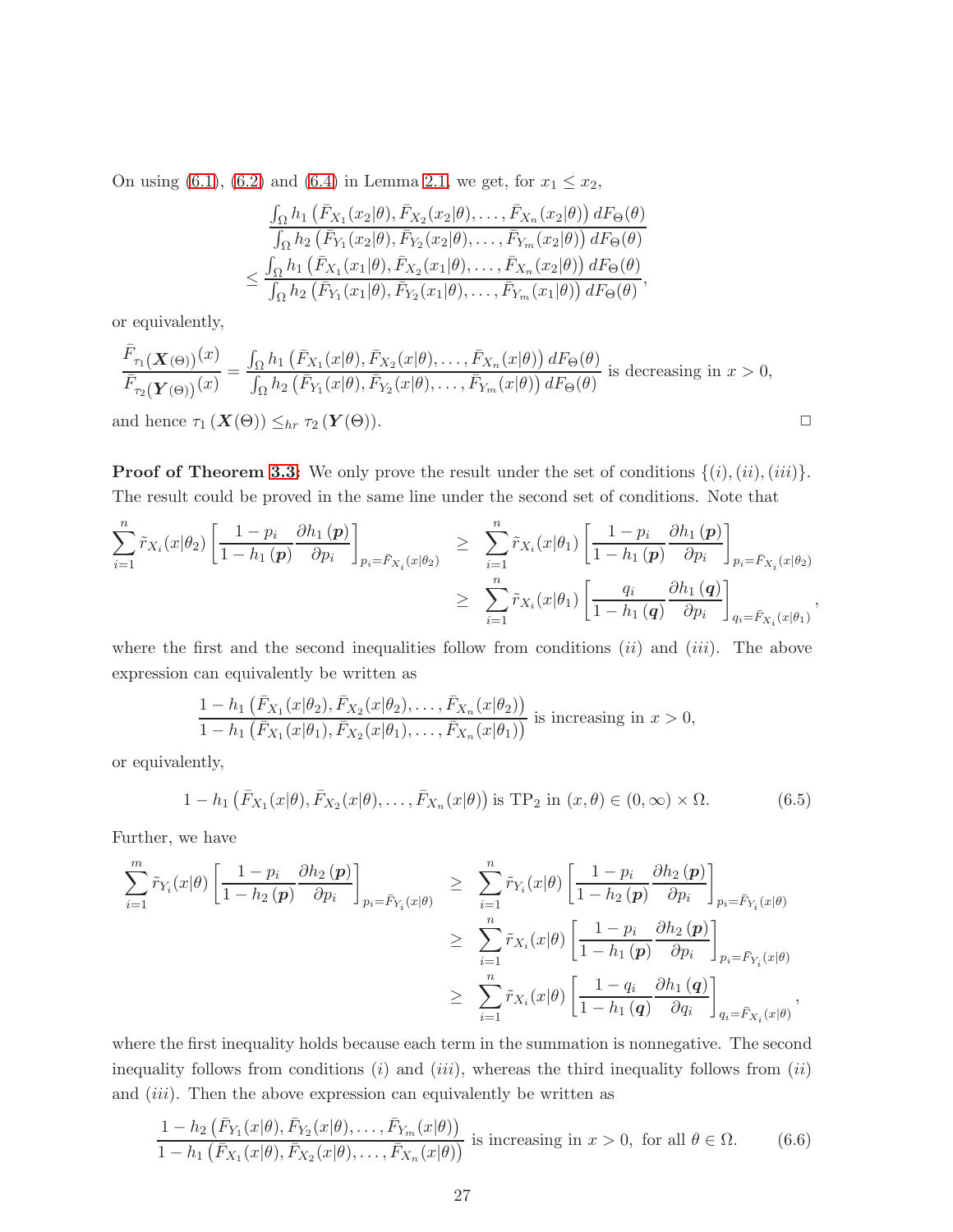On using [\(6.1\)](#page-25-0), [\(6.2\)](#page-25-1) and [\(6.4\)](#page-25-2) in Lemma [2.1,](#page-6-3) we get, for  $x_1 \le x_2$ ,

$$
\frac{\int_{\Omega} h_1\left(\bar{F}_{X_1}(x_2|\theta), \bar{F}_{X_2}(x_2|\theta), \dots, \bar{F}_{X_n}(x_2|\theta)\right) dF_{\Theta}(\theta)}{\int_{\Omega} h_2\left(\bar{F}_{Y_1}(x_2|\theta), \bar{F}_{Y_2}(x_2|\theta), \dots, \bar{F}_{Y_m}(x_2|\theta)\right) dF_{\Theta}(\theta)} \n\leq \frac{\int_{\Omega} h_1\left(\bar{F}_{X_1}(x_1|\theta), \bar{F}_{X_2}(x_1|\theta), \dots, \bar{F}_{X_n}(x_2|\theta)\right) dF_{\Theta}(\theta)}{\int_{\Omega} h_2\left(\bar{F}_{Y_1}(x_1|\theta), \bar{F}_{Y_2}(x_1|\theta), \dots, \bar{F}_{Y_m}(x_1|\theta)\right) dF_{\Theta}(\theta)},
$$

or equivalently,

$$
\frac{\bar{F}_{\tau_1}(\mathbf{X}(\Theta))}(x)}{\bar{F}_{\tau_2}(\mathbf{Y}(\Theta))}(x)} = \frac{\int_{\Omega} h_1(\bar{F}_{X_1}(x|\theta), \bar{F}_{X_2}(x|\theta), \dots, \bar{F}_{X_n}(x|\theta)) dF_{\Theta}(\theta)}{\int_{\Omega} h_2(\bar{F}_{Y_1}(x|\theta), \bar{F}_{Y_2}(x|\theta), \dots, \bar{F}_{Y_m}(x|\theta)) dF_{\Theta}(\theta)}
$$
 is decreasing in  $x > 0$ ,  
and hence  $\tau_1(\mathbf{X}(\Theta)) \leq_{hr} \tau_2(\mathbf{Y}(\Theta)).$ 

**Proof of Theorem [3.3:](#page-9-1)** We only prove the result under the set of conditions  $\{(i), (ii), (iii)\}.$ The result could be proved in the same line under the second set of conditions. Note that

$$
\sum_{i=1}^{n} \tilde{r}_{X_i}(x|\theta_2) \left[ \frac{1-p_i}{1-h_1(p)} \frac{\partial h_1(p)}{\partial p_i} \right]_{p_i = \bar{F}_{X_i}(x|\theta_2)} \geq \sum_{i=1}^{n} \tilde{r}_{X_i}(x|\theta_1) \left[ \frac{1-p_i}{1-h_1(p)} \frac{\partial h_1(p)}{\partial p_i} \right]_{p_i = \bar{F}_{X_i}(x|\theta_2)}
$$

$$
\geq \sum_{i=1}^{n} \tilde{r}_{X_i}(x|\theta_1) \left[ \frac{q_i}{1-h_1(q)} \frac{\partial h_1(q)}{\partial p_i} \right]_{q_i = \bar{F}_{X_i}(x|\theta_1)}
$$

,

where the first and the second inequalities follow from conditions  $(ii)$  and  $(iii)$ . The above expression can equivalently be written as

$$
\frac{1-h_1(\bar{F}_{X_1}(x|\theta_2), \bar{F}_{X_2}(x|\theta_2), \dots, \bar{F}_{X_n}(x|\theta_2))}{1-h_1(\bar{F}_{X_1}(x|\theta_1), \bar{F}_{X_2}(x|\theta_1), \dots, \bar{F}_{X_n}(x|\theta_1))}
$$
 is increasing in  $x > 0$ ,

or equivalently,

<span id="page-26-0"></span>
$$
1 - h_1\left(\bar{F}_{X_1}(x|\theta), \bar{F}_{X_2}(x|\theta), \dots, \bar{F}_{X_n}(x|\theta)\right) \text{ is TP}_2 \text{ in } (x, \theta) \in (0, \infty) \times \Omega. \tag{6.5}
$$

Further, we have

$$
\sum_{i=1}^{m} \tilde{r}_{Y_i}(x|\theta) \left[ \frac{1-p_i}{1-h_2(p)} \frac{\partial h_2(p)}{\partial p_i} \right]_{p_i = \bar{F}_{Y_i}(x|\theta)} \geq \sum_{i=1}^{n} \tilde{r}_{Y_i}(x|\theta) \left[ \frac{1-p_i}{1-h_2(p)} \frac{\partial h_2(p)}{\partial p_i} \right]_{p_i = \bar{F}_{Y_i}(x|\theta)}
$$
\n
$$
\geq \sum_{i=1}^{n} \tilde{r}_{X_i}(x|\theta) \left[ \frac{1-p_i}{1-h_1(p)} \frac{\partial h_2(p)}{\partial p_i} \right]_{p_i = \bar{F}_{Y_i}(x|\theta)}
$$
\n
$$
\geq \sum_{i=1}^{n} \tilde{r}_{X_i}(x|\theta) \left[ \frac{1-q_i}{1-h_1(q)} \frac{\partial h_1(q)}{\partial q_i} \right]_{q_i = \bar{F}_{X_i}(x|\theta)},
$$

where the first inequality holds because each term in the summation is nonnegative. The second inequality follows from conditions  $(i)$  and  $(iii)$ , whereas the third inequality follows from  $(ii)$ and  $(iii)$ . Then the above expression can equivalently be written as

<span id="page-26-1"></span>
$$
\frac{1 - h_2\left(\bar{F}_{Y_1}(x|\theta), \bar{F}_{Y_2}(x|\theta), \dots, \bar{F}_{Y_m}(x|\theta)\right)}{1 - h_1\left(\bar{F}_{X_1}(x|\theta), \bar{F}_{X_2}(x|\theta), \dots, \bar{F}_{X_n}(x|\theta)\right)}
$$
 is increasing in  $x > 0$ , for all  $\theta \in \Omega$ . (6.6)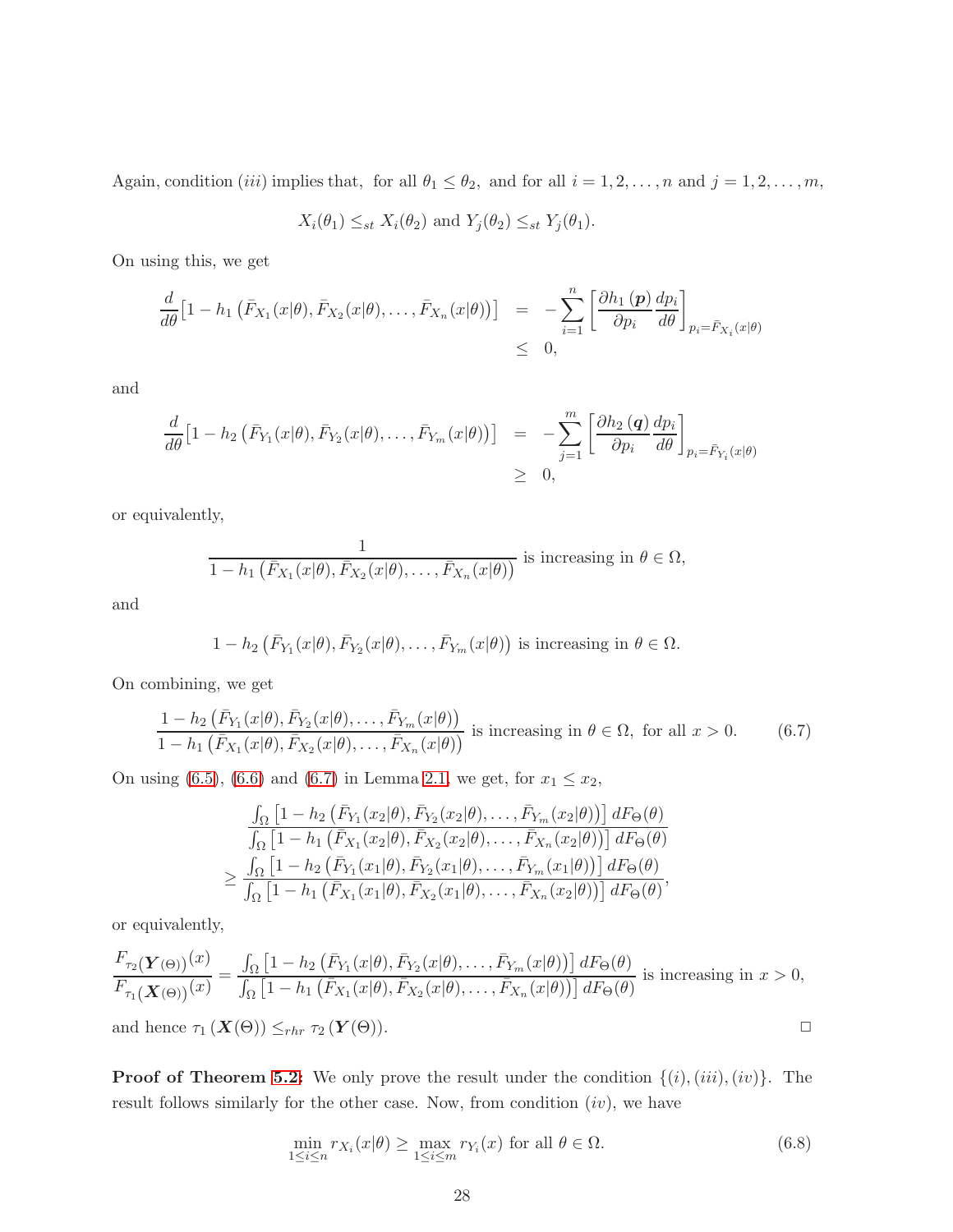Again, condition (iii) implies that, for all  $\theta_1 \le \theta_2$ , and for all  $i = 1, 2, ..., n$  and  $j = 1, 2, ..., m$ ,

$$
X_i(\theta_1) \leq_{st} X_i(\theta_2)
$$
 and  $Y_j(\theta_2) \leq_{st} Y_j(\theta_1)$ .

On using this, we get

$$
\frac{d}{d\theta} \left[1 - h_1\left(\bar{F}_{X_1}(x|\theta), \bar{F}_{X_2}(x|\theta), \dots, \bar{F}_{X_n}(x|\theta)\right)\right] = -\sum_{i=1}^n \left[\frac{\partial h_1(p)}{\partial p_i} \frac{dp_i}{d\theta}\right]_{p_i = \bar{F}_{X_i}(x|\theta)} \leq 0,
$$

and

$$
\frac{d}{d\theta} \left[ 1 - h_2 \left( \bar{F}_{Y_1}(x|\theta), \bar{F}_{Y_2}(x|\theta), \dots, \bar{F}_{Y_m}(x|\theta) \right) \right] = - \sum_{j=1}^m \left[ \frac{\partial h_2(q)}{\partial p_i} \frac{dp_i}{d\theta} \right]_{p_i = \bar{F}_{Y_i}(x|\theta)} \geq 0,
$$

or equivalently,

$$
\frac{1}{1-h_1(\bar{F}_{X_1}(x|\theta), \bar{F}_{X_2}(x|\theta), \dots, \bar{F}_{X_n}(x|\theta))}
$$
 is increasing in  $\theta \in \Omega$ ,

and

$$
1-h_2\left(\bar{F}_{Y_1}(x|\theta),\bar{F}_{Y_2}(x|\theta),\ldots,\bar{F}_{Y_m}(x|\theta)\right)
$$
 is increasing in  $\theta \in \Omega$ .

On combining, we get

<span id="page-27-0"></span>
$$
\frac{1 - h_2\left(\bar{F}_{Y_1}(x|\theta), \bar{F}_{Y_2}(x|\theta), \dots, \bar{F}_{Y_m}(x|\theta)\right)}{1 - h_1\left(\bar{F}_{X_1}(x|\theta), \bar{F}_{X_2}(x|\theta), \dots, \bar{F}_{X_n}(x|\theta)\right)}
$$
 is increasing in  $\theta \in \Omega$ , for all  $x > 0$ . (6.7)

On using [\(6.5\)](#page-26-0), [\(6.6\)](#page-26-1) and [\(6.7\)](#page-27-0) in Lemma [2.1,](#page-6-3) we get, for  $x_1 \le x_2$ ,

$$
\frac{\int_{\Omega} \left[1-h_2\left(\bar{F}_{Y_1}(x_2|\theta), \bar{F}_{Y_2}(x_2|\theta), \ldots, \bar{F}_{Y_m}(x_2|\theta)\right)\right] dF_{\Theta}(\theta)}{\int_{\Omega} \left[1-h_1\left(\bar{F}_{X_1}(x_2|\theta), \bar{F}_{X_2}(x_2|\theta), \ldots, \bar{F}_{X_n}(x_2|\theta)\right)\right] dF_{\Theta}(\theta)}\n\geq \frac{\int_{\Omega} \left[1-h_2\left(\bar{F}_{Y_1}(x_1|\theta), \bar{F}_{Y_2}(x_1|\theta), \ldots, \bar{F}_{Y_m}(x_1|\theta)\right)\right] dF_{\Theta}(\theta)}{\int_{\Omega} \left[1-h_1\left(\bar{F}_{X_1}(x_1|\theta), \bar{F}_{X_2}(x_1|\theta), \ldots, \bar{F}_{X_n}(x_2|\theta)\right)\right] dF_{\Theta}(\theta)},
$$

or equivalently,

$$
\frac{F_{\tau_2}(\mathbf{Y}(\Theta))}(x)}{F_{\tau_1}(\mathbf{X}(\Theta))}(x)} = \frac{\int_{\Omega} \left[1 - h_2\left(\bar{F}_{Y_1}(x|\theta), \bar{F}_{Y_2}(x|\theta), \dots, \bar{F}_{Y_m}(x|\theta)\right)\right] dF_{\Theta}(\theta)}{ \int_{\Omega} \left[1 - h_1\left(\bar{F}_{X_1}(x|\theta), \bar{F}_{X_2}(x|\theta), \dots, \bar{F}_{X_n}(x|\theta)\right)\right] dF_{\Theta}(\theta)} \text{ is increasing in } x > 0,
$$
\nand hence  $\tau_1(\mathbf{X}(\Theta)) \leq_{rhr} \tau_2(\mathbf{Y}(\Theta)).$ 

**Proof of Theorem [5.2:](#page-16-2)** We only prove the result under the condition  $\{(i), (iii), (iv)\}$ . The result follows similarly for the other case. Now, from condition  $(iv)$ , we have

<span id="page-27-1"></span>
$$
\min_{1 \le i \le n} r_{X_i}(x|\theta) \ge \max_{1 \le i \le m} r_{Y_i}(x) \text{ for all } \theta \in \Omega.
$$
\n(6.8)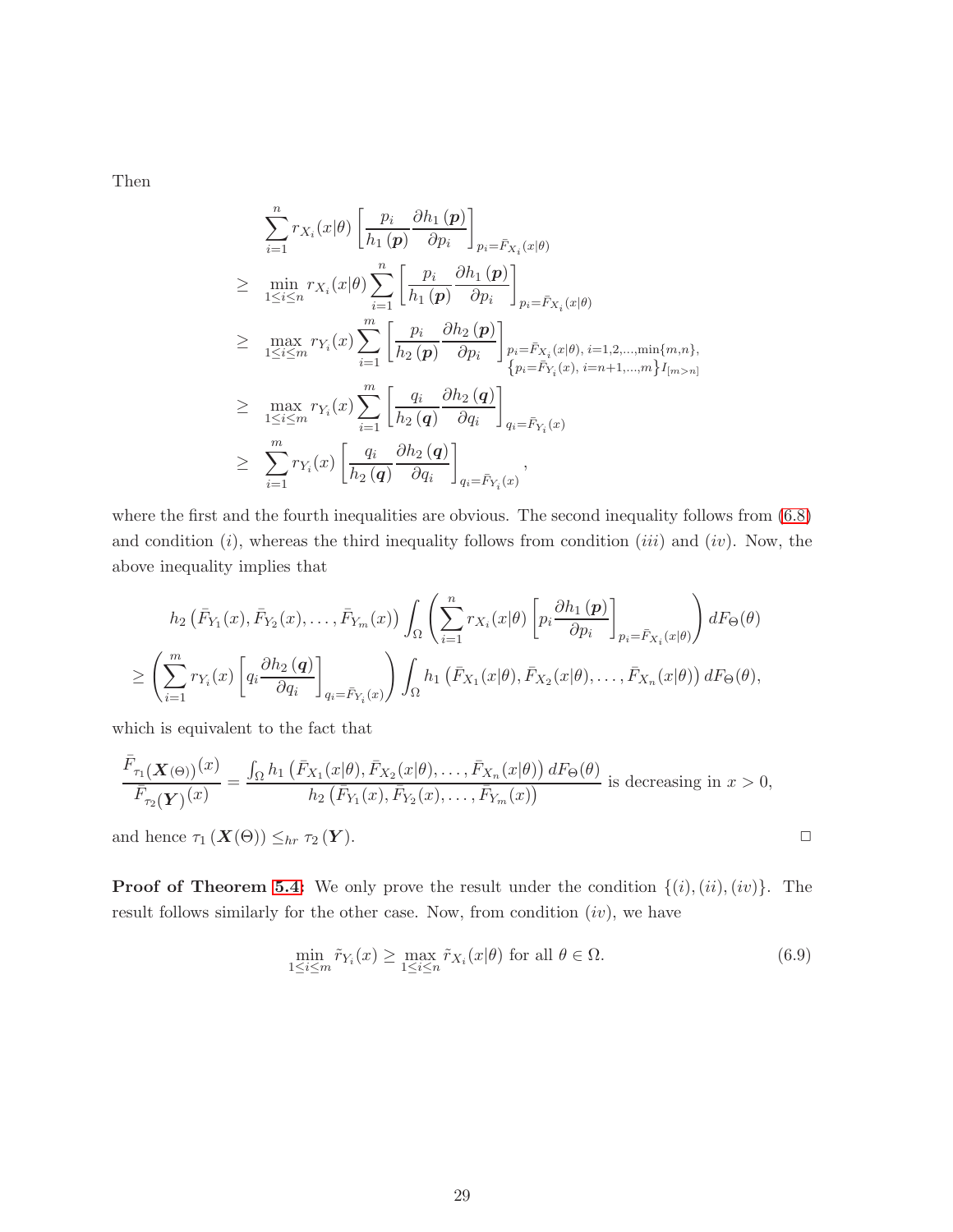Then

$$
\sum_{i=1}^{n} r_{X_i}(x|\theta) \left[ \frac{p_i}{h_1(p)} \frac{\partial h_1(p)}{\partial p_i} \right]_{p_i = \bar{F}_{X_i}(x|\theta)}
$$
\n
$$
\geq \min_{1 \leq i \leq n} r_{X_i}(x|\theta) \sum_{i=1}^{n} \left[ \frac{p_i}{h_1(p)} \frac{\partial h_1(p)}{\partial p_i} \right]_{p_i = \bar{F}_{X_i}(x|\theta)}
$$
\n
$$
\geq \max_{1 \leq i \leq m} r_{Y_i}(x) \sum_{i=1}^{m} \left[ \frac{p_i}{h_2(p)} \frac{\partial h_2(p)}{\partial p_i} \right]_{p_i = \bar{F}_{X_i}(x|\theta), i=1,2,...,min\{m,n\},}
$$
\n
$$
\geq \max_{1 \leq i \leq m} r_{Y_i}(x) \sum_{i=1}^{m} \left[ \frac{q_i}{h_2(q)} \frac{\partial h_2(q)}{\partial q_i} \right]_{q_i = \bar{F}_{Y_i}(x)}
$$
\n
$$
\geq \sum_{i=1}^{m} r_{Y_i}(x) \left[ \frac{q_i}{h_2(q)} \frac{\partial h_2(q)}{\partial q_i} \right]_{q_i = \bar{F}_{Y_i}(x)},
$$

where the first and the fourth inequalities are obvious. The second inequality follows from  $(6.8)$ and condition  $(i)$ , whereas the third inequality follows from condition  $(iii)$  and  $(iv)$ . Now, the above inequality implies that

$$
h_2\left(\bar{F}_{Y_1}(x), \bar{F}_{Y_2}(x), \dots, \bar{F}_{Y_m}(x)\right) \int_{\Omega} \left(\sum_{i=1}^n r_{X_i}(x|\theta) \left[p_i \frac{\partial h_1(p)}{\partial p_i}\right]_{p_i = \bar{F}_{X_i}(x|\theta)}\right) dF_{\Theta}(\theta)
$$

$$
\geq \left(\sum_{i=1}^m r_{Y_i}(x) \left[q_i \frac{\partial h_2(q)}{\partial q_i}\right]_{q_i = \bar{F}_{Y_i}(x)}\right) \int_{\Omega} h_1\left(\bar{F}_{X_1}(x|\theta), \bar{F}_{X_2}(x|\theta), \dots, \bar{F}_{X_n}(x|\theta)\right) dF_{\Theta}(\theta),
$$

which is equivalent to the fact that

$$
\frac{\bar{F}_{\tau_1}(\boldsymbol{X}(\Theta))}(x)}{\bar{F}_{\tau_2}(\boldsymbol{Y})(x)} = \frac{\int_{\Omega} h_1\left(\bar{F}_{X_1}(x|\theta), \bar{F}_{X_2}(x|\theta), \dots, \bar{F}_{X_n}(x|\theta)\right) dF_{\Theta}(\theta)}{h_2\left(\bar{F}_{Y_1}(x), \bar{F}_{Y_2}(x), \dots, \bar{F}_{Y_m}(x)\right)} \text{ is decreasing in } x > 0,
$$

and hence  $\tau_1(X(\Theta)) \leq_{hr} \tau_2(Y)$ .

**Proof of Theorem [5.4:](#page-17-0)** We only prove the result under the condition  $\{(i),(ii),(iv)\}$ . The result follows similarly for the other case. Now, from condition  $(iv)$ , we have

<span id="page-28-0"></span>
$$
\min_{1 \le i \le m} \tilde{r}_{Y_i}(x) \ge \max_{1 \le i \le n} \tilde{r}_{X_i}(x|\theta) \text{ for all } \theta \in \Omega.
$$
\n(6.9)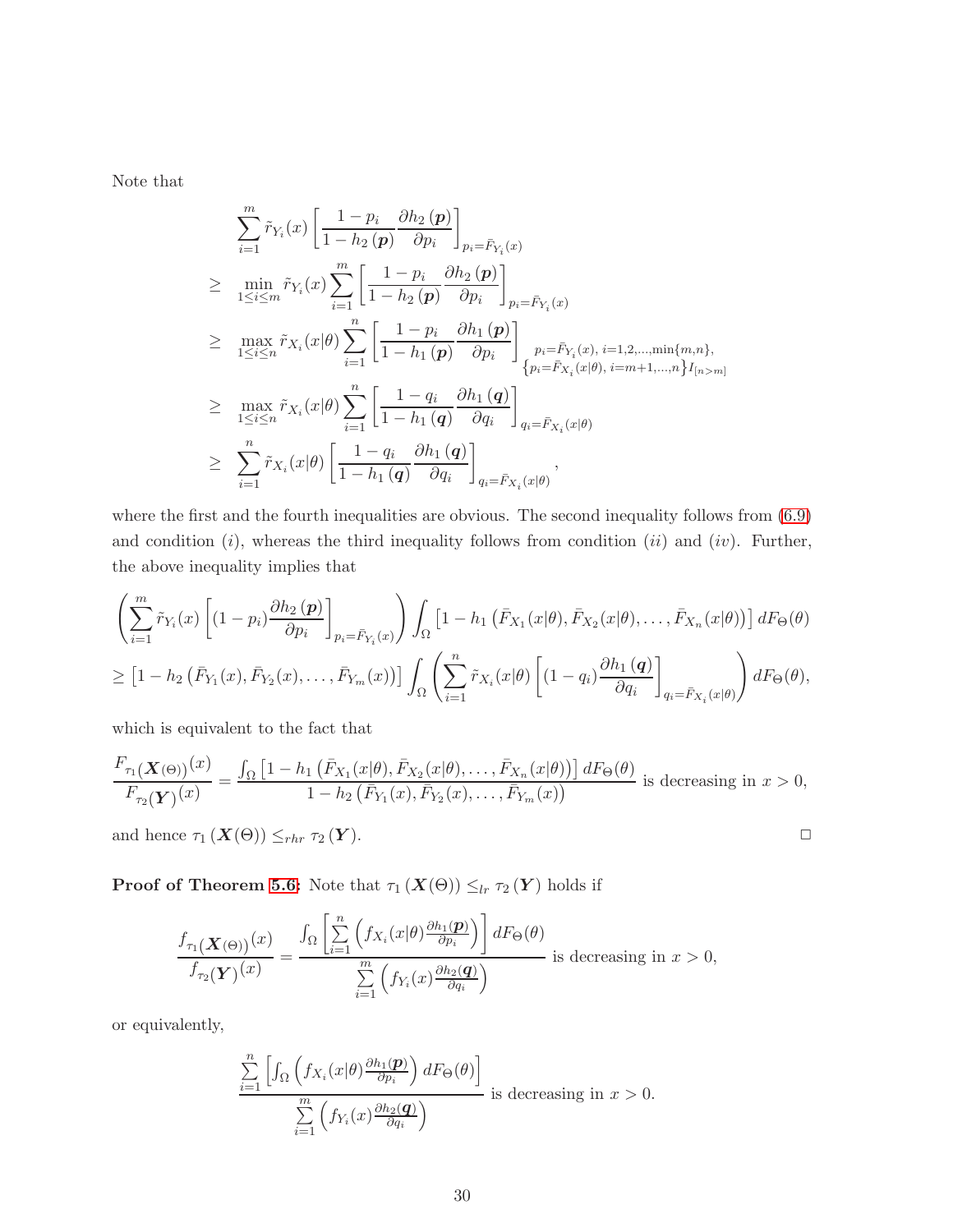Note that

$$
\sum_{i=1}^{m} \tilde{r}_{Y_i}(x) \left[ \frac{1-p_i}{1-h_2(p)} \frac{\partial h_2(p)}{\partial p_i} \right]_{p_i = \bar{F}_{Y_i}(x)}
$$
\n
$$
\geq \min_{1 \leq i \leq m} \tilde{r}_{Y_i}(x) \sum_{i=1}^{m} \left[ \frac{1-p_i}{1-h_2(p)} \frac{\partial h_2(p)}{\partial p_i} \right]_{p_i = \bar{F}_{Y_i}(x)}
$$
\n
$$
\geq \max_{1 \leq i \leq n} \tilde{r}_{X_i}(x|\theta) \sum_{i=1}^{n} \left[ \frac{1-p_i}{1-h_1(p)} \frac{\partial h_1(p)}{\partial p_i} \right]_{p_i = \bar{F}_{Y_i}(x), i=1,2,\dots, \min\{m,n\},}
$$
\n
$$
\geq \max_{1 \leq i \leq n} \tilde{r}_{X_i}(x|\theta) \sum_{i=1}^{n} \left[ \frac{1-q_i}{1-h_1(q)} \frac{\partial h_1(q)}{\partial q_i} \right]_{q_i = \bar{F}_{X_i}(x|\theta)}
$$
\n
$$
\geq \sum_{i=1}^{n} \tilde{r}_{X_i}(x|\theta) \left[ \frac{1-q_i}{1-h_1(q)} \frac{\partial h_1(q)}{\partial q_i} \right]_{q_i = \bar{F}_{X_i}(x|\theta)},
$$

where the first and the fourth inequalities are obvious. The second inequality follows from  $(6.9)$ and condition  $(i)$ , whereas the third inequality follows from condition  $(ii)$  and  $(iv)$ . Further, the above inequality implies that

$$
\left(\sum_{i=1}^{m} \tilde{r}_{Y_i}(x) \left[ (1-p_i) \frac{\partial h_2(p)}{\partial p_i} \right]_{p_i = \bar{F}_{Y_i}(x)} \right) \int_{\Omega} \left[ 1 - h_1 \left( \bar{F}_{X_1}(x|\theta), \bar{F}_{X_2}(x|\theta), \dots, \bar{F}_{X_n}(x|\theta) \right) \right] dF_{\Theta}(\theta)
$$
\n
$$
\geq \left[ 1 - h_2 \left( \bar{F}_{Y_1}(x), \bar{F}_{Y_2}(x), \dots, \bar{F}_{Y_m}(x) \right) \right] \int_{\Omega} \left( \sum_{i=1}^{n} \tilde{r}_{X_i}(x|\theta) \left[ (1-q_i) \frac{\partial h_1(q)}{\partial q_i} \right]_{q_i = \bar{F}_{X_i}(x|\theta)} \right) dF_{\Theta}(\theta),
$$

which is equivalent to the fact that

$$
\frac{F_{\tau_1}(\mathbf{X}(\Theta))}(x)}{F_{\tau_2}(\mathbf{Y})}(x)} = \frac{\int_{\Omega} \left[1 - h_1\left(\bar{F}_{X_1}(x|\theta), \bar{F}_{X_2}(x|\theta), \dots, \bar{F}_{X_n}(x|\theta)\right)\right] dF_{\Theta}(\theta)}{1 - h_2\left(\bar{F}_{Y_1}(x), \bar{F}_{Y_2}(x), \dots, \bar{F}_{Y_m}(x)\right)} \text{ is decreasing in } x > 0,
$$

and hence  $\tau_1 (\mathbf{X}(\Theta)) \leq_{rhr} \tau_2 (\mathbf{Y}).$ 

**Proof of Theorem [5.6:](#page-18-0)** Note that  $\tau_1(X(\Theta)) \leq_{lr} \tau_2(Y)$  holds if

$$
\frac{f_{\tau_1}(\mathbf{X}(\Theta))(x)}{f_{\tau_2}(\mathbf{Y})(x)} = \frac{\int_{\Omega} \left[ \sum_{i=1}^n \left( f_{X_i}(x|\theta) \frac{\partial h_1(\mathbf{p})}{\partial p_i} \right) \right] dF_{\Theta}(\theta)}{\sum_{i=1}^m \left( f_{Y_i}(x) \frac{\partial h_2(\mathbf{q})}{\partial q_i} \right)} \text{ is decreasing in } x > 0,
$$

or equivalently,

$$
\frac{\sum_{i=1}^{n} \left[ \int_{\Omega} \left( f_{X_i}(x | \theta) \frac{\partial h_1(\mathbf{p})}{\partial p_i} \right) dF_{\Theta}(\theta) \right]}{\sum_{i=1}^{m} \left( f_{Y_i}(x) \frac{\partial h_2(\mathbf{q})}{\partial q_i} \right)} \text{ is decreasing in } x > 0.
$$